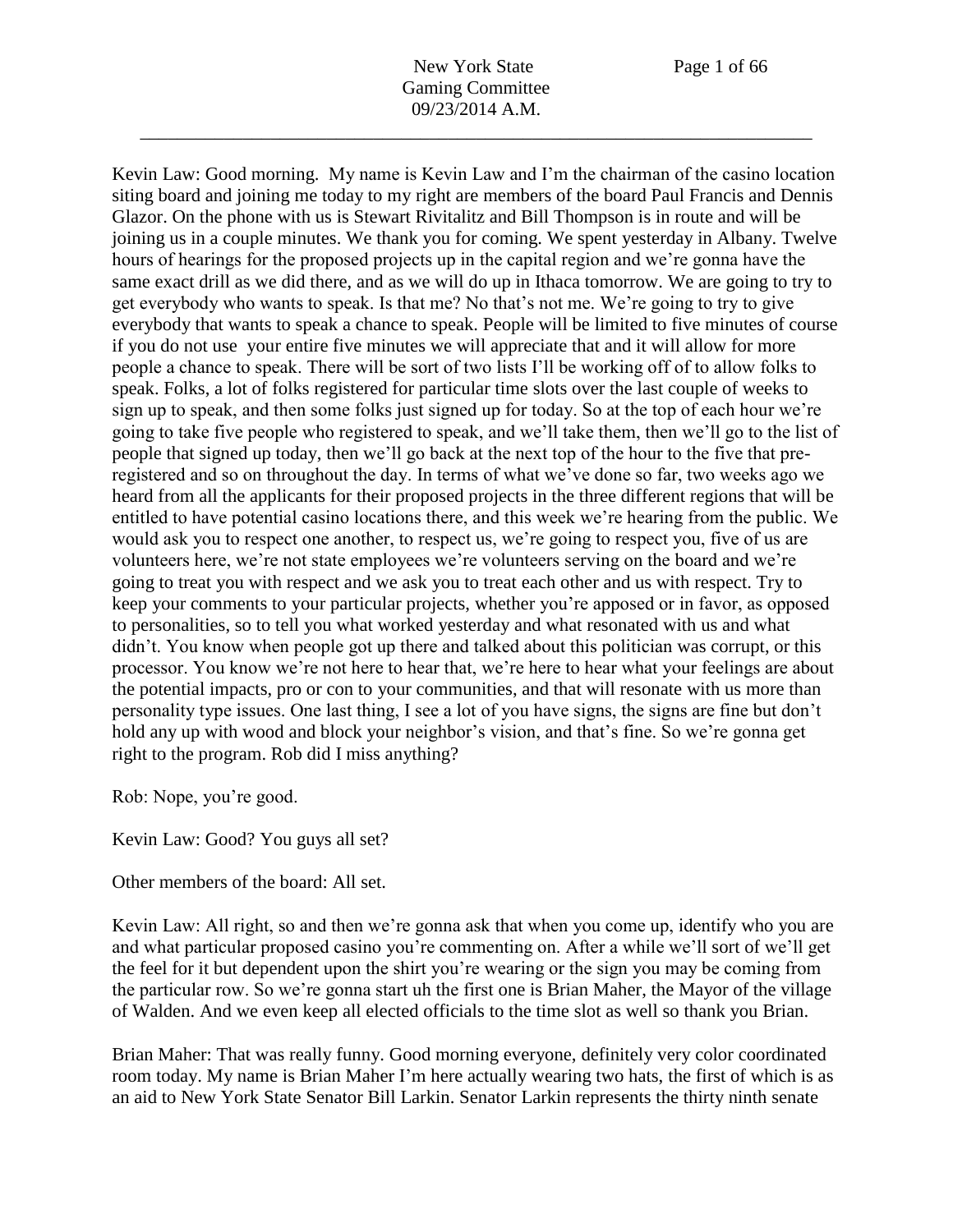Kevin Law: Good morning. My name is Kevin Law and I'm the chairman of the casino location siting board and joining me today to my right are members of the board Paul Francis and Dennis Glazor. On the phone with us is Stewart Rivitalitz and Bill Thompson is in route and will be joining us in a couple minutes. We thank you for coming. We spent yesterday in Albany. Twelve hours of hearings for the proposed projects up in the capital region and we're gonna have the same exact drill as we did there, and as we will do up in Ithaca tomorrow. We are going to try to get everybody who wants to speak. Is that me? No that's not me. We're going to try to give everybody that wants to speak a chance to speak. People will be limited to five minutes of course if you do not use your entire five minutes we will appreciate that and it will allow for more people a chance to speak. There will be sort of two lists I'll be working off of to allow folks to speak. Folks, a lot of folks registered for particular time slots over the last couple of weeks to sign up to speak, and then some folks just signed up for today. So at the top of each hour we're going to take five people who registered to speak, and we'll take them, then we'll go to the list of people that signed up today, then we'll go back at the next top of the hour to the five that preregistered and so on throughout the day. In terms of what we've done so far, two weeks ago we heard from all the applicants for their proposed projects in the three different regions that will be entitled to have potential casino locations there, and this week we're hearing from the public. We would ask you to respect one another, to respect us, we're going to respect you, five of us are volunteers here, we're not state employees we're volunteers serving on the board and we're going to treat you with respect and we ask you to treat each other and us with respect. Try to keep your comments to your particular projects, whether you're apposed or in favor, as opposed to personalities, so to tell you what worked yesterday and what resonated with us and what didn't. You know when people got up there and talked about this politician was corrupt, or this processor. You know we're not here to hear that, we're here to hear what your feelings are about the potential impacts, pro or con to your communities, and that will resonate with us more than personality type issues. One last thing, I see a lot of you have signs, the signs are fine but don't hold any up with wood and block your neighbor's vision, and that's fine. So we're gonna get right to the program. Rob did I miss anything?

Rob: Nope, you're good.

Kevin Law: Good? You guys all set?

Other members of the board: All set.

Kevin Law: All right, so and then we're gonna ask that when you come up, identify who you are and what particular proposed casino you're commenting on. After a while we'll sort of we'll get the feel for it but dependent upon the shirt you're wearing or the sign you may be coming from the particular row. So we're gonna start uh the first one is Brian Maher, the Mayor of the village of Walden. And we even keep all elected officials to the time slot as well so thank you Brian.

Brian Maher: That was really funny. Good morning everyone, definitely very color coordinated room today. My name is Brian Maher I'm here actually wearing two hats, the first of which is as an aid to New York State Senator Bill Larkin. Senator Larkin represents the thirty ninth senate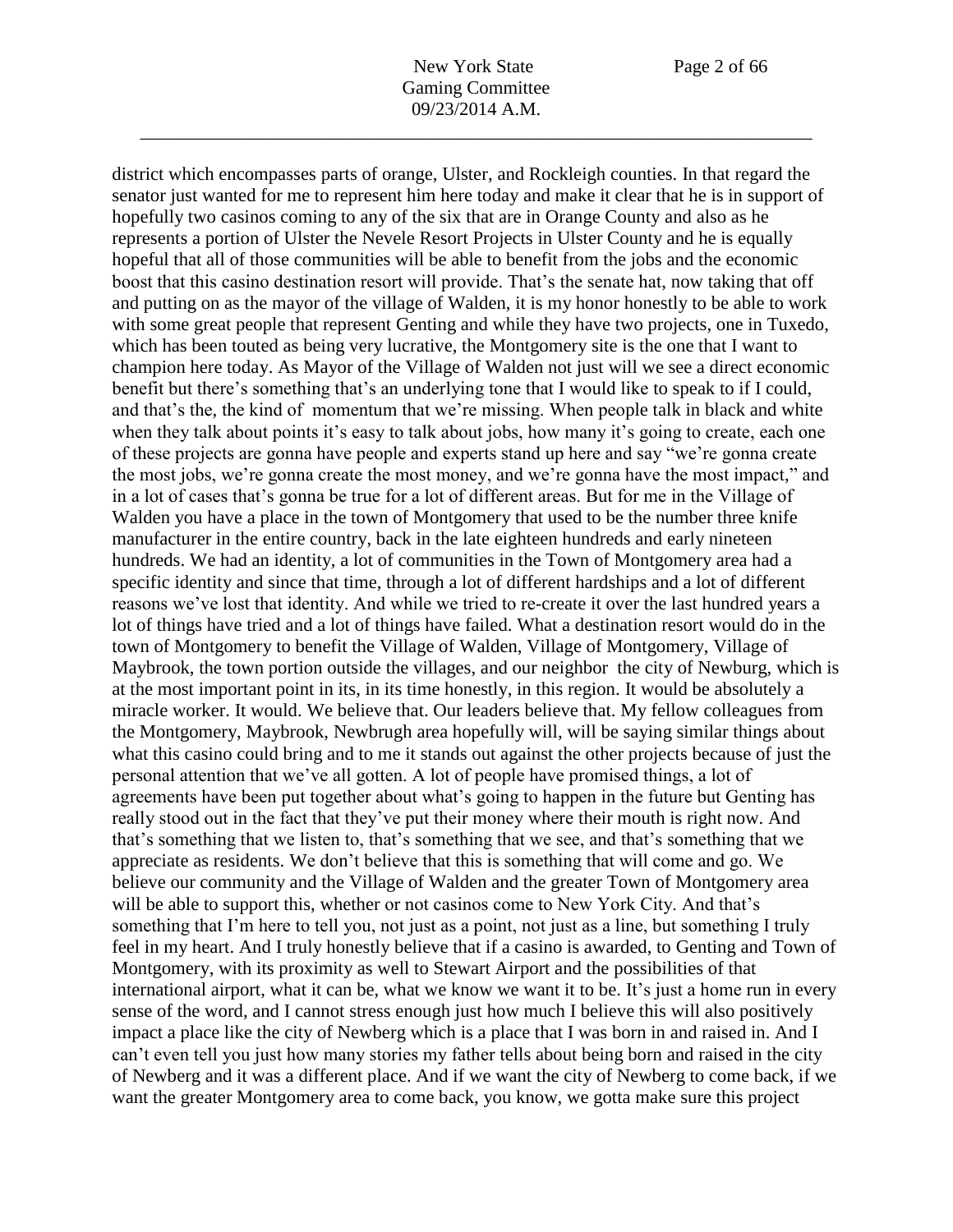district which encompasses parts of orange, Ulster, and Rockleigh counties. In that regard the senator just wanted for me to represent him here today and make it clear that he is in support of hopefully two casinos coming to any of the six that are in Orange County and also as he represents a portion of Ulster the Nevele Resort Projects in Ulster County and he is equally hopeful that all of those communities will be able to benefit from the jobs and the economic boost that this casino destination resort will provide. That's the senate hat, now taking that off and putting on as the mayor of the village of Walden, it is my honor honestly to be able to work with some great people that represent Genting and while they have two projects, one in Tuxedo, which has been touted as being very lucrative, the Montgomery site is the one that I want to champion here today. As Mayor of the Village of Walden not just will we see a direct economic benefit but there's something that's an underlying tone that I would like to speak to if I could, and that's the, the kind of momentum that we're missing. When people talk in black and white when they talk about points it's easy to talk about jobs, how many it's going to create, each one of these projects are gonna have people and experts stand up here and say "we're gonna create the most jobs, we're gonna create the most money, and we're gonna have the most impact," and in a lot of cases that's gonna be true for a lot of different areas. But for me in the Village of Walden you have a place in the town of Montgomery that used to be the number three knife manufacturer in the entire country, back in the late eighteen hundreds and early nineteen hundreds. We had an identity, a lot of communities in the Town of Montgomery area had a specific identity and since that time, through a lot of different hardships and a lot of different reasons we've lost that identity. And while we tried to re-create it over the last hundred years a lot of things have tried and a lot of things have failed. What a destination resort would do in the town of Montgomery to benefit the Village of Walden, Village of Montgomery, Village of Maybrook, the town portion outside the villages, and our neighbor the city of Newburg, which is at the most important point in its, in its time honestly, in this region. It would be absolutely a miracle worker. It would. We believe that. Our leaders believe that. My fellow colleagues from the Montgomery, Maybrook, Newbrugh area hopefully will, will be saying similar things about what this casino could bring and to me it stands out against the other projects because of just the personal attention that we've all gotten. A lot of people have promised things, a lot of agreements have been put together about what's going to happen in the future but Genting has really stood out in the fact that they've put their money where their mouth is right now. And that's something that we listen to, that's something that we see, and that's something that we appreciate as residents. We don't believe that this is something that will come and go. We believe our community and the Village of Walden and the greater Town of Montgomery area will be able to support this, whether or not casinos come to New York City. And that's something that I'm here to tell you, not just as a point, not just as a line, but something I truly feel in my heart. And I truly honestly believe that if a casino is awarded, to Genting and Town of Montgomery, with its proximity as well to Stewart Airport and the possibilities of that international airport, what it can be, what we know we want it to be. It's just a home run in every sense of the word, and I cannot stress enough just how much I believe this will also positively impact a place like the city of Newberg which is a place that I was born in and raised in. And I can't even tell you just how many stories my father tells about being born and raised in the city of Newberg and it was a different place. And if we want the city of Newberg to come back, if we want the greater Montgomery area to come back, you know, we gotta make sure this project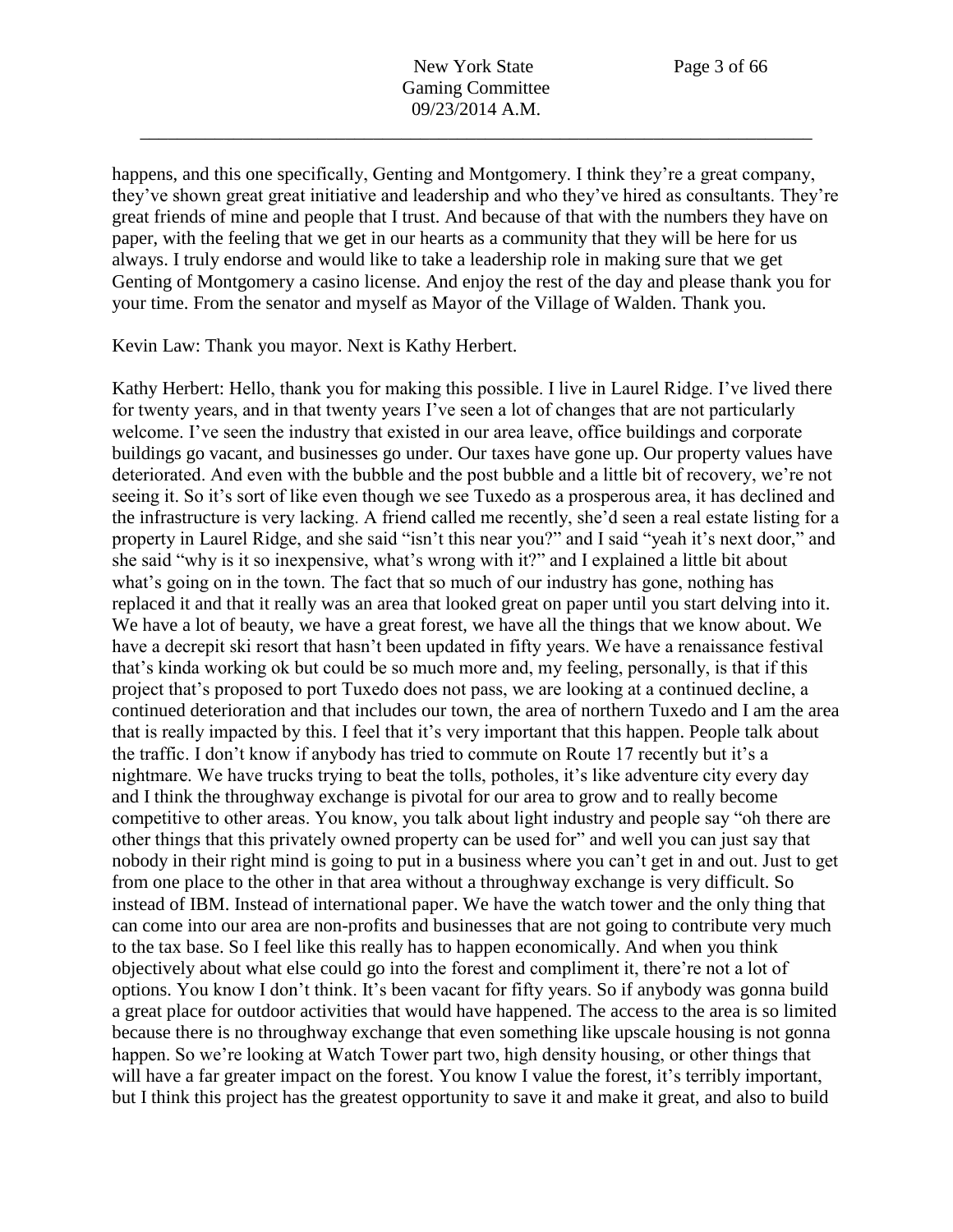happens, and this one specifically, Genting and Montgomery. I think they're a great company, they've shown great great initiative and leadership and who they've hired as consultants. They're great friends of mine and people that I trust. And because of that with the numbers they have on paper, with the feeling that we get in our hearts as a community that they will be here for us always. I truly endorse and would like to take a leadership role in making sure that we get Genting of Montgomery a casino license. And enjoy the rest of the day and please thank you for your time. From the senator and myself as Mayor of the Village of Walden. Thank you.

Kevin Law: Thank you mayor. Next is Kathy Herbert.

Kathy Herbert: Hello, thank you for making this possible. I live in Laurel Ridge. I've lived there for twenty years, and in that twenty years I've seen a lot of changes that are not particularly welcome. I've seen the industry that existed in our area leave, office buildings and corporate buildings go vacant, and businesses go under. Our taxes have gone up. Our property values have deteriorated. And even with the bubble and the post bubble and a little bit of recovery, we're not seeing it. So it's sort of like even though we see Tuxedo as a prosperous area, it has declined and the infrastructure is very lacking. A friend called me recently, she'd seen a real estate listing for a property in Laurel Ridge, and she said "isn't this near you?" and I said "yeah it's next door," and she said "why is it so inexpensive, what's wrong with it?" and I explained a little bit about what's going on in the town. The fact that so much of our industry has gone, nothing has replaced it and that it really was an area that looked great on paper until you start delving into it. We have a lot of beauty, we have a great forest, we have all the things that we know about. We have a decrepit ski resort that hasn't been updated in fifty years. We have a renaissance festival that's kinda working ok but could be so much more and, my feeling, personally, is that if this project that's proposed to port Tuxedo does not pass, we are looking at a continued decline, a continued deterioration and that includes our town, the area of northern Tuxedo and I am the area that is really impacted by this. I feel that it's very important that this happen. People talk about the traffic. I don't know if anybody has tried to commute on Route 17 recently but it's a nightmare. We have trucks trying to beat the tolls, potholes, it's like adventure city every day and I think the throughway exchange is pivotal for our area to grow and to really become competitive to other areas. You know, you talk about light industry and people say "oh there are other things that this privately owned property can be used for" and well you can just say that nobody in their right mind is going to put in a business where you can't get in and out. Just to get from one place to the other in that area without a throughway exchange is very difficult. So instead of IBM. Instead of international paper. We have the watch tower and the only thing that can come into our area are non-profits and businesses that are not going to contribute very much to the tax base. So I feel like this really has to happen economically. And when you think objectively about what else could go into the forest and compliment it, there're not a lot of options. You know I don't think. It's been vacant for fifty years. So if anybody was gonna build a great place for outdoor activities that would have happened. The access to the area is so limited because there is no throughway exchange that even something like upscale housing is not gonna happen. So we're looking at Watch Tower part two, high density housing, or other things that will have a far greater impact on the forest. You know I value the forest, it's terribly important, but I think this project has the greatest opportunity to save it and make it great, and also to build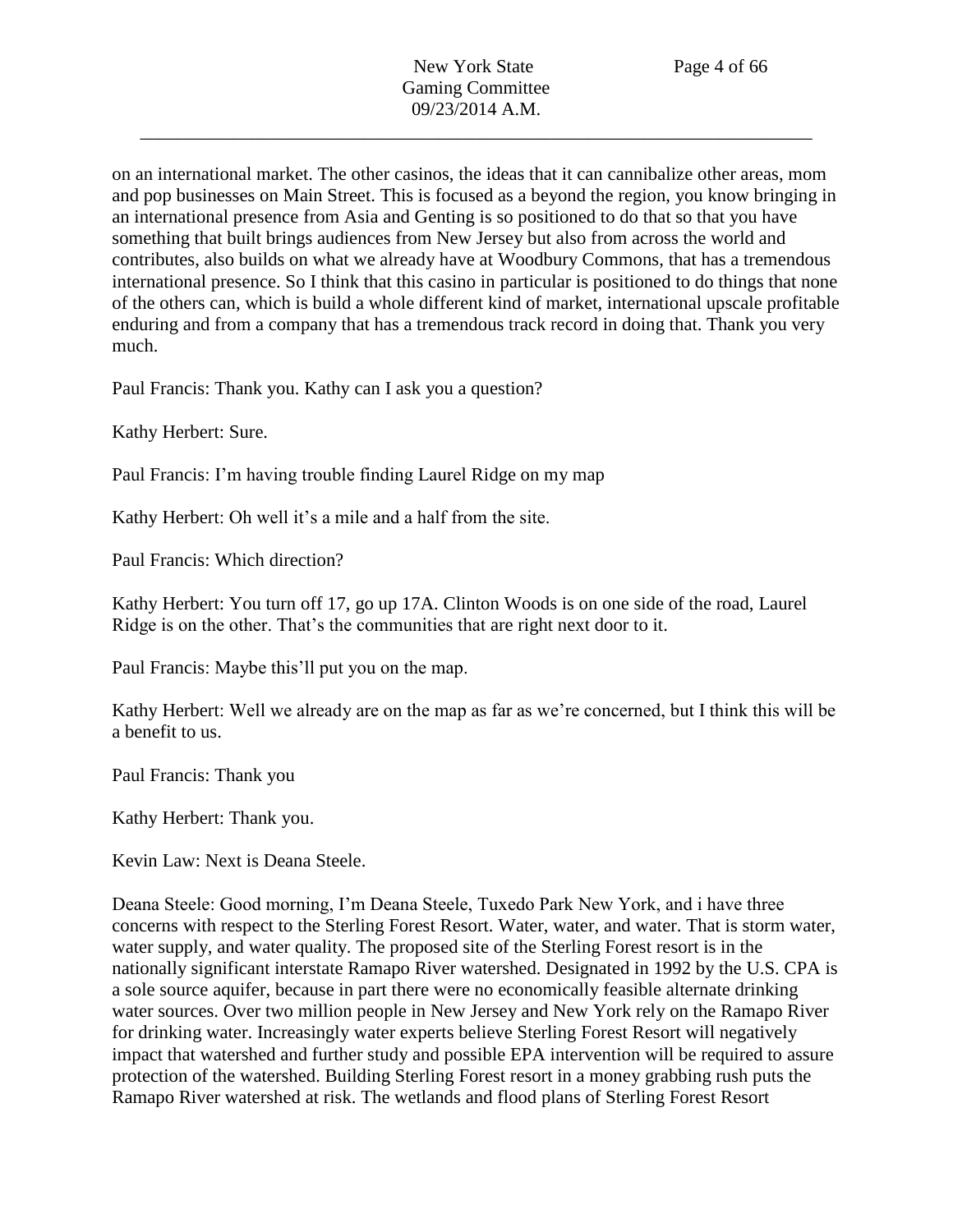on an international market. The other casinos, the ideas that it can cannibalize other areas, mom and pop businesses on Main Street. This is focused as a beyond the region, you know bringing in an international presence from Asia and Genting is so positioned to do that so that you have something that built brings audiences from New Jersey but also from across the world and contributes, also builds on what we already have at Woodbury Commons, that has a tremendous international presence. So I think that this casino in particular is positioned to do things that none of the others can, which is build a whole different kind of market, international upscale profitable enduring and from a company that has a tremendous track record in doing that. Thank you very much.

Paul Francis: Thank you. Kathy can I ask you a question?

Kathy Herbert: Sure.

Paul Francis: I'm having trouble finding Laurel Ridge on my map

Kathy Herbert: Oh well it's a mile and a half from the site.

Paul Francis: Which direction?

Kathy Herbert: You turn off 17, go up 17A. Clinton Woods is on one side of the road, Laurel Ridge is on the other. That's the communities that are right next door to it.

Paul Francis: Maybe this'll put you on the map.

Kathy Herbert: Well we already are on the map as far as we're concerned, but I think this will be a benefit to us.

Paul Francis: Thank you

Kathy Herbert: Thank you.

Kevin Law: Next is Deana Steele.

Deana Steele: Good morning, I'm Deana Steele, Tuxedo Park New York, and i have three concerns with respect to the Sterling Forest Resort. Water, water, and water. That is storm water, water supply, and water quality. The proposed site of the Sterling Forest resort is in the nationally significant interstate Ramapo River watershed. Designated in 1992 by the U.S. CPA is a sole source aquifer, because in part there were no economically feasible alternate drinking water sources. Over two million people in New Jersey and New York rely on the Ramapo River for drinking water. Increasingly water experts believe Sterling Forest Resort will negatively impact that watershed and further study and possible EPA intervention will be required to assure protection of the watershed. Building Sterling Forest resort in a money grabbing rush puts the Ramapo River watershed at risk. The wetlands and flood plans of Sterling Forest Resort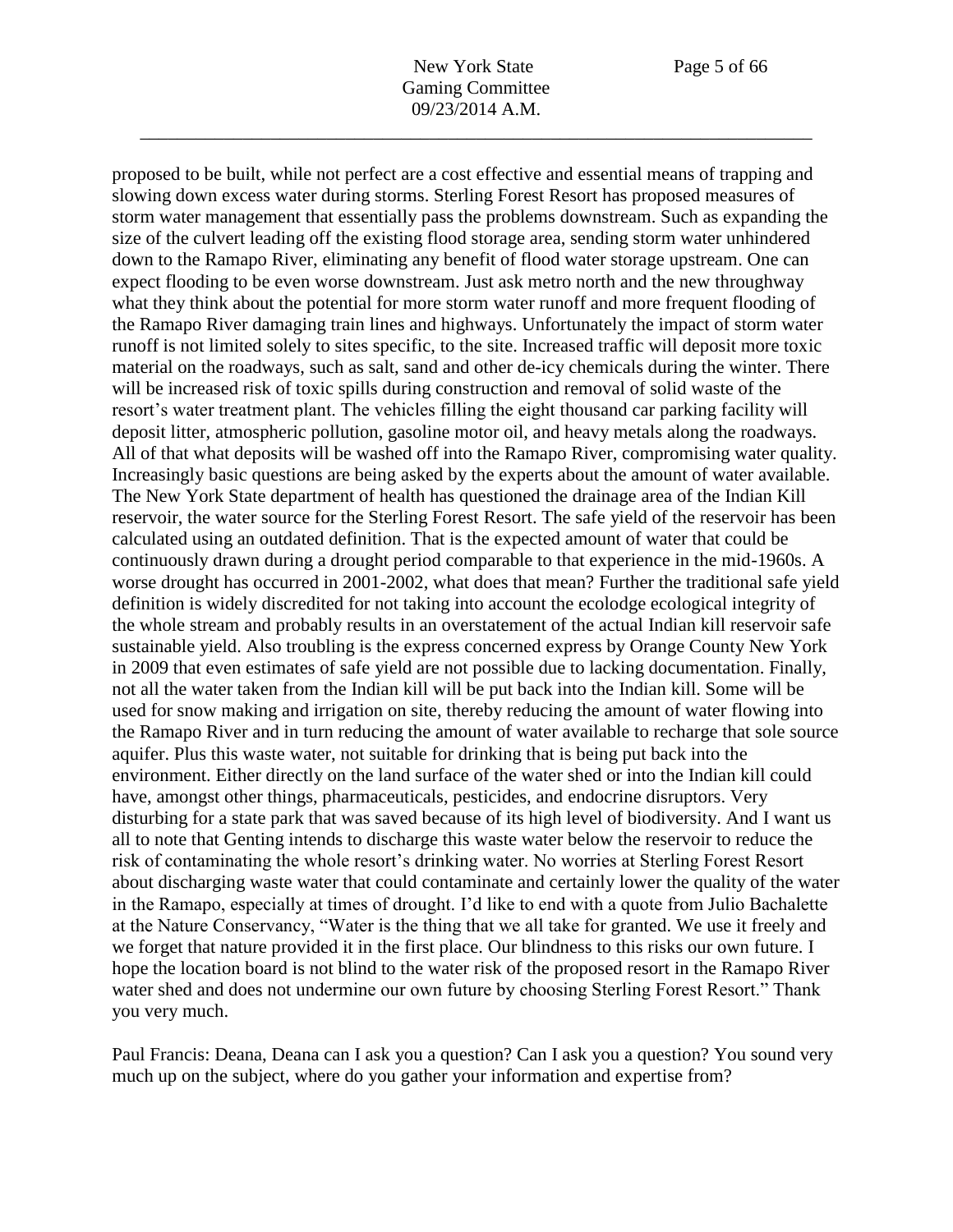proposed to be built, while not perfect are a cost effective and essential means of trapping and

slowing down excess water during storms. Sterling Forest Resort has proposed measures of storm water management that essentially pass the problems downstream. Such as expanding the size of the culvert leading off the existing flood storage area, sending storm water unhindered down to the Ramapo River, eliminating any benefit of flood water storage upstream. One can expect flooding to be even worse downstream. Just ask metro north and the new throughway what they think about the potential for more storm water runoff and more frequent flooding of the Ramapo River damaging train lines and highways. Unfortunately the impact of storm water runoff is not limited solely to sites specific, to the site. Increased traffic will deposit more toxic material on the roadways, such as salt, sand and other de-icy chemicals during the winter. There will be increased risk of toxic spills during construction and removal of solid waste of the resort's water treatment plant. The vehicles filling the eight thousand car parking facility will deposit litter, atmospheric pollution, gasoline motor oil, and heavy metals along the roadways. All of that what deposits will be washed off into the Ramapo River, compromising water quality. Increasingly basic questions are being asked by the experts about the amount of water available. The New York State department of health has questioned the drainage area of the Indian Kill reservoir, the water source for the Sterling Forest Resort. The safe yield of the reservoir has been calculated using an outdated definition. That is the expected amount of water that could be continuously drawn during a drought period comparable to that experience in the mid-1960s. A worse drought has occurred in 2001-2002, what does that mean? Further the traditional safe yield definition is widely discredited for not taking into account the ecolodge ecological integrity of the whole stream and probably results in an overstatement of the actual Indian kill reservoir safe sustainable yield. Also troubling is the express concerned express by Orange County New York in 2009 that even estimates of safe yield are not possible due to lacking documentation. Finally, not all the water taken from the Indian kill will be put back into the Indian kill. Some will be used for snow making and irrigation on site, thereby reducing the amount of water flowing into the Ramapo River and in turn reducing the amount of water available to recharge that sole source aquifer. Plus this waste water, not suitable for drinking that is being put back into the environment. Either directly on the land surface of the water shed or into the Indian kill could have, amongst other things, pharmaceuticals, pesticides, and endocrine disruptors. Very disturbing for a state park that was saved because of its high level of biodiversity. And I want us all to note that Genting intends to discharge this waste water below the reservoir to reduce the risk of contaminating the whole resort's drinking water. No worries at Sterling Forest Resort about discharging waste water that could contaminate and certainly lower the quality of the water in the Ramapo, especially at times of drought. I'd like to end with a quote from Julio Bachalette at the Nature Conservancy, "Water is the thing that we all take for granted. We use it freely and we forget that nature provided it in the first place. Our blindness to this risks our own future. I hope the location board is not blind to the water risk of the proposed resort in the Ramapo River water shed and does not undermine our own future by choosing Sterling Forest Resort." Thank you very much.

Paul Francis: Deana, Deana can I ask you a question? Can I ask you a question? You sound very much up on the subject, where do you gather your information and expertise from?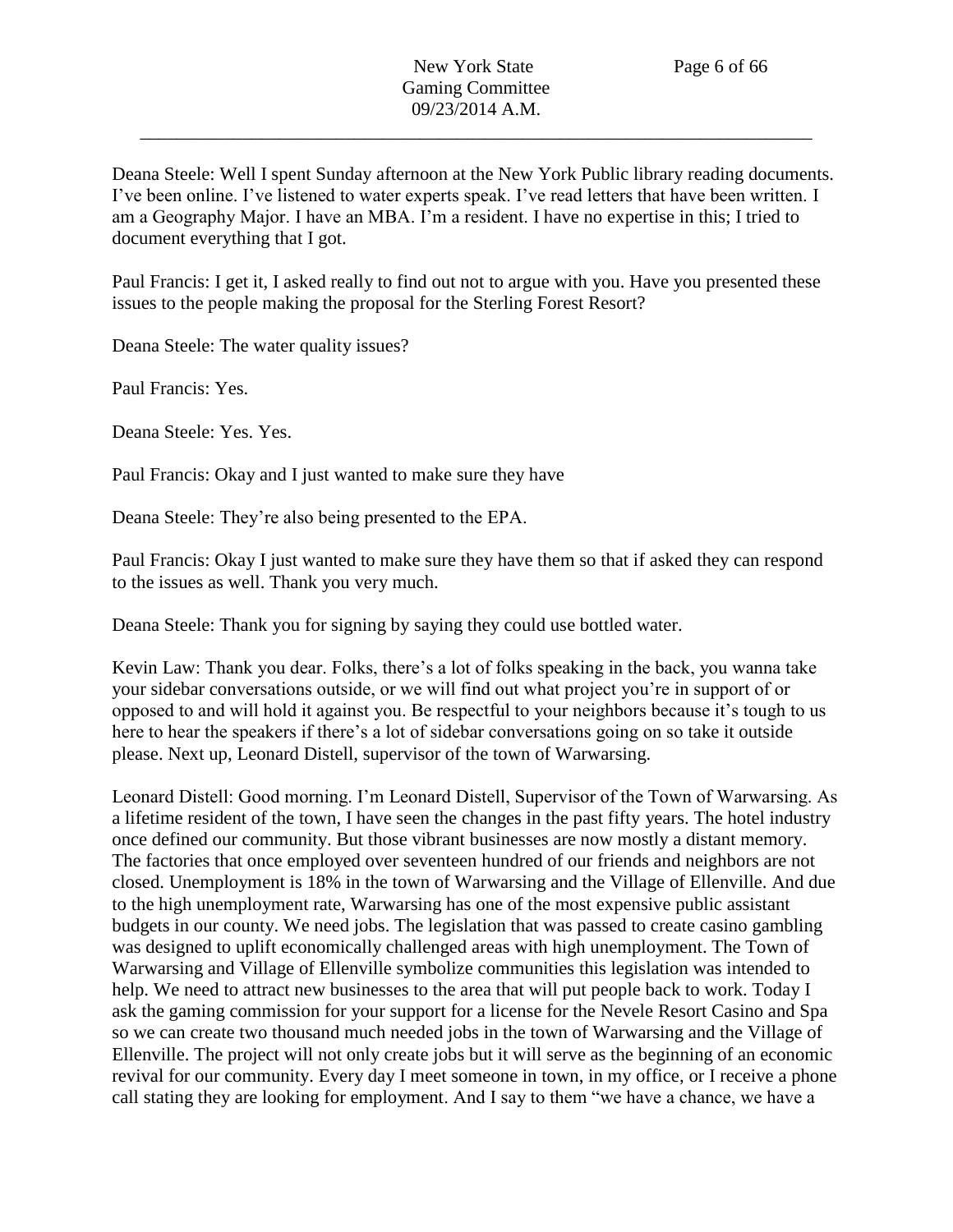Deana Steele: Well I spent Sunday afternoon at the New York Public library reading documents. I've been online. I've listened to water experts speak. I've read letters that have been written. I am a Geography Major. I have an MBA. I'm a resident. I have no expertise in this; I tried to document everything that I got.

Paul Francis: I get it, I asked really to find out not to argue with you. Have you presented these issues to the people making the proposal for the Sterling Forest Resort?

Deana Steele: The water quality issues?

Paul Francis: Yes.

Deana Steele: Yes. Yes.

Paul Francis: Okay and I just wanted to make sure they have

Deana Steele: They're also being presented to the EPA.

Paul Francis: Okay I just wanted to make sure they have them so that if asked they can respond to the issues as well. Thank you very much.

Deana Steele: Thank you for signing by saying they could use bottled water.

Kevin Law: Thank you dear. Folks, there's a lot of folks speaking in the back, you wanna take your sidebar conversations outside, or we will find out what project you're in support of or opposed to and will hold it against you. Be respectful to your neighbors because it's tough to us here to hear the speakers if there's a lot of sidebar conversations going on so take it outside please. Next up, Leonard Distell, supervisor of the town of Warwarsing.

Leonard Distell: Good morning. I'm Leonard Distell, Supervisor of the Town of Warwarsing. As a lifetime resident of the town, I have seen the changes in the past fifty years. The hotel industry once defined our community. But those vibrant businesses are now mostly a distant memory. The factories that once employed over seventeen hundred of our friends and neighbors are not closed. Unemployment is 18% in the town of Warwarsing and the Village of Ellenville. And due to the high unemployment rate, Warwarsing has one of the most expensive public assistant budgets in our county. We need jobs. The legislation that was passed to create casino gambling was designed to uplift economically challenged areas with high unemployment. The Town of Warwarsing and Village of Ellenville symbolize communities this legislation was intended to help. We need to attract new businesses to the area that will put people back to work. Today I ask the gaming commission for your support for a license for the Nevele Resort Casino and Spa so we can create two thousand much needed jobs in the town of Warwarsing and the Village of Ellenville. The project will not only create jobs but it will serve as the beginning of an economic revival for our community. Every day I meet someone in town, in my office, or I receive a phone call stating they are looking for employment. And I say to them "we have a chance, we have a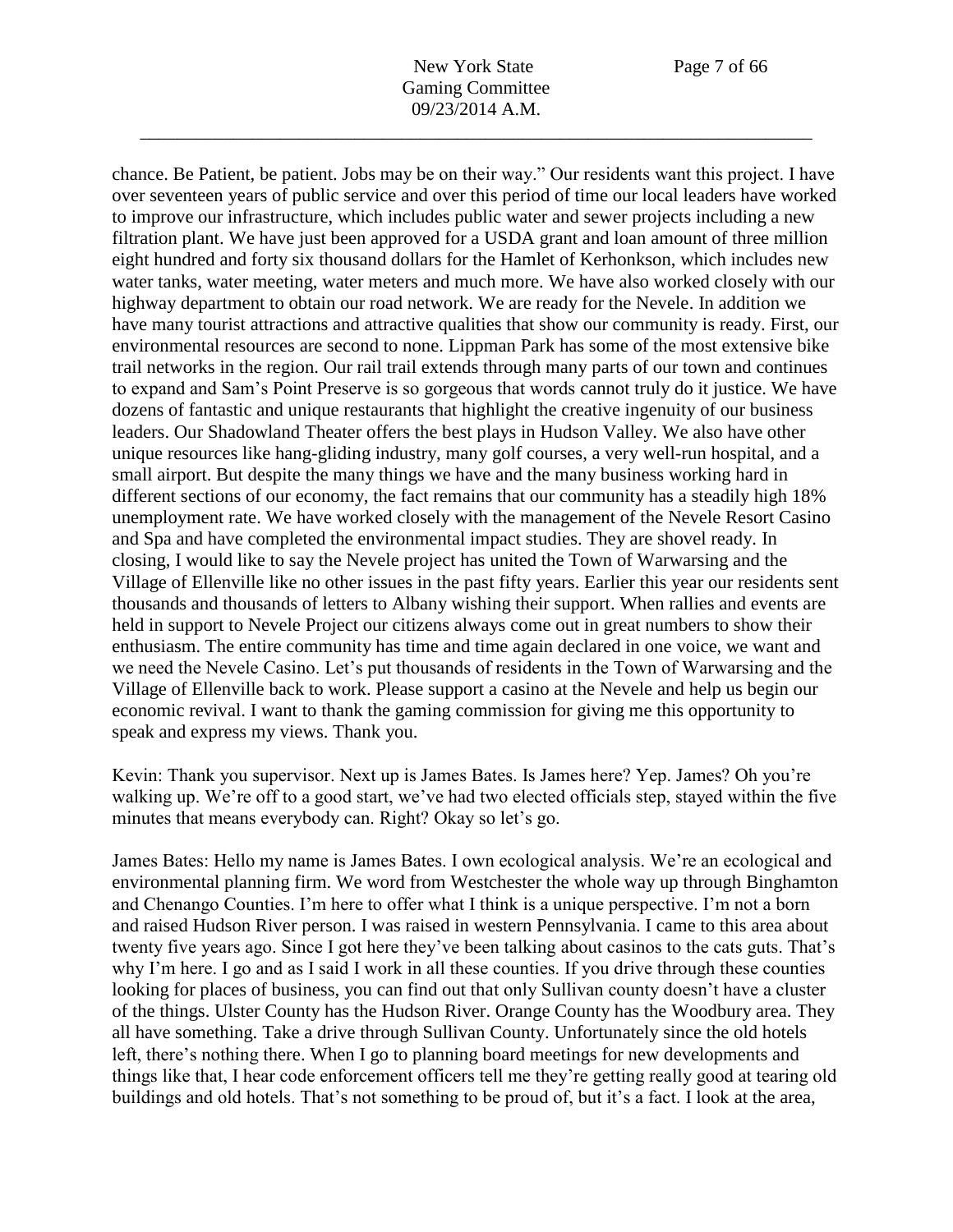chance. Be Patient, be patient. Jobs may be on their way." Our residents want this project. I have over seventeen years of public service and over this period of time our local leaders have worked to improve our infrastructure, which includes public water and sewer projects including a new filtration plant. We have just been approved for a USDA grant and loan amount of three million eight hundred and forty six thousand dollars for the Hamlet of Kerhonkson, which includes new water tanks, water meeting, water meters and much more. We have also worked closely with our highway department to obtain our road network. We are ready for the Nevele. In addition we have many tourist attractions and attractive qualities that show our community is ready. First, our environmental resources are second to none. Lippman Park has some of the most extensive bike trail networks in the region. Our rail trail extends through many parts of our town and continues to expand and Sam's Point Preserve is so gorgeous that words cannot truly do it justice. We have dozens of fantastic and unique restaurants that highlight the creative ingenuity of our business leaders. Our Shadowland Theater offers the best plays in Hudson Valley. We also have other unique resources like hang-gliding industry, many golf courses, a very well-run hospital, and a small airport. But despite the many things we have and the many business working hard in different sections of our economy, the fact remains that our community has a steadily high 18% unemployment rate. We have worked closely with the management of the Nevele Resort Casino and Spa and have completed the environmental impact studies. They are shovel ready. In closing, I would like to say the Nevele project has united the Town of Warwarsing and the Village of Ellenville like no other issues in the past fifty years. Earlier this year our residents sent thousands and thousands of letters to Albany wishing their support. When rallies and events are held in support to Nevele Project our citizens always come out in great numbers to show their enthusiasm. The entire community has time and time again declared in one voice, we want and we need the Nevele Casino. Let's put thousands of residents in the Town of Warwarsing and the Village of Ellenville back to work. Please support a casino at the Nevele and help us begin our economic revival. I want to thank the gaming commission for giving me this opportunity to speak and express my views. Thank you.

Kevin: Thank you supervisor. Next up is James Bates. Is James here? Yep. James? Oh you're walking up. We're off to a good start, we've had two elected officials step, stayed within the five minutes that means everybody can. Right? Okay so let's go.

James Bates: Hello my name is James Bates. I own ecological analysis. We're an ecological and environmental planning firm. We word from Westchester the whole way up through Binghamton and Chenango Counties. I'm here to offer what I think is a unique perspective. I'm not a born and raised Hudson River person. I was raised in western Pennsylvania. I came to this area about twenty five years ago. Since I got here they've been talking about casinos to the cats guts. That's why I'm here. I go and as I said I work in all these counties. If you drive through these counties looking for places of business, you can find out that only Sullivan county doesn't have a cluster of the things. Ulster County has the Hudson River. Orange County has the Woodbury area. They all have something. Take a drive through Sullivan County. Unfortunately since the old hotels left, there's nothing there. When I go to planning board meetings for new developments and things like that, I hear code enforcement officers tell me they're getting really good at tearing old buildings and old hotels. That's not something to be proud of, but it's a fact. I look at the area,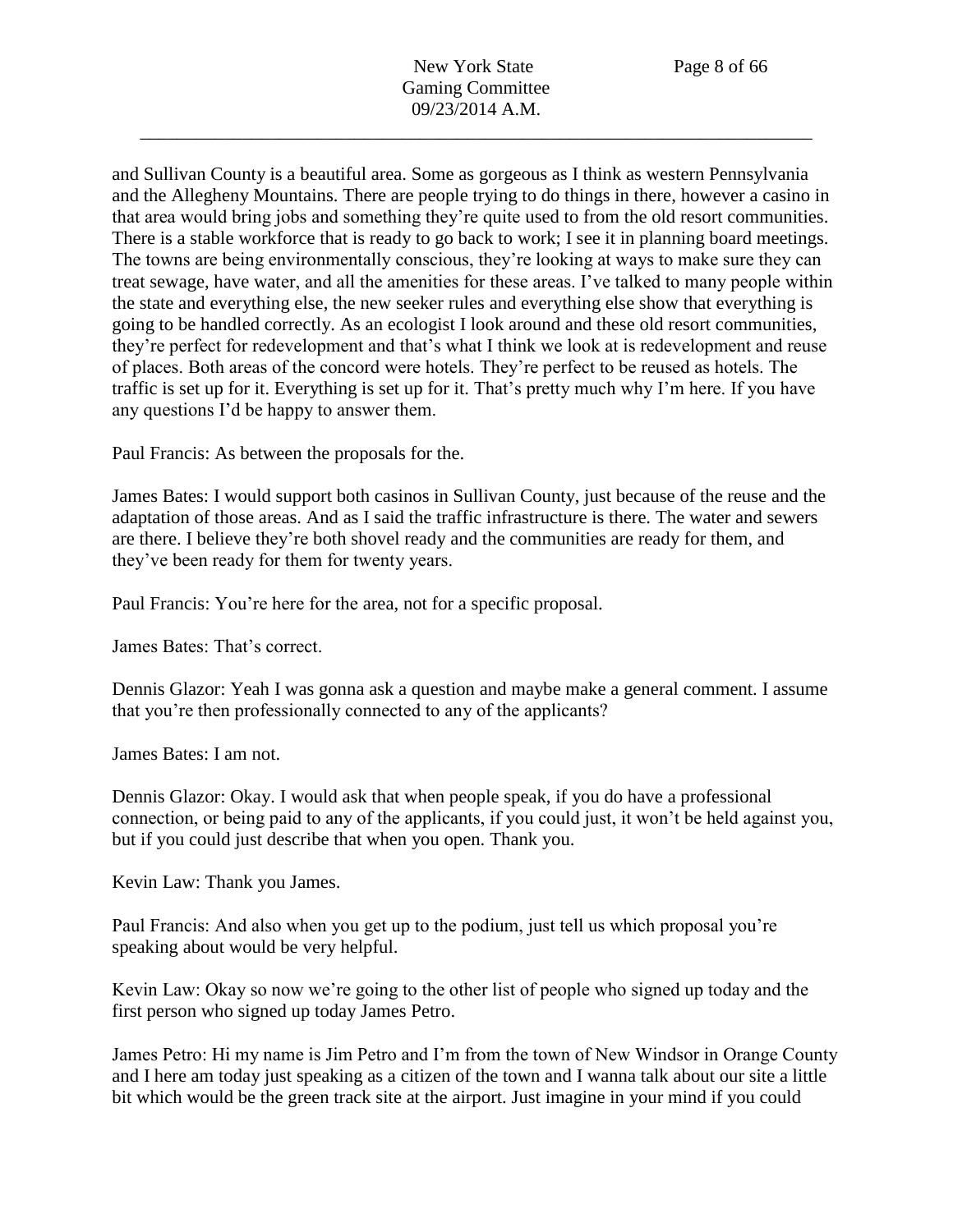and Sullivan County is a beautiful area. Some as gorgeous as I think as western Pennsylvania and the Allegheny Mountains. There are people trying to do things in there, however a casino in that area would bring jobs and something they're quite used to from the old resort communities. There is a stable workforce that is ready to go back to work; I see it in planning board meetings. The towns are being environmentally conscious, they're looking at ways to make sure they can treat sewage, have water, and all the amenities for these areas. I've talked to many people within the state and everything else, the new seeker rules and everything else show that everything is going to be handled correctly. As an ecologist I look around and these old resort communities, they're perfect for redevelopment and that's what I think we look at is redevelopment and reuse of places. Both areas of the concord were hotels. They're perfect to be reused as hotels. The traffic is set up for it. Everything is set up for it. That's pretty much why I'm here. If you have any questions I'd be happy to answer them.

Paul Francis: As between the proposals for the.

James Bates: I would support both casinos in Sullivan County, just because of the reuse and the adaptation of those areas. And as I said the traffic infrastructure is there. The water and sewers are there. I believe they're both shovel ready and the communities are ready for them, and they've been ready for them for twenty years.

Paul Francis: You're here for the area, not for a specific proposal.

James Bates: That's correct.

Dennis Glazor: Yeah I was gonna ask a question and maybe make a general comment. I assume that you're then professionally connected to any of the applicants?

James Bates: I am not.

Dennis Glazor: Okay. I would ask that when people speak, if you do have a professional connection, or being paid to any of the applicants, if you could just, it won't be held against you, but if you could just describe that when you open. Thank you.

Kevin Law: Thank you James.

Paul Francis: And also when you get up to the podium, just tell us which proposal you're speaking about would be very helpful.

Kevin Law: Okay so now we're going to the other list of people who signed up today and the first person who signed up today James Petro.

James Petro: Hi my name is Jim Petro and I'm from the town of New Windsor in Orange County and I here am today just speaking as a citizen of the town and I wanna talk about our site a little bit which would be the green track site at the airport. Just imagine in your mind if you could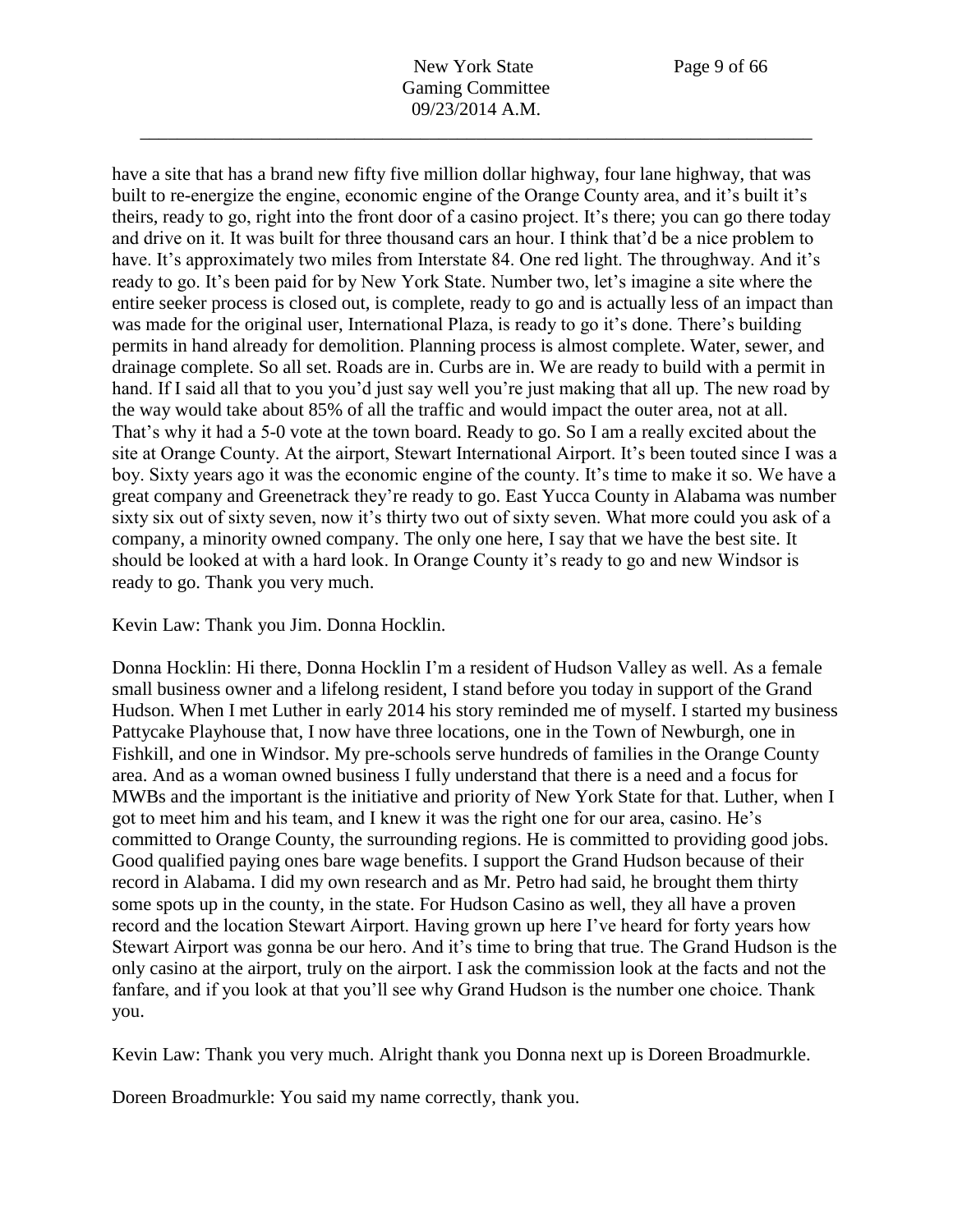have a site that has a brand new fifty five million dollar highway, four lane highway, that was built to re-energize the engine, economic engine of the Orange County area, and it's built it's theirs, ready to go, right into the front door of a casino project. It's there; you can go there today and drive on it. It was built for three thousand cars an hour. I think that'd be a nice problem to have. It's approximately two miles from Interstate 84. One red light. The throughway. And it's ready to go. It's been paid for by New York State. Number two, let's imagine a site where the entire seeker process is closed out, is complete, ready to go and is actually less of an impact than was made for the original user, International Plaza, is ready to go it's done. There's building permits in hand already for demolition. Planning process is almost complete. Water, sewer, and drainage complete. So all set. Roads are in. Curbs are in. We are ready to build with a permit in hand. If I said all that to you you'd just say well you're just making that all up. The new road by the way would take about 85% of all the traffic and would impact the outer area, not at all. That's why it had a 5-0 vote at the town board. Ready to go. So I am a really excited about the site at Orange County. At the airport, Stewart International Airport. It's been touted since I was a boy. Sixty years ago it was the economic engine of the county. It's time to make it so. We have a great company and Greenetrack they're ready to go. East Yucca County in Alabama was number sixty six out of sixty seven, now it's thirty two out of sixty seven. What more could you ask of a company, a minority owned company. The only one here, I say that we have the best site. It should be looked at with a hard look. In Orange County it's ready to go and new Windsor is ready to go. Thank you very much.

Kevin Law: Thank you Jim. Donna Hocklin.

Donna Hocklin: Hi there, Donna Hocklin I'm a resident of Hudson Valley as well. As a female small business owner and a lifelong resident, I stand before you today in support of the Grand Hudson. When I met Luther in early 2014 his story reminded me of myself. I started my business Pattycake Playhouse that, I now have three locations, one in the Town of Newburgh, one in Fishkill, and one in Windsor. My pre-schools serve hundreds of families in the Orange County area. And as a woman owned business I fully understand that there is a need and a focus for MWBs and the important is the initiative and priority of New York State for that. Luther, when I got to meet him and his team, and I knew it was the right one for our area, casino. He's committed to Orange County, the surrounding regions. He is committed to providing good jobs. Good qualified paying ones bare wage benefits. I support the Grand Hudson because of their record in Alabama. I did my own research and as Mr. Petro had said, he brought them thirty some spots up in the county, in the state. For Hudson Casino as well, they all have a proven record and the location Stewart Airport. Having grown up here I've heard for forty years how Stewart Airport was gonna be our hero. And it's time to bring that true. The Grand Hudson is the only casino at the airport, truly on the airport. I ask the commission look at the facts and not the fanfare, and if you look at that you'll see why Grand Hudson is the number one choice. Thank you.

Kevin Law: Thank you very much. Alright thank you Donna next up is Doreen Broadmurkle.

Doreen Broadmurkle: You said my name correctly, thank you.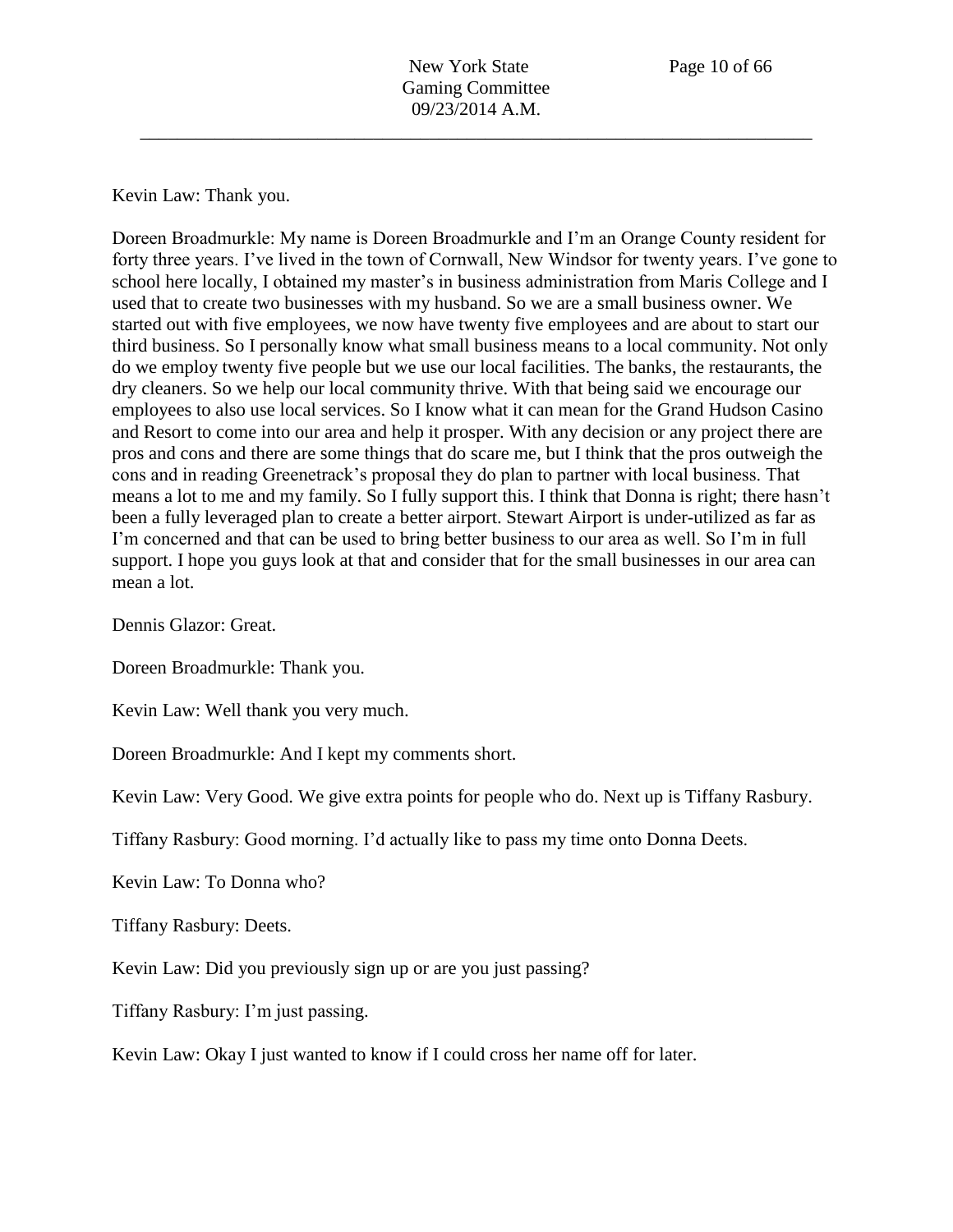Kevin Law: Thank you.

Doreen Broadmurkle: My name is Doreen Broadmurkle and I'm an Orange County resident for forty three years. I've lived in the town of Cornwall, New Windsor for twenty years. I've gone to school here locally, I obtained my master's in business administration from Maris College and I used that to create two businesses with my husband. So we are a small business owner. We started out with five employees, we now have twenty five employees and are about to start our third business. So I personally know what small business means to a local community. Not only do we employ twenty five people but we use our local facilities. The banks, the restaurants, the dry cleaners. So we help our local community thrive. With that being said we encourage our employees to also use local services. So I know what it can mean for the Grand Hudson Casino and Resort to come into our area and help it prosper. With any decision or any project there are pros and cons and there are some things that do scare me, but I think that the pros outweigh the cons and in reading Greenetrack's proposal they do plan to partner with local business. That means a lot to me and my family. So I fully support this. I think that Donna is right; there hasn't been a fully leveraged plan to create a better airport. Stewart Airport is under-utilized as far as I'm concerned and that can be used to bring better business to our area as well. So I'm in full support. I hope you guys look at that and consider that for the small businesses in our area can mean a lot.

Dennis Glazor: Great.

Doreen Broadmurkle: Thank you.

Kevin Law: Well thank you very much.

Doreen Broadmurkle: And I kept my comments short.

Kevin Law: Very Good. We give extra points for people who do. Next up is Tiffany Rasbury.

Tiffany Rasbury: Good morning. I'd actually like to pass my time onto Donna Deets.

Kevin Law: To Donna who?

Tiffany Rasbury: Deets.

Kevin Law: Did you previously sign up or are you just passing?

Tiffany Rasbury: I'm just passing.

Kevin Law: Okay I just wanted to know if I could cross her name off for later.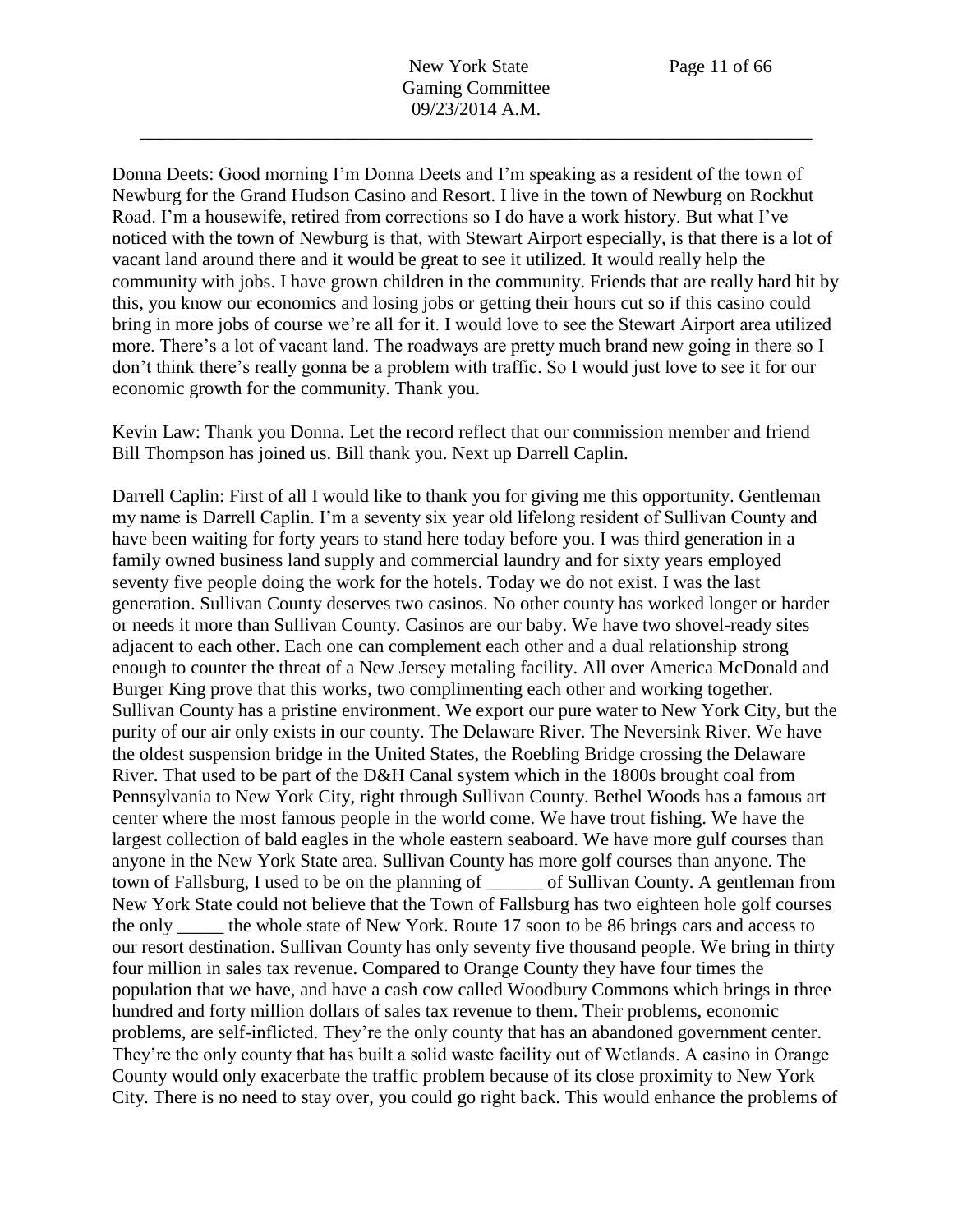New York State Page 11 of 66 Gaming Committee 09/23/2014 A.M.

\_\_\_\_\_\_\_\_\_\_\_\_\_\_\_\_\_\_\_\_\_\_\_\_\_\_\_\_\_\_\_\_\_\_\_\_\_\_\_\_\_\_\_\_\_\_\_\_\_\_\_\_\_\_\_\_\_\_\_\_\_\_\_\_\_\_\_\_\_\_\_\_

Donna Deets: Good morning I'm Donna Deets and I'm speaking as a resident of the town of Newburg for the Grand Hudson Casino and Resort. I live in the town of Newburg on Rockhut Road. I'm a housewife, retired from corrections so I do have a work history. But what I've noticed with the town of Newburg is that, with Stewart Airport especially, is that there is a lot of vacant land around there and it would be great to see it utilized. It would really help the community with jobs. I have grown children in the community. Friends that are really hard hit by this, you know our economics and losing jobs or getting their hours cut so if this casino could bring in more jobs of course we're all for it. I would love to see the Stewart Airport area utilized more. There's a lot of vacant land. The roadways are pretty much brand new going in there so I don't think there's really gonna be a problem with traffic. So I would just love to see it for our economic growth for the community. Thank you.

Kevin Law: Thank you Donna. Let the record reflect that our commission member and friend Bill Thompson has joined us. Bill thank you. Next up Darrell Caplin.

Darrell Caplin: First of all I would like to thank you for giving me this opportunity. Gentleman my name is Darrell Caplin. I'm a seventy six year old lifelong resident of Sullivan County and have been waiting for forty years to stand here today before you. I was third generation in a family owned business land supply and commercial laundry and for sixty years employed seventy five people doing the work for the hotels. Today we do not exist. I was the last generation. Sullivan County deserves two casinos. No other county has worked longer or harder or needs it more than Sullivan County. Casinos are our baby. We have two shovel-ready sites adjacent to each other. Each one can complement each other and a dual relationship strong enough to counter the threat of a New Jersey metaling facility. All over America McDonald and Burger King prove that this works, two complimenting each other and working together. Sullivan County has a pristine environment. We export our pure water to New York City, but the purity of our air only exists in our county. The Delaware River. The Neversink River. We have the oldest suspension bridge in the United States, the Roebling Bridge crossing the Delaware River. That used to be part of the D&H Canal system which in the 1800s brought coal from Pennsylvania to New York City, right through Sullivan County. Bethel Woods has a famous art center where the most famous people in the world come. We have trout fishing. We have the largest collection of bald eagles in the whole eastern seaboard. We have more gulf courses than anyone in the New York State area. Sullivan County has more golf courses than anyone. The town of Fallsburg, I used to be on the planning of \_\_\_\_\_\_ of Sullivan County. A gentleman from New York State could not believe that the Town of Fallsburg has two eighteen hole golf courses the only the whole state of New York. Route 17 soon to be 86 brings cars and access to our resort destination. Sullivan County has only seventy five thousand people. We bring in thirty four million in sales tax revenue. Compared to Orange County they have four times the population that we have, and have a cash cow called Woodbury Commons which brings in three hundred and forty million dollars of sales tax revenue to them. Their problems, economic problems, are self-inflicted. They're the only county that has an abandoned government center. They're the only county that has built a solid waste facility out of Wetlands. A casino in Orange County would only exacerbate the traffic problem because of its close proximity to New York City. There is no need to stay over, you could go right back. This would enhance the problems of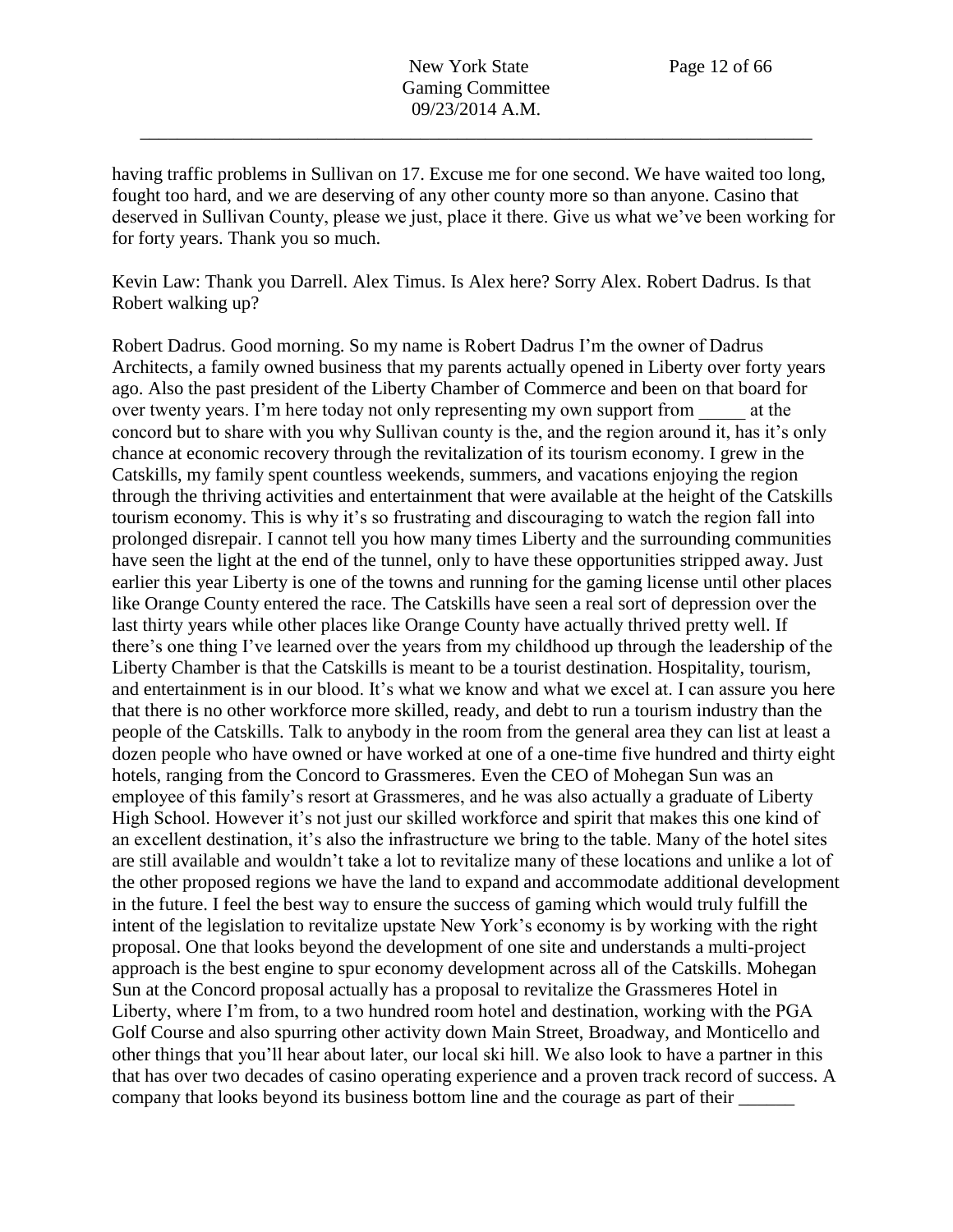having traffic problems in Sullivan on 17. Excuse me for one second. We have waited too long, fought too hard, and we are deserving of any other county more so than anyone. Casino that deserved in Sullivan County, please we just, place it there. Give us what we've been working for for forty years. Thank you so much.

Kevin Law: Thank you Darrell. Alex Timus. Is Alex here? Sorry Alex. Robert Dadrus. Is that Robert walking up?

Robert Dadrus. Good morning. So my name is Robert Dadrus I'm the owner of Dadrus Architects, a family owned business that my parents actually opened in Liberty over forty years ago. Also the past president of the Liberty Chamber of Commerce and been on that board for over twenty years. I'm here today not only representing my own support from at the concord but to share with you why Sullivan county is the, and the region around it, has it's only chance at economic recovery through the revitalization of its tourism economy. I grew in the Catskills, my family spent countless weekends, summers, and vacations enjoying the region through the thriving activities and entertainment that were available at the height of the Catskills tourism economy. This is why it's so frustrating and discouraging to watch the region fall into prolonged disrepair. I cannot tell you how many times Liberty and the surrounding communities have seen the light at the end of the tunnel, only to have these opportunities stripped away. Just earlier this year Liberty is one of the towns and running for the gaming license until other places like Orange County entered the race. The Catskills have seen a real sort of depression over the last thirty years while other places like Orange County have actually thrived pretty well. If there's one thing I've learned over the years from my childhood up through the leadership of the Liberty Chamber is that the Catskills is meant to be a tourist destination. Hospitality, tourism, and entertainment is in our blood. It's what we know and what we excel at. I can assure you here that there is no other workforce more skilled, ready, and debt to run a tourism industry than the people of the Catskills. Talk to anybody in the room from the general area they can list at least a dozen people who have owned or have worked at one of a one-time five hundred and thirty eight hotels, ranging from the Concord to Grassmeres. Even the CEO of Mohegan Sun was an employee of this family's resort at Grassmeres, and he was also actually a graduate of Liberty High School. However it's not just our skilled workforce and spirit that makes this one kind of an excellent destination, it's also the infrastructure we bring to the table. Many of the hotel sites are still available and wouldn't take a lot to revitalize many of these locations and unlike a lot of the other proposed regions we have the land to expand and accommodate additional development in the future. I feel the best way to ensure the success of gaming which would truly fulfill the intent of the legislation to revitalize upstate New York's economy is by working with the right proposal. One that looks beyond the development of one site and understands a multi-project approach is the best engine to spur economy development across all of the Catskills. Mohegan Sun at the Concord proposal actually has a proposal to revitalize the Grassmeres Hotel in Liberty, where I'm from, to a two hundred room hotel and destination, working with the PGA Golf Course and also spurring other activity down Main Street, Broadway, and Monticello and other things that you'll hear about later, our local ski hill. We also look to have a partner in this that has over two decades of casino operating experience and a proven track record of success. A company that looks beyond its business bottom line and the courage as part of their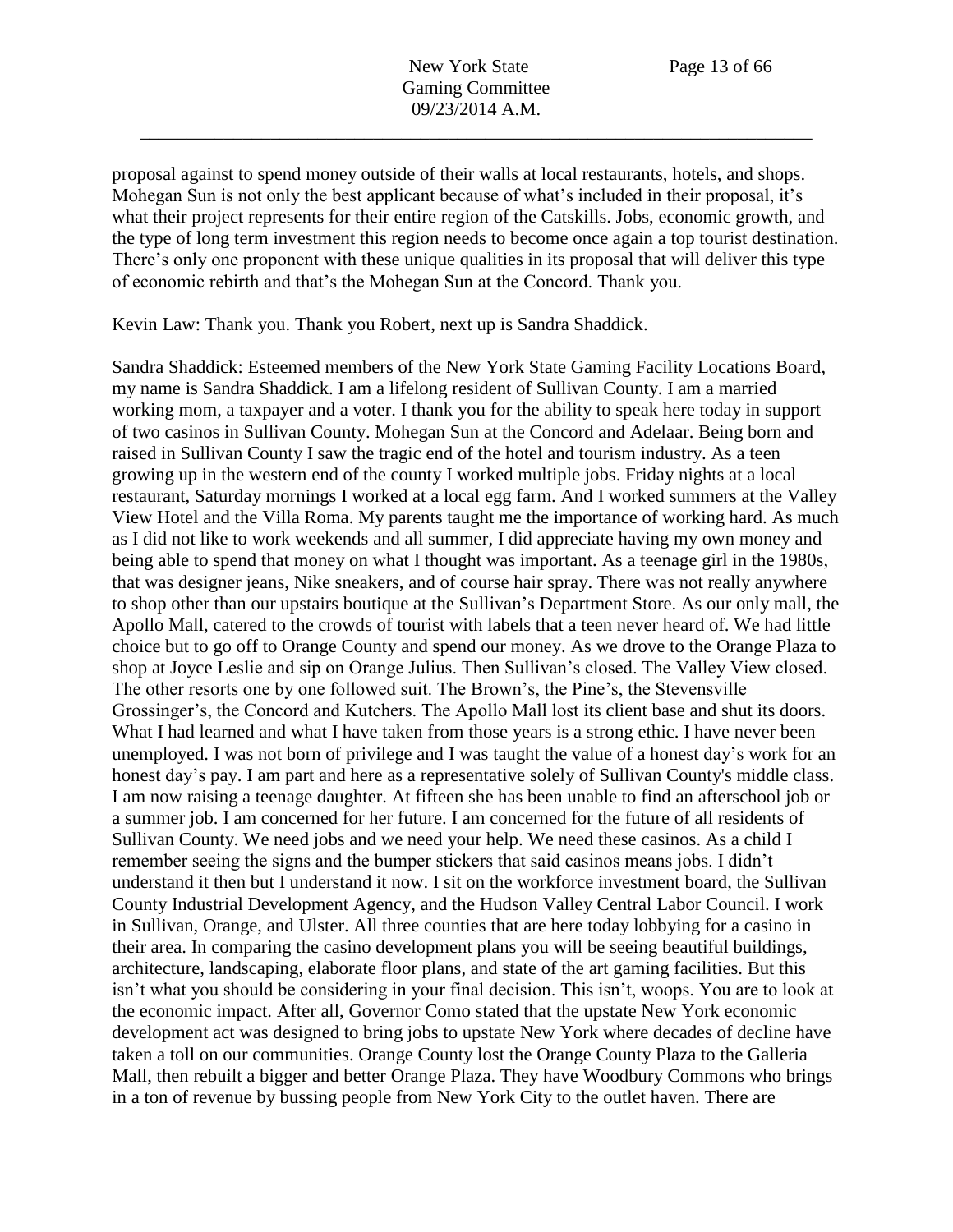proposal against to spend money outside of their walls at local restaurants, hotels, and shops. Mohegan Sun is not only the best applicant because of what's included in their proposal, it's what their project represents for their entire region of the Catskills. Jobs, economic growth, and the type of long term investment this region needs to become once again a top tourist destination. There's only one proponent with these unique qualities in its proposal that will deliver this type of economic rebirth and that's the Mohegan Sun at the Concord. Thank you.

Kevin Law: Thank you. Thank you Robert, next up is Sandra Shaddick.

Sandra Shaddick: Esteemed members of the New York State Gaming Facility Locations Board, my name is Sandra Shaddick. I am a lifelong resident of Sullivan County. I am a married working mom, a taxpayer and a voter. I thank you for the ability to speak here today in support of two casinos in Sullivan County. Mohegan Sun at the Concord and Adelaar. Being born and raised in Sullivan County I saw the tragic end of the hotel and tourism industry. As a teen growing up in the western end of the county I worked multiple jobs. Friday nights at a local restaurant, Saturday mornings I worked at a local egg farm. And I worked summers at the Valley View Hotel and the Villa Roma. My parents taught me the importance of working hard. As much as I did not like to work weekends and all summer, I did appreciate having my own money and being able to spend that money on what I thought was important. As a teenage girl in the 1980s, that was designer jeans, Nike sneakers, and of course hair spray. There was not really anywhere to shop other than our upstairs boutique at the Sullivan's Department Store. As our only mall, the Apollo Mall, catered to the crowds of tourist with labels that a teen never heard of. We had little choice but to go off to Orange County and spend our money. As we drove to the Orange Plaza to shop at Joyce Leslie and sip on Orange Julius. Then Sullivan's closed. The Valley View closed. The other resorts one by one followed suit. The Brown's, the Pine's, the Stevensville Grossinger's, the Concord and Kutchers. The Apollo Mall lost its client base and shut its doors. What I had learned and what I have taken from those years is a strong ethic. I have never been unemployed. I was not born of privilege and I was taught the value of a honest day's work for an honest day's pay. I am part and here as a representative solely of Sullivan County's middle class. I am now raising a teenage daughter. At fifteen she has been unable to find an afterschool job or a summer job. I am concerned for her future. I am concerned for the future of all residents of Sullivan County. We need jobs and we need your help. We need these casinos. As a child I remember seeing the signs and the bumper stickers that said casinos means jobs. I didn't understand it then but I understand it now. I sit on the workforce investment board, the Sullivan County Industrial Development Agency, and the Hudson Valley Central Labor Council. I work in Sullivan, Orange, and Ulster. All three counties that are here today lobbying for a casino in their area. In comparing the casino development plans you will be seeing beautiful buildings, architecture, landscaping, elaborate floor plans, and state of the art gaming facilities. But this isn't what you should be considering in your final decision. This isn't, woops. You are to look at the economic impact. After all, Governor Como stated that the upstate New York economic development act was designed to bring jobs to upstate New York where decades of decline have taken a toll on our communities. Orange County lost the Orange County Plaza to the Galleria Mall, then rebuilt a bigger and better Orange Plaza. They have Woodbury Commons who brings in a ton of revenue by bussing people from New York City to the outlet haven. There are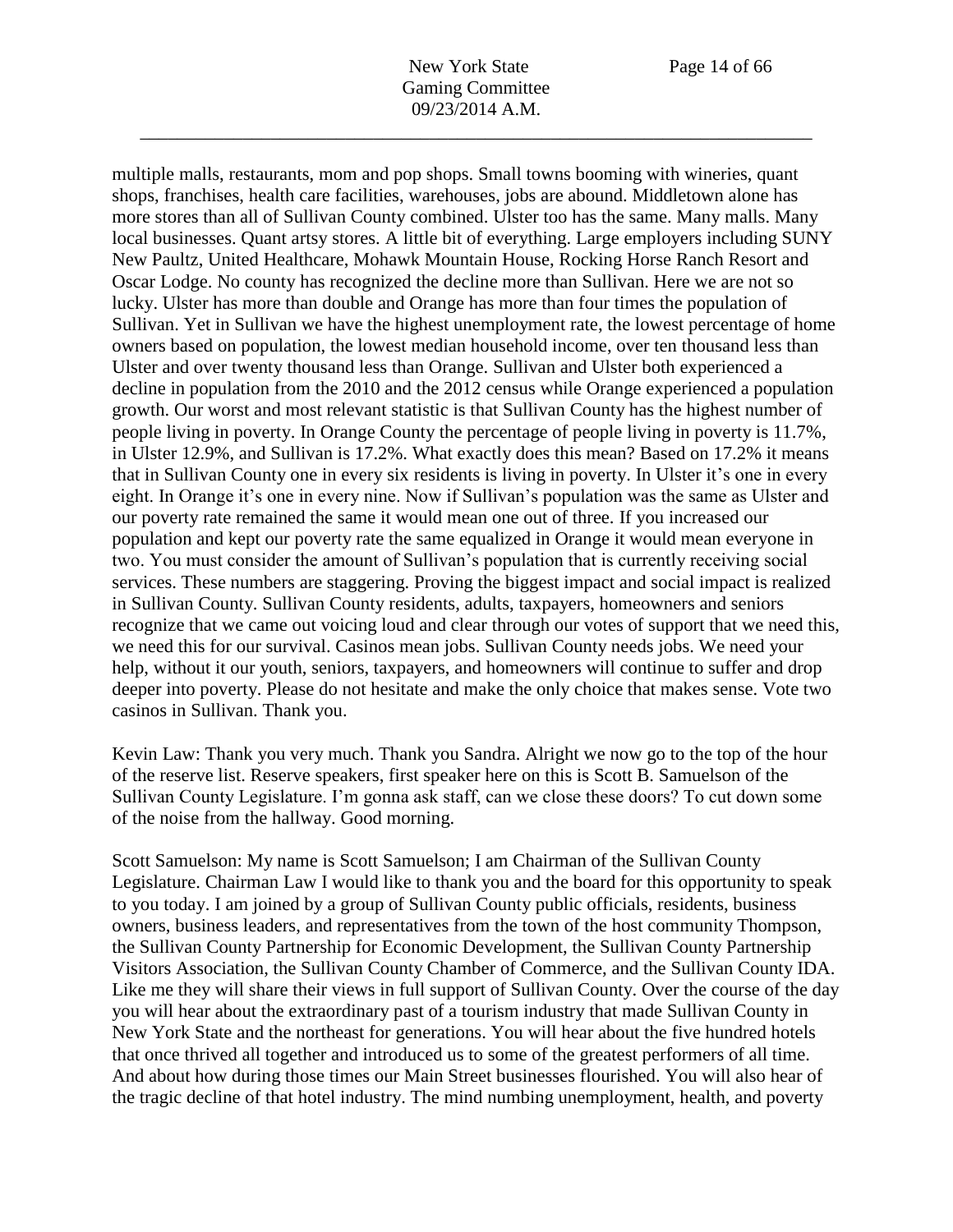multiple malls, restaurants, mom and pop shops. Small towns booming with wineries, quant shops, franchises, health care facilities, warehouses, jobs are abound. Middletown alone has more stores than all of Sullivan County combined. Ulster too has the same. Many malls. Many local businesses. Quant artsy stores. A little bit of everything. Large employers including SUNY New Paultz, United Healthcare, Mohawk Mountain House, Rocking Horse Ranch Resort and Oscar Lodge. No county has recognized the decline more than Sullivan. Here we are not so lucky. Ulster has more than double and Orange has more than four times the population of Sullivan. Yet in Sullivan we have the highest unemployment rate, the lowest percentage of home owners based on population, the lowest median household income, over ten thousand less than Ulster and over twenty thousand less than Orange. Sullivan and Ulster both experienced a decline in population from the 2010 and the 2012 census while Orange experienced a population growth. Our worst and most relevant statistic is that Sullivan County has the highest number of people living in poverty. In Orange County the percentage of people living in poverty is 11.7%, in Ulster 12.9%, and Sullivan is 17.2%. What exactly does this mean? Based on 17.2% it means that in Sullivan County one in every six residents is living in poverty. In Ulster it's one in every eight. In Orange it's one in every nine. Now if Sullivan's population was the same as Ulster and our poverty rate remained the same it would mean one out of three. If you increased our population and kept our poverty rate the same equalized in Orange it would mean everyone in two. You must consider the amount of Sullivan's population that is currently receiving social services. These numbers are staggering. Proving the biggest impact and social impact is realized in Sullivan County. Sullivan County residents, adults, taxpayers, homeowners and seniors recognize that we came out voicing loud and clear through our votes of support that we need this, we need this for our survival. Casinos mean jobs. Sullivan County needs jobs. We need your help, without it our youth, seniors, taxpayers, and homeowners will continue to suffer and drop deeper into poverty. Please do not hesitate and make the only choice that makes sense. Vote two casinos in Sullivan. Thank you.

Kevin Law: Thank you very much. Thank you Sandra. Alright we now go to the top of the hour of the reserve list. Reserve speakers, first speaker here on this is Scott B. Samuelson of the Sullivan County Legislature. I'm gonna ask staff, can we close these doors? To cut down some of the noise from the hallway. Good morning.

Scott Samuelson: My name is Scott Samuelson; I am Chairman of the Sullivan County Legislature. Chairman Law I would like to thank you and the board for this opportunity to speak to you today. I am joined by a group of Sullivan County public officials, residents, business owners, business leaders, and representatives from the town of the host community Thompson, the Sullivan County Partnership for Economic Development, the Sullivan County Partnership Visitors Association, the Sullivan County Chamber of Commerce, and the Sullivan County IDA. Like me they will share their views in full support of Sullivan County. Over the course of the day you will hear about the extraordinary past of a tourism industry that made Sullivan County in New York State and the northeast for generations. You will hear about the five hundred hotels that once thrived all together and introduced us to some of the greatest performers of all time. And about how during those times our Main Street businesses flourished. You will also hear of the tragic decline of that hotel industry. The mind numbing unemployment, health, and poverty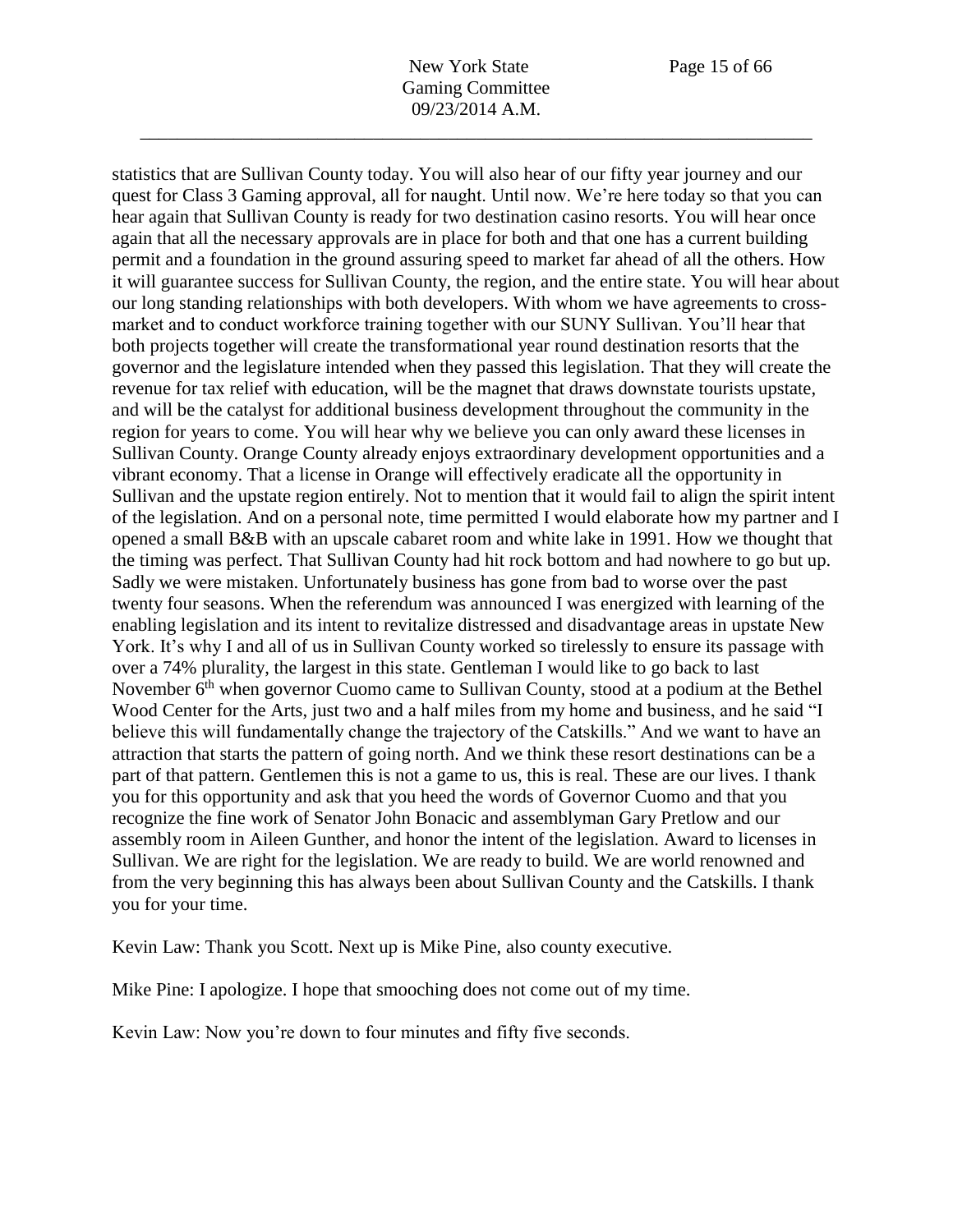statistics that are Sullivan County today. You will also hear of our fifty year journey and our quest for Class 3 Gaming approval, all for naught. Until now. We're here today so that you can hear again that Sullivan County is ready for two destination casino resorts. You will hear once again that all the necessary approvals are in place for both and that one has a current building permit and a foundation in the ground assuring speed to market far ahead of all the others. How it will guarantee success for Sullivan County, the region, and the entire state. You will hear about our long standing relationships with both developers. With whom we have agreements to crossmarket and to conduct workforce training together with our SUNY Sullivan. You'll hear that both projects together will create the transformational year round destination resorts that the governor and the legislature intended when they passed this legislation. That they will create the revenue for tax relief with education, will be the magnet that draws downstate tourists upstate, and will be the catalyst for additional business development throughout the community in the region for years to come. You will hear why we believe you can only award these licenses in Sullivan County. Orange County already enjoys extraordinary development opportunities and a vibrant economy. That a license in Orange will effectively eradicate all the opportunity in Sullivan and the upstate region entirely. Not to mention that it would fail to align the spirit intent of the legislation. And on a personal note, time permitted I would elaborate how my partner and I opened a small B&B with an upscale cabaret room and white lake in 1991. How we thought that the timing was perfect. That Sullivan County had hit rock bottom and had nowhere to go but up. Sadly we were mistaken. Unfortunately business has gone from bad to worse over the past twenty four seasons. When the referendum was announced I was energized with learning of the enabling legislation and its intent to revitalize distressed and disadvantage areas in upstate New York. It's why I and all of us in Sullivan County worked so tirelessly to ensure its passage with over a 74% plurality, the largest in this state. Gentleman I would like to go back to last November 6<sup>th</sup> when governor Cuomo came to Sullivan County, stood at a podium at the Bethel Wood Center for the Arts, just two and a half miles from my home and business, and he said "I believe this will fundamentally change the trajectory of the Catskills." And we want to have an attraction that starts the pattern of going north. And we think these resort destinations can be a part of that pattern. Gentlemen this is not a game to us, this is real. These are our lives. I thank you for this opportunity and ask that you heed the words of Governor Cuomo and that you recognize the fine work of Senator John Bonacic and assemblyman Gary Pretlow and our assembly room in Aileen Gunther, and honor the intent of the legislation. Award to licenses in Sullivan. We are right for the legislation. We are ready to build. We are world renowned and from the very beginning this has always been about Sullivan County and the Catskills. I thank you for your time.

Kevin Law: Thank you Scott. Next up is Mike Pine, also county executive.

Mike Pine: I apologize. I hope that smooching does not come out of my time.

Kevin Law: Now you're down to four minutes and fifty five seconds.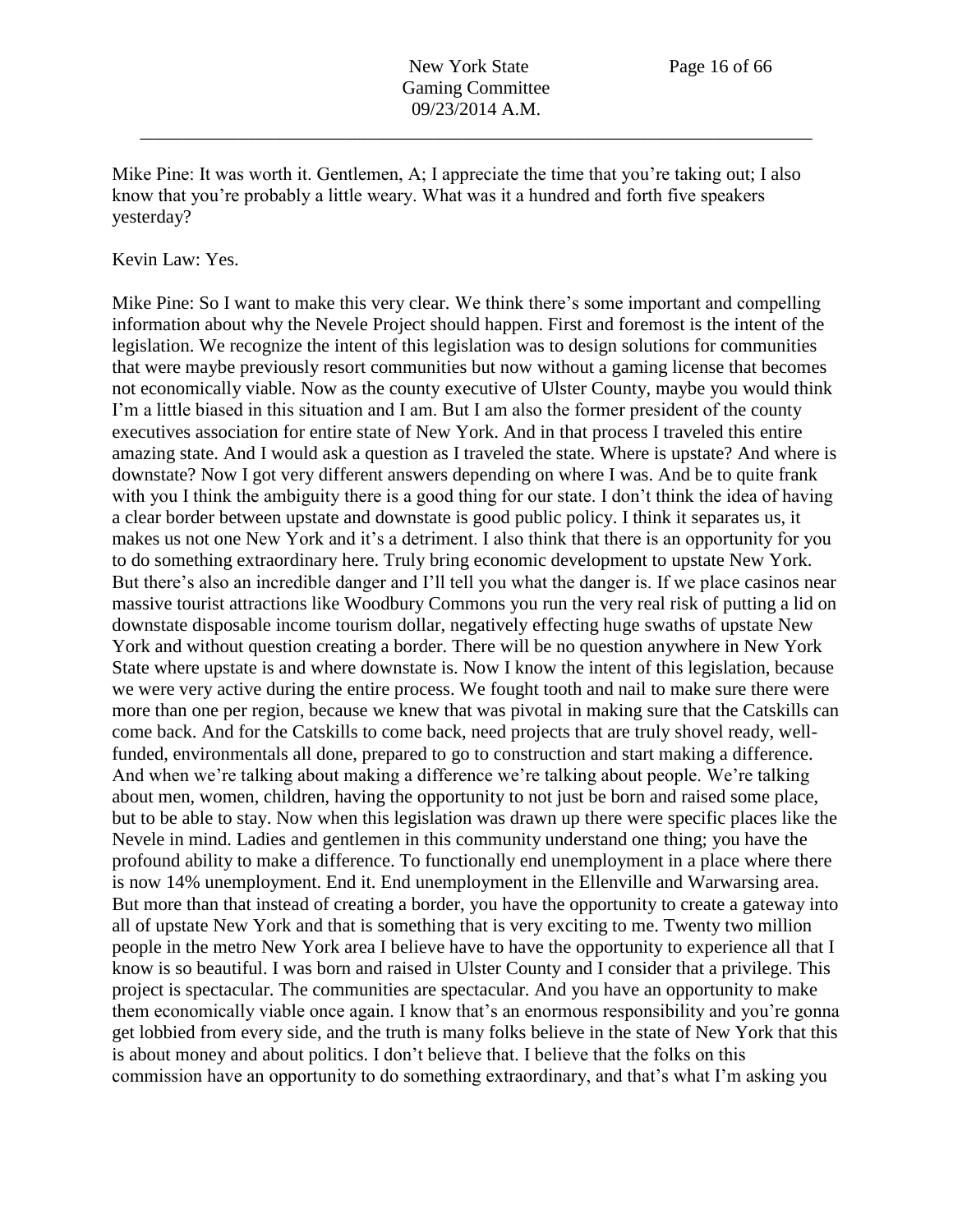Mike Pine: It was worth it. Gentlemen, A; I appreciate the time that you're taking out; I also know that you're probably a little weary. What was it a hundred and forth five speakers yesterday?

#### Kevin Law: Yes.

Mike Pine: So I want to make this very clear. We think there's some important and compelling information about why the Nevele Project should happen. First and foremost is the intent of the legislation. We recognize the intent of this legislation was to design solutions for communities that were maybe previously resort communities but now without a gaming license that becomes not economically viable. Now as the county executive of Ulster County, maybe you would think I'm a little biased in this situation and I am. But I am also the former president of the county executives association for entire state of New York. And in that process I traveled this entire amazing state. And I would ask a question as I traveled the state. Where is upstate? And where is downstate? Now I got very different answers depending on where I was. And be to quite frank with you I think the ambiguity there is a good thing for our state. I don't think the idea of having a clear border between upstate and downstate is good public policy. I think it separates us, it makes us not one New York and it's a detriment. I also think that there is an opportunity for you to do something extraordinary here. Truly bring economic development to upstate New York. But there's also an incredible danger and I'll tell you what the danger is. If we place casinos near massive tourist attractions like Woodbury Commons you run the very real risk of putting a lid on downstate disposable income tourism dollar, negatively effecting huge swaths of upstate New York and without question creating a border. There will be no question anywhere in New York State where upstate is and where downstate is. Now I know the intent of this legislation, because we were very active during the entire process. We fought tooth and nail to make sure there were more than one per region, because we knew that was pivotal in making sure that the Catskills can come back. And for the Catskills to come back, need projects that are truly shovel ready, wellfunded, environmentals all done, prepared to go to construction and start making a difference. And when we're talking about making a difference we're talking about people. We're talking about men, women, children, having the opportunity to not just be born and raised some place, but to be able to stay. Now when this legislation was drawn up there were specific places like the Nevele in mind. Ladies and gentlemen in this community understand one thing; you have the profound ability to make a difference. To functionally end unemployment in a place where there is now 14% unemployment. End it. End unemployment in the Ellenville and Warwarsing area. But more than that instead of creating a border, you have the opportunity to create a gateway into all of upstate New York and that is something that is very exciting to me. Twenty two million people in the metro New York area I believe have to have the opportunity to experience all that I know is so beautiful. I was born and raised in Ulster County and I consider that a privilege. This project is spectacular. The communities are spectacular. And you have an opportunity to make them economically viable once again. I know that's an enormous responsibility and you're gonna get lobbied from every side, and the truth is many folks believe in the state of New York that this is about money and about politics. I don't believe that. I believe that the folks on this commission have an opportunity to do something extraordinary, and that's what I'm asking you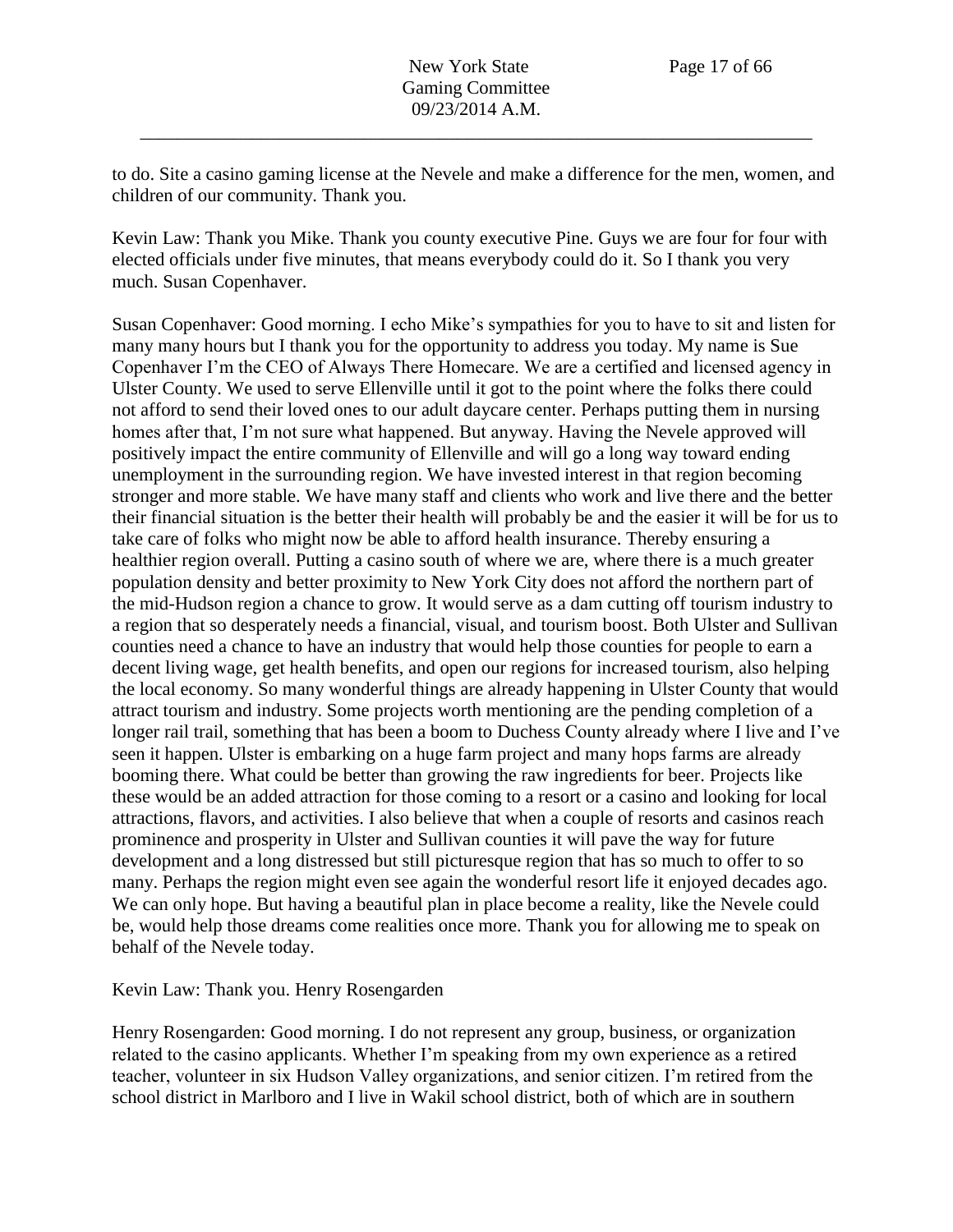to do. Site a casino gaming license at the Nevele and make a difference for the men, women, and children of our community. Thank you.

Kevin Law: Thank you Mike. Thank you county executive Pine. Guys we are four for four with elected officials under five minutes, that means everybody could do it. So I thank you very much. Susan Copenhaver.

Susan Copenhaver: Good morning. I echo Mike's sympathies for you to have to sit and listen for many many hours but I thank you for the opportunity to address you today. My name is Sue Copenhaver I'm the CEO of Always There Homecare. We are a certified and licensed agency in Ulster County. We used to serve Ellenville until it got to the point where the folks there could not afford to send their loved ones to our adult daycare center. Perhaps putting them in nursing homes after that, I'm not sure what happened. But anyway. Having the Nevele approved will positively impact the entire community of Ellenville and will go a long way toward ending unemployment in the surrounding region. We have invested interest in that region becoming stronger and more stable. We have many staff and clients who work and live there and the better their financial situation is the better their health will probably be and the easier it will be for us to take care of folks who might now be able to afford health insurance. Thereby ensuring a healthier region overall. Putting a casino south of where we are, where there is a much greater population density and better proximity to New York City does not afford the northern part of the mid-Hudson region a chance to grow. It would serve as a dam cutting off tourism industry to a region that so desperately needs a financial, visual, and tourism boost. Both Ulster and Sullivan counties need a chance to have an industry that would help those counties for people to earn a decent living wage, get health benefits, and open our regions for increased tourism, also helping the local economy. So many wonderful things are already happening in Ulster County that would attract tourism and industry. Some projects worth mentioning are the pending completion of a longer rail trail, something that has been a boom to Duchess County already where I live and I've seen it happen. Ulster is embarking on a huge farm project and many hops farms are already booming there. What could be better than growing the raw ingredients for beer. Projects like these would be an added attraction for those coming to a resort or a casino and looking for local attractions, flavors, and activities. I also believe that when a couple of resorts and casinos reach prominence and prosperity in Ulster and Sullivan counties it will pave the way for future development and a long distressed but still picturesque region that has so much to offer to so many. Perhaps the region might even see again the wonderful resort life it enjoyed decades ago. We can only hope. But having a beautiful plan in place become a reality, like the Nevele could be, would help those dreams come realities once more. Thank you for allowing me to speak on behalf of the Nevele today.

Kevin Law: Thank you. Henry Rosengarden

Henry Rosengarden: Good morning. I do not represent any group, business, or organization related to the casino applicants. Whether I'm speaking from my own experience as a retired teacher, volunteer in six Hudson Valley organizations, and senior citizen. I'm retired from the school district in Marlboro and I live in Wakil school district, both of which are in southern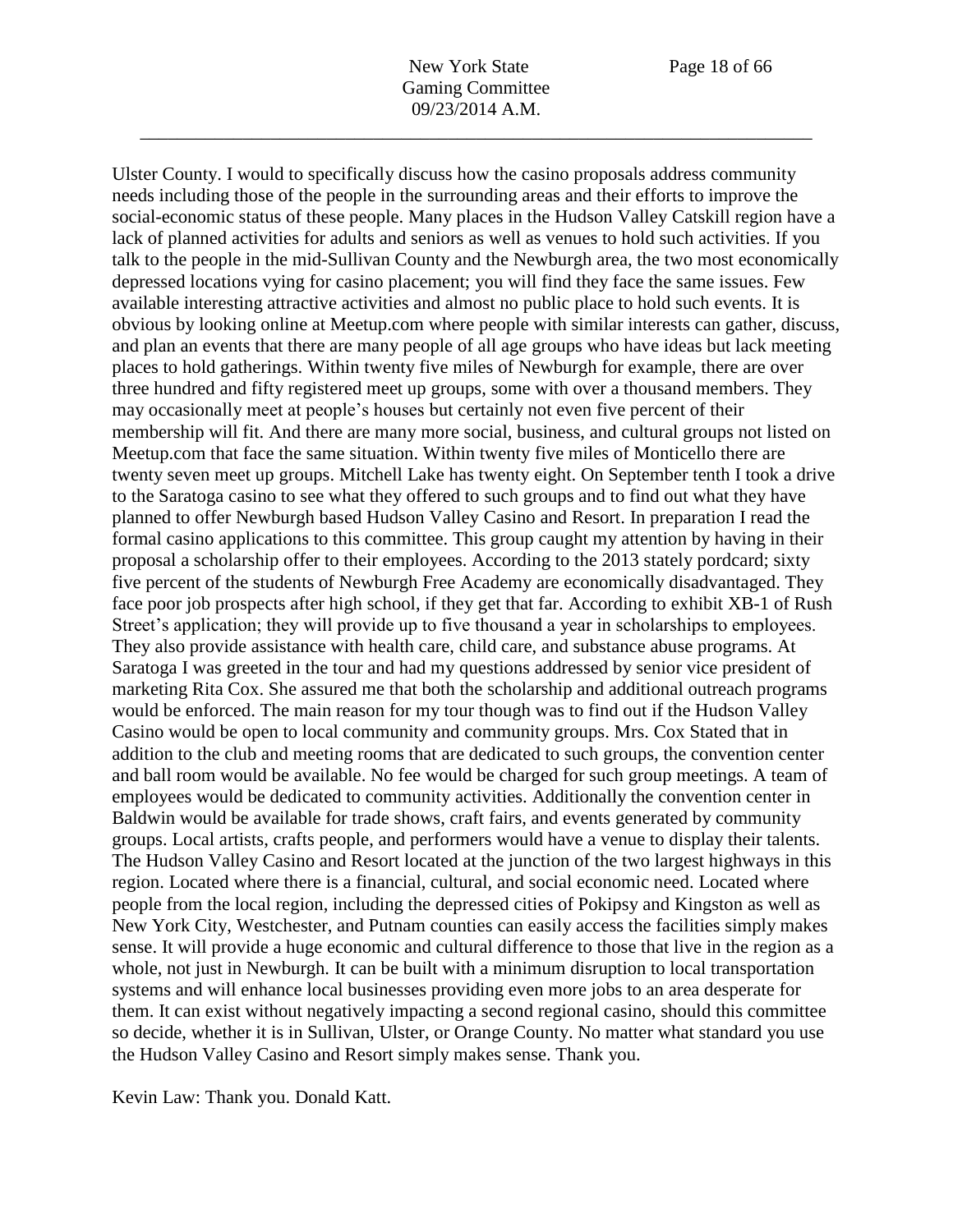Ulster County. I would to specifically discuss how the casino proposals address community

needs including those of the people in the surrounding areas and their efforts to improve the social-economic status of these people. Many places in the Hudson Valley Catskill region have a lack of planned activities for adults and seniors as well as venues to hold such activities. If you talk to the people in the mid-Sullivan County and the Newburgh area, the two most economically depressed locations vying for casino placement; you will find they face the same issues. Few available interesting attractive activities and almost no public place to hold such events. It is obvious by looking online at Meetup.com where people with similar interests can gather, discuss, and plan an events that there are many people of all age groups who have ideas but lack meeting places to hold gatherings. Within twenty five miles of Newburgh for example, there are over three hundred and fifty registered meet up groups, some with over a thousand members. They may occasionally meet at people's houses but certainly not even five percent of their membership will fit. And there are many more social, business, and cultural groups not listed on Meetup.com that face the same situation. Within twenty five miles of Monticello there are twenty seven meet up groups. Mitchell Lake has twenty eight. On September tenth I took a drive to the Saratoga casino to see what they offered to such groups and to find out what they have planned to offer Newburgh based Hudson Valley Casino and Resort. In preparation I read the formal casino applications to this committee. This group caught my attention by having in their proposal a scholarship offer to their employees. According to the 2013 stately pordcard; sixty five percent of the students of Newburgh Free Academy are economically disadvantaged. They face poor job prospects after high school, if they get that far. According to exhibit XB-1 of Rush Street's application; they will provide up to five thousand a year in scholarships to employees. They also provide assistance with health care, child care, and substance abuse programs. At Saratoga I was greeted in the tour and had my questions addressed by senior vice president of marketing Rita Cox. She assured me that both the scholarship and additional outreach programs would be enforced. The main reason for my tour though was to find out if the Hudson Valley Casino would be open to local community and community groups. Mrs. Cox Stated that in addition to the club and meeting rooms that are dedicated to such groups, the convention center and ball room would be available. No fee would be charged for such group meetings. A team of employees would be dedicated to community activities. Additionally the convention center in Baldwin would be available for trade shows, craft fairs, and events generated by community groups. Local artists, crafts people, and performers would have a venue to display their talents. The Hudson Valley Casino and Resort located at the junction of the two largest highways in this region. Located where there is a financial, cultural, and social economic need. Located where people from the local region, including the depressed cities of Pokipsy and Kingston as well as New York City, Westchester, and Putnam counties can easily access the facilities simply makes sense. It will provide a huge economic and cultural difference to those that live in the region as a whole, not just in Newburgh. It can be built with a minimum disruption to local transportation systems and will enhance local businesses providing even more jobs to an area desperate for them. It can exist without negatively impacting a second regional casino, should this committee so decide, whether it is in Sullivan, Ulster, or Orange County. No matter what standard you use the Hudson Valley Casino and Resort simply makes sense. Thank you.

Kevin Law: Thank you. Donald Katt.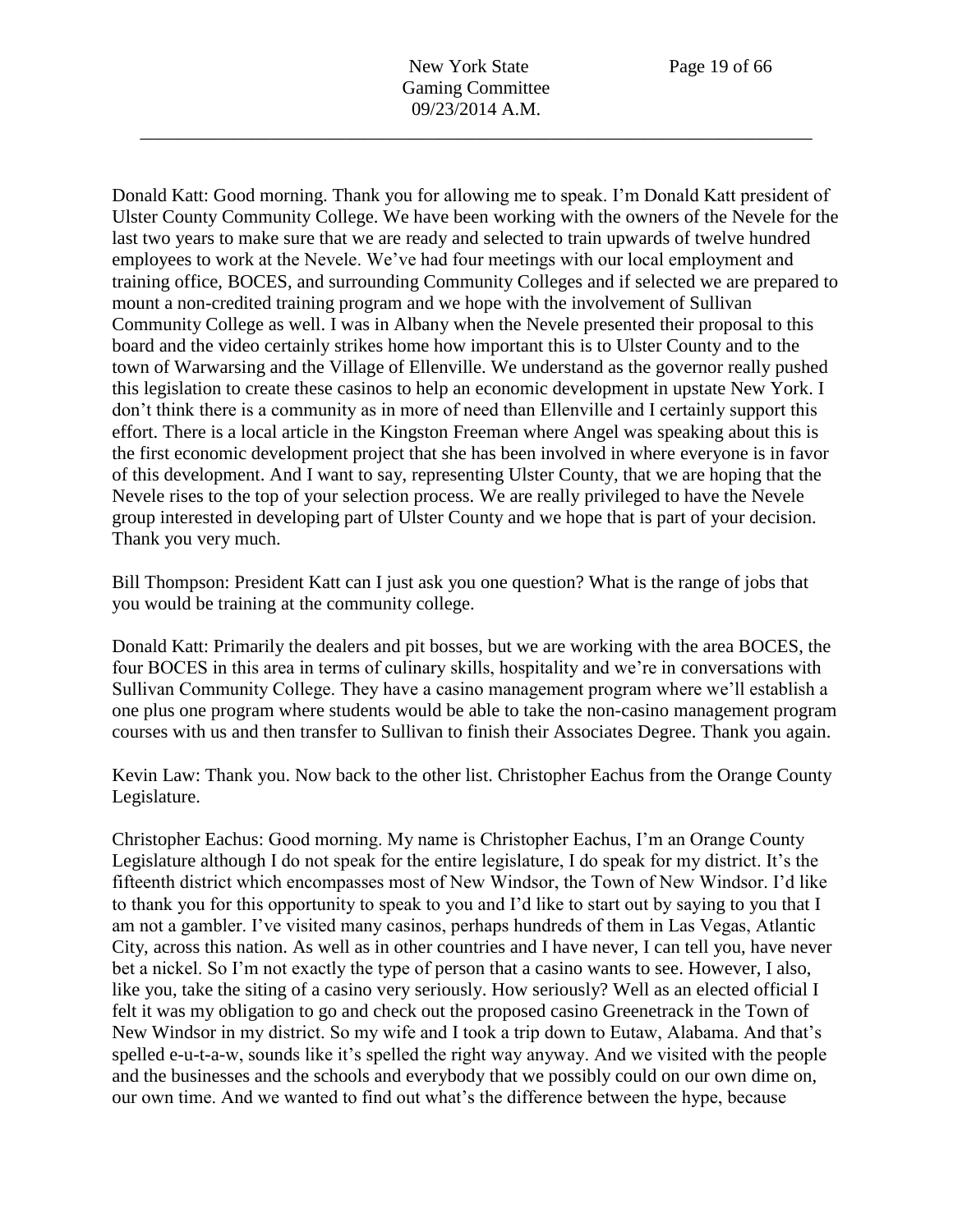Donald Katt: Good morning. Thank you for allowing me to speak. I'm Donald Katt president of Ulster County Community College. We have been working with the owners of the Nevele for the last two years to make sure that we are ready and selected to train upwards of twelve hundred employees to work at the Nevele. We've had four meetings with our local employment and training office, BOCES, and surrounding Community Colleges and if selected we are prepared to mount a non-credited training program and we hope with the involvement of Sullivan Community College as well. I was in Albany when the Nevele presented their proposal to this board and the video certainly strikes home how important this is to Ulster County and to the town of Warwarsing and the Village of Ellenville. We understand as the governor really pushed this legislation to create these casinos to help an economic development in upstate New York. I don't think there is a community as in more of need than Ellenville and I certainly support this effort. There is a local article in the Kingston Freeman where Angel was speaking about this is the first economic development project that she has been involved in where everyone is in favor of this development. And I want to say, representing Ulster County, that we are hoping that the Nevele rises to the top of your selection process. We are really privileged to have the Nevele group interested in developing part of Ulster County and we hope that is part of your decision. Thank you very much.

Bill Thompson: President Katt can I just ask you one question? What is the range of jobs that you would be training at the community college.

Donald Katt: Primarily the dealers and pit bosses, but we are working with the area BOCES, the four BOCES in this area in terms of culinary skills, hospitality and we're in conversations with Sullivan Community College. They have a casino management program where we'll establish a one plus one program where students would be able to take the non-casino management program courses with us and then transfer to Sullivan to finish their Associates Degree. Thank you again.

Kevin Law: Thank you. Now back to the other list. Christopher Eachus from the Orange County Legislature.

Christopher Eachus: Good morning. My name is Christopher Eachus, I'm an Orange County Legislature although I do not speak for the entire legislature, I do speak for my district. It's the fifteenth district which encompasses most of New Windsor, the Town of New Windsor. I'd like to thank you for this opportunity to speak to you and I'd like to start out by saying to you that I am not a gambler. I've visited many casinos, perhaps hundreds of them in Las Vegas, Atlantic City, across this nation. As well as in other countries and I have never, I can tell you, have never bet a nickel. So I'm not exactly the type of person that a casino wants to see. However, I also, like you, take the siting of a casino very seriously. How seriously? Well as an elected official I felt it was my obligation to go and check out the proposed casino Greenetrack in the Town of New Windsor in my district. So my wife and I took a trip down to Eutaw, Alabama. And that's spelled e-u-t-a-w, sounds like it's spelled the right way anyway. And we visited with the people and the businesses and the schools and everybody that we possibly could on our own dime on, our own time. And we wanted to find out what's the difference between the hype, because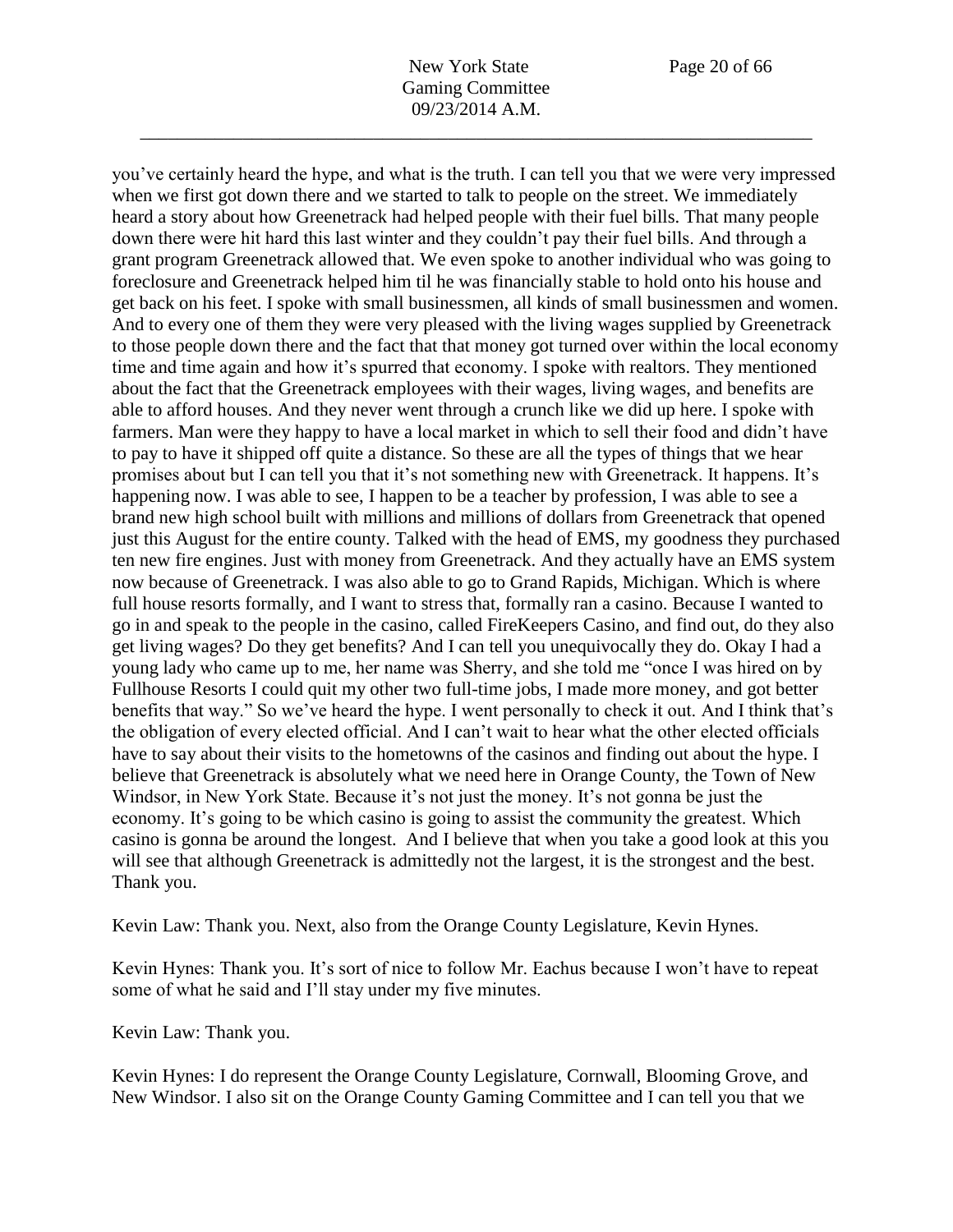you've certainly heard the hype, and what is the truth. I can tell you that we were very impressed when we first got down there and we started to talk to people on the street. We immediately heard a story about how Greenetrack had helped people with their fuel bills. That many people down there were hit hard this last winter and they couldn't pay their fuel bills. And through a grant program Greenetrack allowed that. We even spoke to another individual who was going to foreclosure and Greenetrack helped him til he was financially stable to hold onto his house and get back on his feet. I spoke with small businessmen, all kinds of small businessmen and women. And to every one of them they were very pleased with the living wages supplied by Greenetrack to those people down there and the fact that that money got turned over within the local economy time and time again and how it's spurred that economy. I spoke with realtors. They mentioned about the fact that the Greenetrack employees with their wages, living wages, and benefits are able to afford houses. And they never went through a crunch like we did up here. I spoke with farmers. Man were they happy to have a local market in which to sell their food and didn't have to pay to have it shipped off quite a distance. So these are all the types of things that we hear promises about but I can tell you that it's not something new with Greenetrack. It happens. It's happening now. I was able to see, I happen to be a teacher by profession, I was able to see a brand new high school built with millions and millions of dollars from Greenetrack that opened just this August for the entire county. Talked with the head of EMS, my goodness they purchased ten new fire engines. Just with money from Greenetrack. And they actually have an EMS system now because of Greenetrack. I was also able to go to Grand Rapids, Michigan. Which is where full house resorts formally, and I want to stress that, formally ran a casino. Because I wanted to go in and speak to the people in the casino, called FireKeepers Casino, and find out, do they also get living wages? Do they get benefits? And I can tell you unequivocally they do. Okay I had a young lady who came up to me, her name was Sherry, and she told me "once I was hired on by Fullhouse Resorts I could quit my other two full-time jobs, I made more money, and got better benefits that way." So we've heard the hype. I went personally to check it out. And I think that's the obligation of every elected official. And I can't wait to hear what the other elected officials have to say about their visits to the hometowns of the casinos and finding out about the hype. I believe that Greenetrack is absolutely what we need here in Orange County, the Town of New Windsor, in New York State. Because it's not just the money. It's not gonna be just the economy. It's going to be which casino is going to assist the community the greatest. Which casino is gonna be around the longest. And I believe that when you take a good look at this you will see that although Greenetrack is admittedly not the largest, it is the strongest and the best. Thank you.

Kevin Law: Thank you. Next, also from the Orange County Legislature, Kevin Hynes.

Kevin Hynes: Thank you. It's sort of nice to follow Mr. Eachus because I won't have to repeat some of what he said and I'll stay under my five minutes.

Kevin Law: Thank you.

Kevin Hynes: I do represent the Orange County Legislature, Cornwall, Blooming Grove, and New Windsor. I also sit on the Orange County Gaming Committee and I can tell you that we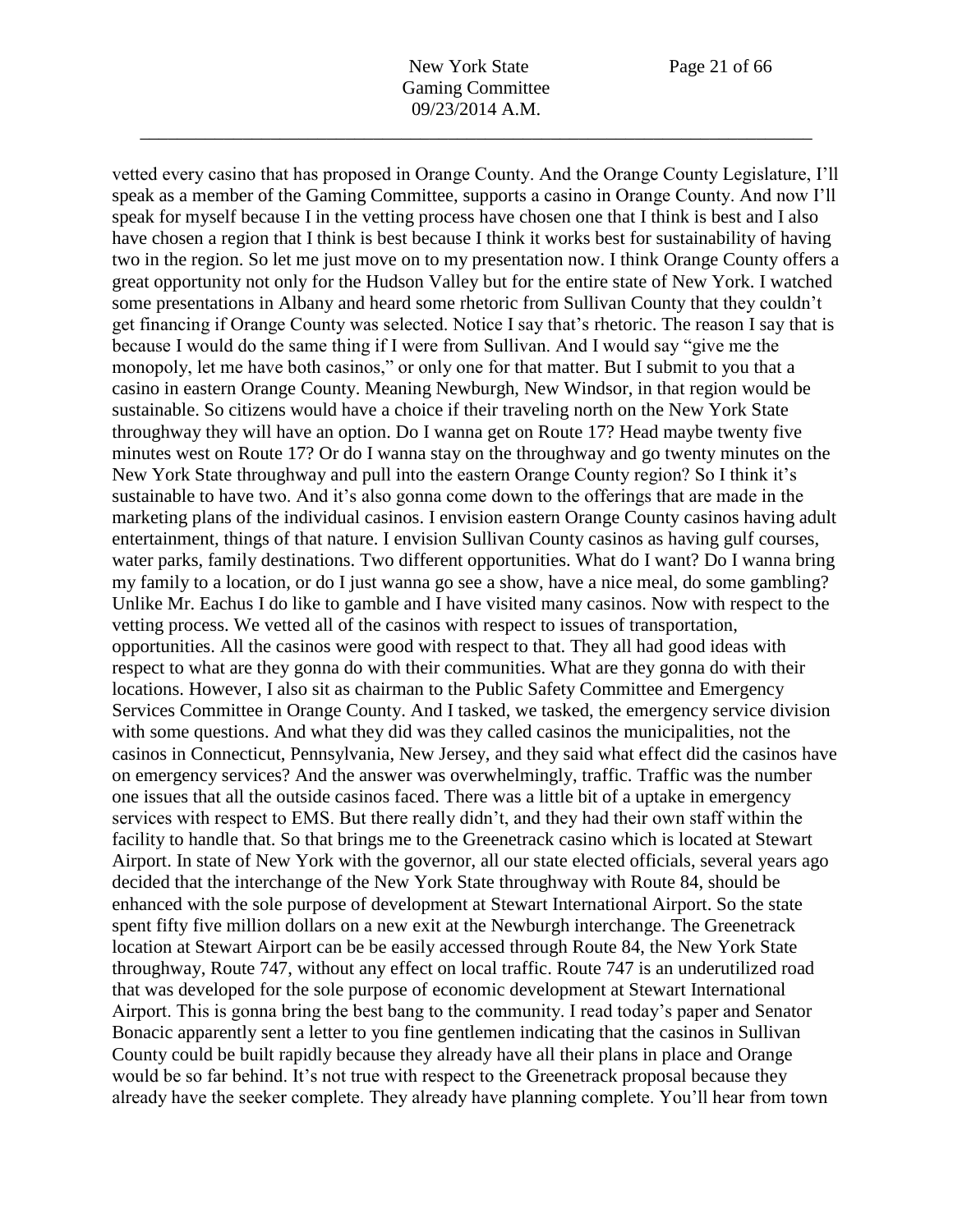vetted every casino that has proposed in Orange County. And the Orange County Legislature, I'll speak as a member of the Gaming Committee, supports a casino in Orange County. And now I'll speak for myself because I in the vetting process have chosen one that I think is best and I also have chosen a region that I think is best because I think it works best for sustainability of having two in the region. So let me just move on to my presentation now. I think Orange County offers a great opportunity not only for the Hudson Valley but for the entire state of New York. I watched some presentations in Albany and heard some rhetoric from Sullivan County that they couldn't get financing if Orange County was selected. Notice I say that's rhetoric. The reason I say that is because I would do the same thing if I were from Sullivan. And I would say "give me the monopoly, let me have both casinos," or only one for that matter. But I submit to you that a casino in eastern Orange County. Meaning Newburgh, New Windsor, in that region would be sustainable. So citizens would have a choice if their traveling north on the New York State throughway they will have an option. Do I wanna get on Route 17? Head maybe twenty five minutes west on Route 17? Or do I wanna stay on the throughway and go twenty minutes on the New York State throughway and pull into the eastern Orange County region? So I think it's sustainable to have two. And it's also gonna come down to the offerings that are made in the marketing plans of the individual casinos. I envision eastern Orange County casinos having adult entertainment, things of that nature. I envision Sullivan County casinos as having gulf courses, water parks, family destinations. Two different opportunities. What do I want? Do I wanna bring my family to a location, or do I just wanna go see a show, have a nice meal, do some gambling? Unlike Mr. Eachus I do like to gamble and I have visited many casinos. Now with respect to the vetting process. We vetted all of the casinos with respect to issues of transportation, opportunities. All the casinos were good with respect to that. They all had good ideas with respect to what are they gonna do with their communities. What are they gonna do with their locations. However, I also sit as chairman to the Public Safety Committee and Emergency Services Committee in Orange County. And I tasked, we tasked, the emergency service division with some questions. And what they did was they called casinos the municipalities, not the casinos in Connecticut, Pennsylvania, New Jersey, and they said what effect did the casinos have on emergency services? And the answer was overwhelmingly, traffic. Traffic was the number one issues that all the outside casinos faced. There was a little bit of a uptake in emergency services with respect to EMS. But there really didn't, and they had their own staff within the facility to handle that. So that brings me to the Greenetrack casino which is located at Stewart Airport. In state of New York with the governor, all our state elected officials, several years ago decided that the interchange of the New York State throughway with Route 84, should be enhanced with the sole purpose of development at Stewart International Airport. So the state spent fifty five million dollars on a new exit at the Newburgh interchange. The Greenetrack location at Stewart Airport can be be easily accessed through Route 84, the New York State throughway, Route 747, without any effect on local traffic. Route 747 is an underutilized road that was developed for the sole purpose of economic development at Stewart International Airport. This is gonna bring the best bang to the community. I read today's paper and Senator Bonacic apparently sent a letter to you fine gentlemen indicating that the casinos in Sullivan County could be built rapidly because they already have all their plans in place and Orange would be so far behind. It's not true with respect to the Greenetrack proposal because they already have the seeker complete. They already have planning complete. You'll hear from town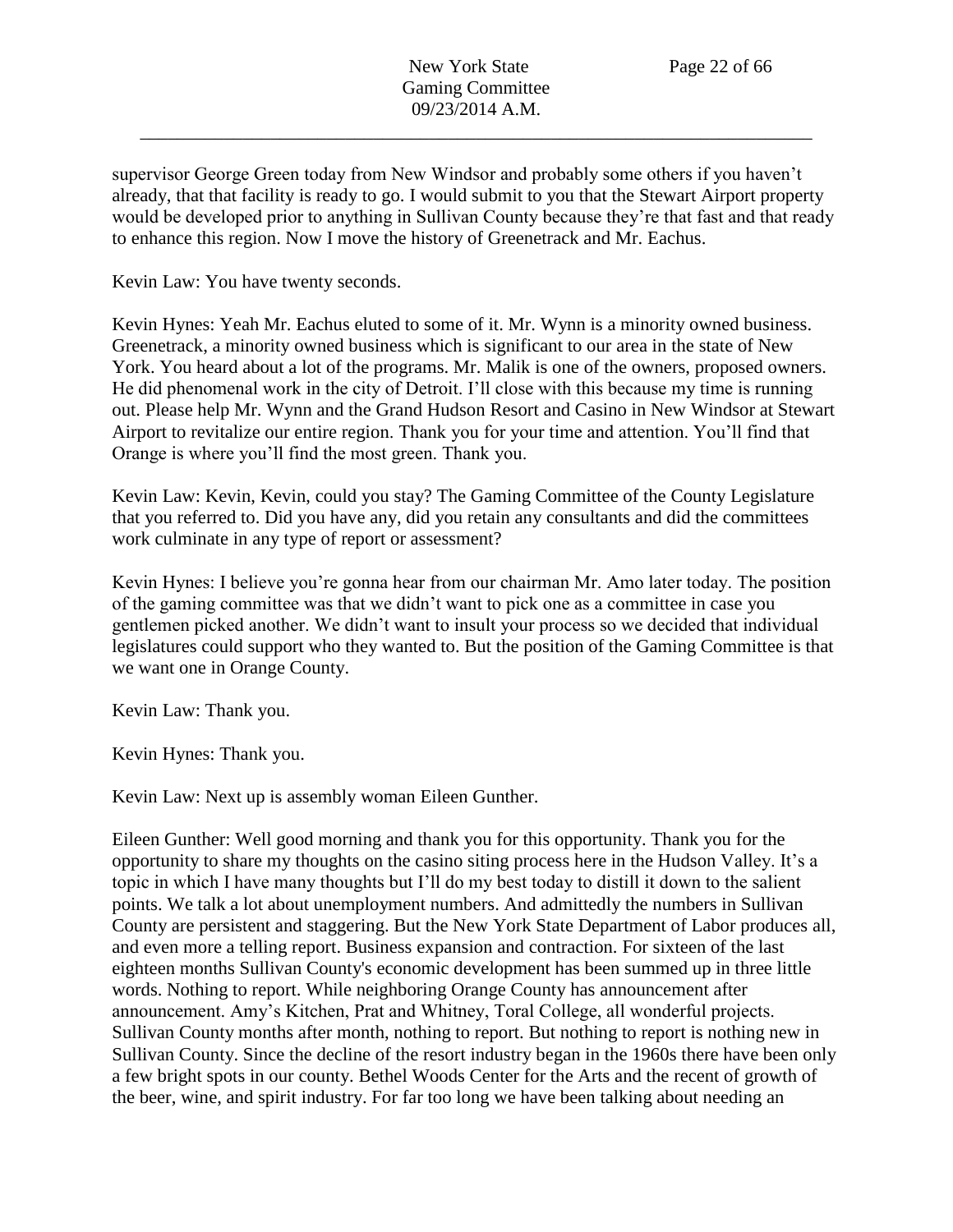supervisor George Green today from New Windsor and probably some others if you haven't already, that that facility is ready to go. I would submit to you that the Stewart Airport property would be developed prior to anything in Sullivan County because they're that fast and that ready to enhance this region. Now I move the history of Greenetrack and Mr. Eachus.

Kevin Law: You have twenty seconds.

Kevin Hynes: Yeah Mr. Eachus eluted to some of it. Mr. Wynn is a minority owned business. Greenetrack, a minority owned business which is significant to our area in the state of New York. You heard about a lot of the programs. Mr. Malik is one of the owners, proposed owners. He did phenomenal work in the city of Detroit. I'll close with this because my time is running out. Please help Mr. Wynn and the Grand Hudson Resort and Casino in New Windsor at Stewart Airport to revitalize our entire region. Thank you for your time and attention. You'll find that Orange is where you'll find the most green. Thank you.

Kevin Law: Kevin, Kevin, could you stay? The Gaming Committee of the County Legislature that you referred to. Did you have any, did you retain any consultants and did the committees work culminate in any type of report or assessment?

Kevin Hynes: I believe you're gonna hear from our chairman Mr. Amo later today. The position of the gaming committee was that we didn't want to pick one as a committee in case you gentlemen picked another. We didn't want to insult your process so we decided that individual legislatures could support who they wanted to. But the position of the Gaming Committee is that we want one in Orange County.

Kevin Law: Thank you.

Kevin Hynes: Thank you.

Kevin Law: Next up is assembly woman Eileen Gunther.

Eileen Gunther: Well good morning and thank you for this opportunity. Thank you for the opportunity to share my thoughts on the casino siting process here in the Hudson Valley. It's a topic in which I have many thoughts but I'll do my best today to distill it down to the salient points. We talk a lot about unemployment numbers. And admittedly the numbers in Sullivan County are persistent and staggering. But the New York State Department of Labor produces all, and even more a telling report. Business expansion and contraction. For sixteen of the last eighteen months Sullivan County's economic development has been summed up in three little words. Nothing to report. While neighboring Orange County has announcement after announcement. Amy's Kitchen, Prat and Whitney, Toral College, all wonderful projects. Sullivan County months after month, nothing to report. But nothing to report is nothing new in Sullivan County. Since the decline of the resort industry began in the 1960s there have been only a few bright spots in our county. Bethel Woods Center for the Arts and the recent of growth of the beer, wine, and spirit industry. For far too long we have been talking about needing an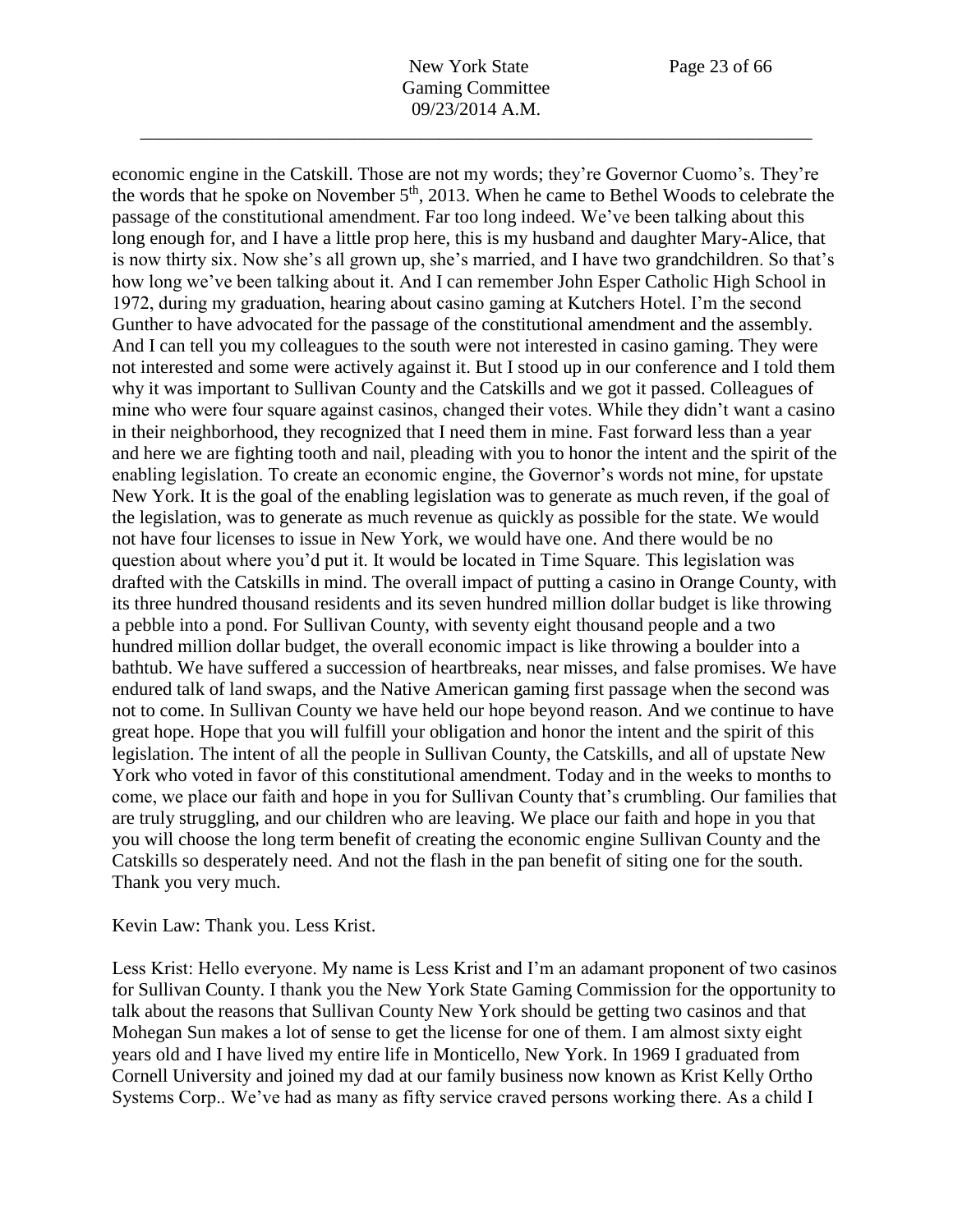economic engine in the Catskill. Those are not my words; they're Governor Cuomo's. They're the words that he spoke on November 5<sup>th</sup>, 2013. When he came to Bethel Woods to celebrate the passage of the constitutional amendment. Far too long indeed. We've been talking about this long enough for, and I have a little prop here, this is my husband and daughter Mary-Alice, that is now thirty six. Now she's all grown up, she's married, and I have two grandchildren. So that's how long we've been talking about it. And I can remember John Esper Catholic High School in 1972, during my graduation, hearing about casino gaming at Kutchers Hotel. I'm the second Gunther to have advocated for the passage of the constitutional amendment and the assembly. And I can tell you my colleagues to the south were not interested in casino gaming. They were not interested and some were actively against it. But I stood up in our conference and I told them why it was important to Sullivan County and the Catskills and we got it passed. Colleagues of mine who were four square against casinos, changed their votes. While they didn't want a casino in their neighborhood, they recognized that I need them in mine. Fast forward less than a year and here we are fighting tooth and nail, pleading with you to honor the intent and the spirit of the enabling legislation. To create an economic engine, the Governor's words not mine, for upstate New York. It is the goal of the enabling legislation was to generate as much reven, if the goal of the legislation, was to generate as much revenue as quickly as possible for the state. We would not have four licenses to issue in New York, we would have one. And there would be no question about where you'd put it. It would be located in Time Square. This legislation was drafted with the Catskills in mind. The overall impact of putting a casino in Orange County, with its three hundred thousand residents and its seven hundred million dollar budget is like throwing a pebble into a pond. For Sullivan County, with seventy eight thousand people and a two hundred million dollar budget, the overall economic impact is like throwing a boulder into a bathtub. We have suffered a succession of heartbreaks, near misses, and false promises. We have endured talk of land swaps, and the Native American gaming first passage when the second was not to come. In Sullivan County we have held our hope beyond reason. And we continue to have great hope. Hope that you will fulfill your obligation and honor the intent and the spirit of this legislation. The intent of all the people in Sullivan County, the Catskills, and all of upstate New York who voted in favor of this constitutional amendment. Today and in the weeks to months to come, we place our faith and hope in you for Sullivan County that's crumbling. Our families that are truly struggling, and our children who are leaving. We place our faith and hope in you that you will choose the long term benefit of creating the economic engine Sullivan County and the Catskills so desperately need. And not the flash in the pan benefit of siting one for the south. Thank you very much.

Kevin Law: Thank you. Less Krist.

Less Krist: Hello everyone. My name is Less Krist and I'm an adamant proponent of two casinos for Sullivan County. I thank you the New York State Gaming Commission for the opportunity to talk about the reasons that Sullivan County New York should be getting two casinos and that Mohegan Sun makes a lot of sense to get the license for one of them. I am almost sixty eight years old and I have lived my entire life in Monticello, New York. In 1969 I graduated from Cornell University and joined my dad at our family business now known as Krist Kelly Ortho Systems Corp.. We've had as many as fifty service craved persons working there. As a child I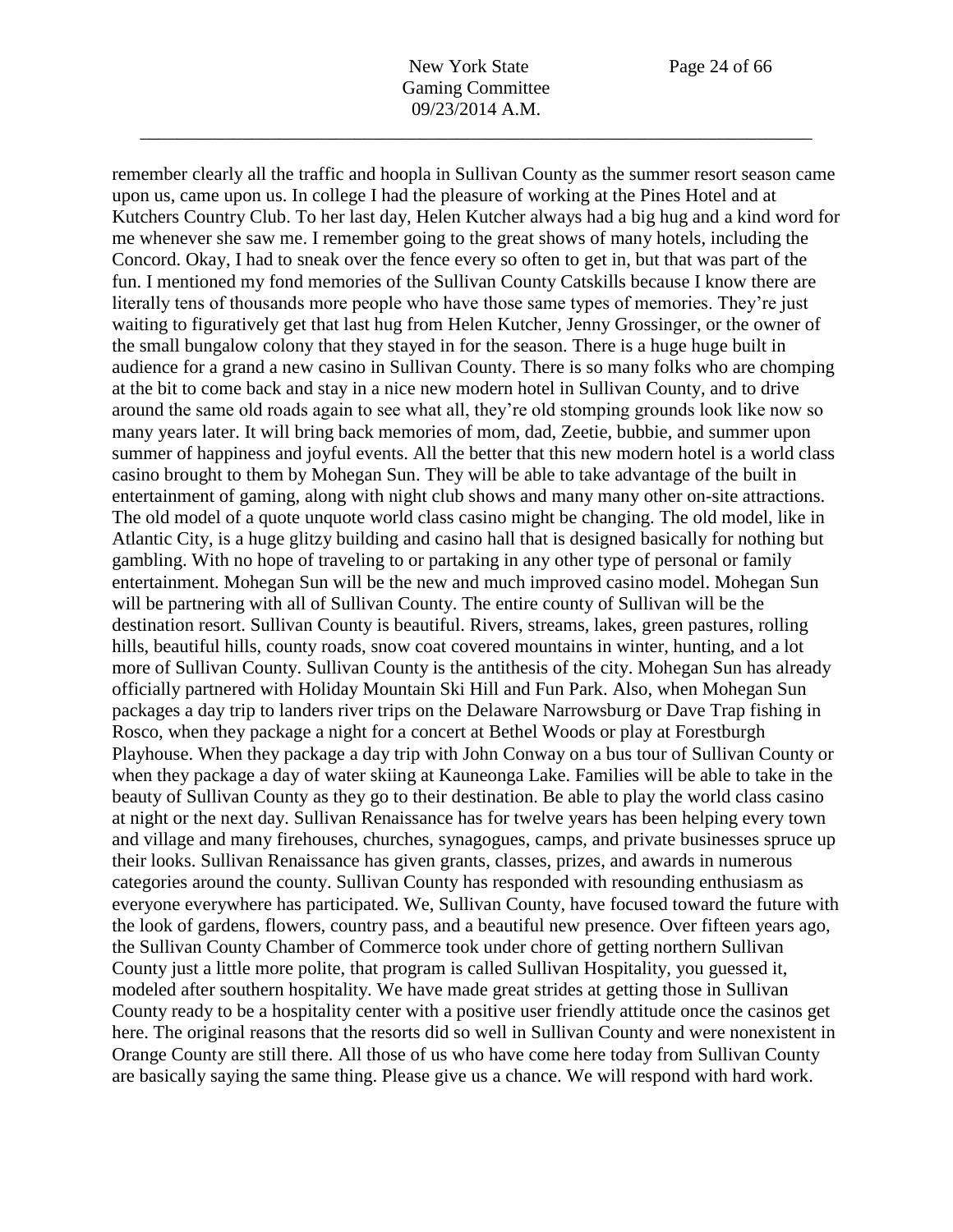remember clearly all the traffic and hoopla in Sullivan County as the summer resort season came

upon us, came upon us. In college I had the pleasure of working at the Pines Hotel and at Kutchers Country Club. To her last day, Helen Kutcher always had a big hug and a kind word for me whenever she saw me. I remember going to the great shows of many hotels, including the Concord. Okay, I had to sneak over the fence every so often to get in, but that was part of the fun. I mentioned my fond memories of the Sullivan County Catskills because I know there are literally tens of thousands more people who have those same types of memories. They're just waiting to figuratively get that last hug from Helen Kutcher, Jenny Grossinger, or the owner of the small bungalow colony that they stayed in for the season. There is a huge huge built in audience for a grand a new casino in Sullivan County. There is so many folks who are chomping at the bit to come back and stay in a nice new modern hotel in Sullivan County, and to drive around the same old roads again to see what all, they're old stomping grounds look like now so many years later. It will bring back memories of mom, dad, Zeetie, bubbie, and summer upon summer of happiness and joyful events. All the better that this new modern hotel is a world class casino brought to them by Mohegan Sun. They will be able to take advantage of the built in entertainment of gaming, along with night club shows and many many other on-site attractions. The old model of a quote unquote world class casino might be changing. The old model, like in Atlantic City, is a huge glitzy building and casino hall that is designed basically for nothing but gambling. With no hope of traveling to or partaking in any other type of personal or family entertainment. Mohegan Sun will be the new and much improved casino model. Mohegan Sun will be partnering with all of Sullivan County. The entire county of Sullivan will be the destination resort. Sullivan County is beautiful. Rivers, streams, lakes, green pastures, rolling hills, beautiful hills, county roads, snow coat covered mountains in winter, hunting, and a lot more of Sullivan County. Sullivan County is the antithesis of the city. Mohegan Sun has already officially partnered with Holiday Mountain Ski Hill and Fun Park. Also, when Mohegan Sun packages a day trip to landers river trips on the Delaware Narrowsburg or Dave Trap fishing in Rosco, when they package a night for a concert at Bethel Woods or play at Forestburgh Playhouse. When they package a day trip with John Conway on a bus tour of Sullivan County or when they package a day of water skiing at Kauneonga Lake. Families will be able to take in the beauty of Sullivan County as they go to their destination. Be able to play the world class casino at night or the next day. Sullivan Renaissance has for twelve years has been helping every town and village and many firehouses, churches, synagogues, camps, and private businesses spruce up their looks. Sullivan Renaissance has given grants, classes, prizes, and awards in numerous categories around the county. Sullivan County has responded with resounding enthusiasm as everyone everywhere has participated. We, Sullivan County, have focused toward the future with the look of gardens, flowers, country pass, and a beautiful new presence. Over fifteen years ago, the Sullivan County Chamber of Commerce took under chore of getting northern Sullivan County just a little more polite, that program is called Sullivan Hospitality, you guessed it, modeled after southern hospitality. We have made great strides at getting those in Sullivan County ready to be a hospitality center with a positive user friendly attitude once the casinos get here. The original reasons that the resorts did so well in Sullivan County and were nonexistent in Orange County are still there. All those of us who have come here today from Sullivan County are basically saying the same thing. Please give us a chance. We will respond with hard work.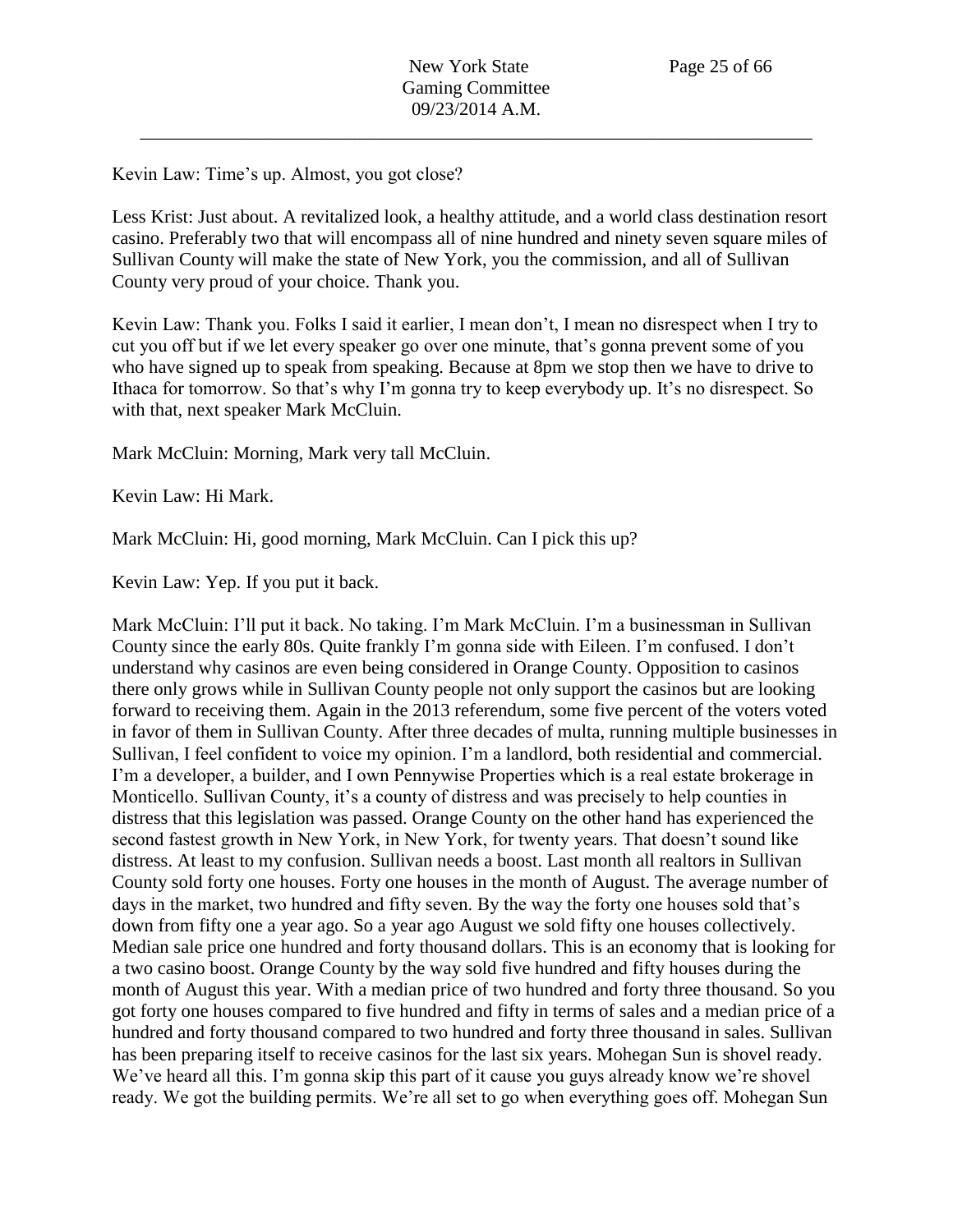Kevin Law: Time's up. Almost, you got close?

Less Krist: Just about. A revitalized look, a healthy attitude, and a world class destination resort casino. Preferably two that will encompass all of nine hundred and ninety seven square miles of Sullivan County will make the state of New York, you the commission, and all of Sullivan County very proud of your choice. Thank you.

Kevin Law: Thank you. Folks I said it earlier, I mean don't, I mean no disrespect when I try to cut you off but if we let every speaker go over one minute, that's gonna prevent some of you who have signed up to speak from speaking. Because at 8pm we stop then we have to drive to Ithaca for tomorrow. So that's why I'm gonna try to keep everybody up. It's no disrespect. So with that, next speaker Mark McCluin.

Mark McCluin: Morning, Mark very tall McCluin.

Kevin Law: Hi Mark.

Mark McCluin: Hi, good morning, Mark McCluin. Can I pick this up?

Kevin Law: Yep. If you put it back.

Mark McCluin: I'll put it back. No taking. I'm Mark McCluin. I'm a businessman in Sullivan County since the early 80s. Quite frankly I'm gonna side with Eileen. I'm confused. I don't understand why casinos are even being considered in Orange County. Opposition to casinos there only grows while in Sullivan County people not only support the casinos but are looking forward to receiving them. Again in the 2013 referendum, some five percent of the voters voted in favor of them in Sullivan County. After three decades of multa, running multiple businesses in Sullivan, I feel confident to voice my opinion. I'm a landlord, both residential and commercial. I'm a developer, a builder, and I own Pennywise Properties which is a real estate brokerage in Monticello. Sullivan County, it's a county of distress and was precisely to help counties in distress that this legislation was passed. Orange County on the other hand has experienced the second fastest growth in New York, in New York, for twenty years. That doesn't sound like distress. At least to my confusion. Sullivan needs a boost. Last month all realtors in Sullivan County sold forty one houses. Forty one houses in the month of August. The average number of days in the market, two hundred and fifty seven. By the way the forty one houses sold that's down from fifty one a year ago. So a year ago August we sold fifty one houses collectively. Median sale price one hundred and forty thousand dollars. This is an economy that is looking for a two casino boost. Orange County by the way sold five hundred and fifty houses during the month of August this year. With a median price of two hundred and forty three thousand. So you got forty one houses compared to five hundred and fifty in terms of sales and a median price of a hundred and forty thousand compared to two hundred and forty three thousand in sales. Sullivan has been preparing itself to receive casinos for the last six years. Mohegan Sun is shovel ready. We've heard all this. I'm gonna skip this part of it cause you guys already know we're shovel ready. We got the building permits. We're all set to go when everything goes off. Mohegan Sun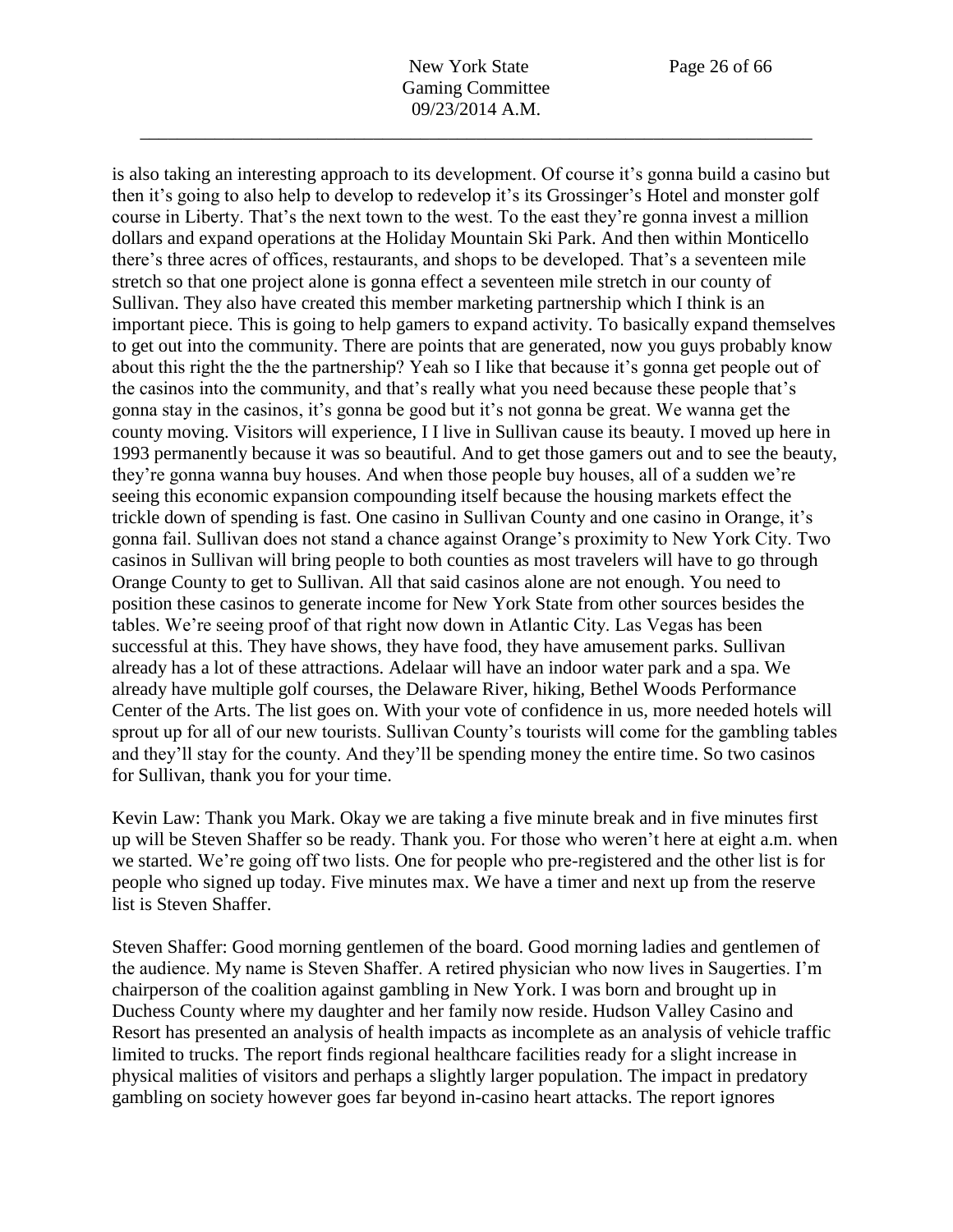is also taking an interesting approach to its development. Of course it's gonna build a casino but then it's going to also help to develop to redevelop it's its Grossinger's Hotel and monster golf course in Liberty. That's the next town to the west. To the east they're gonna invest a million dollars and expand operations at the Holiday Mountain Ski Park. And then within Monticello there's three acres of offices, restaurants, and shops to be developed. That's a seventeen mile stretch so that one project alone is gonna effect a seventeen mile stretch in our county of Sullivan. They also have created this member marketing partnership which I think is an important piece. This is going to help gamers to expand activity. To basically expand themselves to get out into the community. There are points that are generated, now you guys probably know about this right the the the partnership? Yeah so I like that because it's gonna get people out of the casinos into the community, and that's really what you need because these people that's gonna stay in the casinos, it's gonna be good but it's not gonna be great. We wanna get the county moving. Visitors will experience, I I live in Sullivan cause its beauty. I moved up here in 1993 permanently because it was so beautiful. And to get those gamers out and to see the beauty, they're gonna wanna buy houses. And when those people buy houses, all of a sudden we're seeing this economic expansion compounding itself because the housing markets effect the trickle down of spending is fast. One casino in Sullivan County and one casino in Orange, it's gonna fail. Sullivan does not stand a chance against Orange's proximity to New York City. Two casinos in Sullivan will bring people to both counties as most travelers will have to go through Orange County to get to Sullivan. All that said casinos alone are not enough. You need to position these casinos to generate income for New York State from other sources besides the tables. We're seeing proof of that right now down in Atlantic City. Las Vegas has been successful at this. They have shows, they have food, they have amusement parks. Sullivan already has a lot of these attractions. Adelaar will have an indoor water park and a spa. We already have multiple golf courses, the Delaware River, hiking, Bethel Woods Performance Center of the Arts. The list goes on. With your vote of confidence in us, more needed hotels will sprout up for all of our new tourists. Sullivan County's tourists will come for the gambling tables and they'll stay for the county. And they'll be spending money the entire time. So two casinos for Sullivan, thank you for your time.

Kevin Law: Thank you Mark. Okay we are taking a five minute break and in five minutes first up will be Steven Shaffer so be ready. Thank you. For those who weren't here at eight a.m. when we started. We're going off two lists. One for people who pre-registered and the other list is for people who signed up today. Five minutes max. We have a timer and next up from the reserve list is Steven Shaffer.

Steven Shaffer: Good morning gentlemen of the board. Good morning ladies and gentlemen of the audience. My name is Steven Shaffer. A retired physician who now lives in Saugerties. I'm chairperson of the coalition against gambling in New York. I was born and brought up in Duchess County where my daughter and her family now reside. Hudson Valley Casino and Resort has presented an analysis of health impacts as incomplete as an analysis of vehicle traffic limited to trucks. The report finds regional healthcare facilities ready for a slight increase in physical malities of visitors and perhaps a slightly larger population. The impact in predatory gambling on society however goes far beyond in-casino heart attacks. The report ignores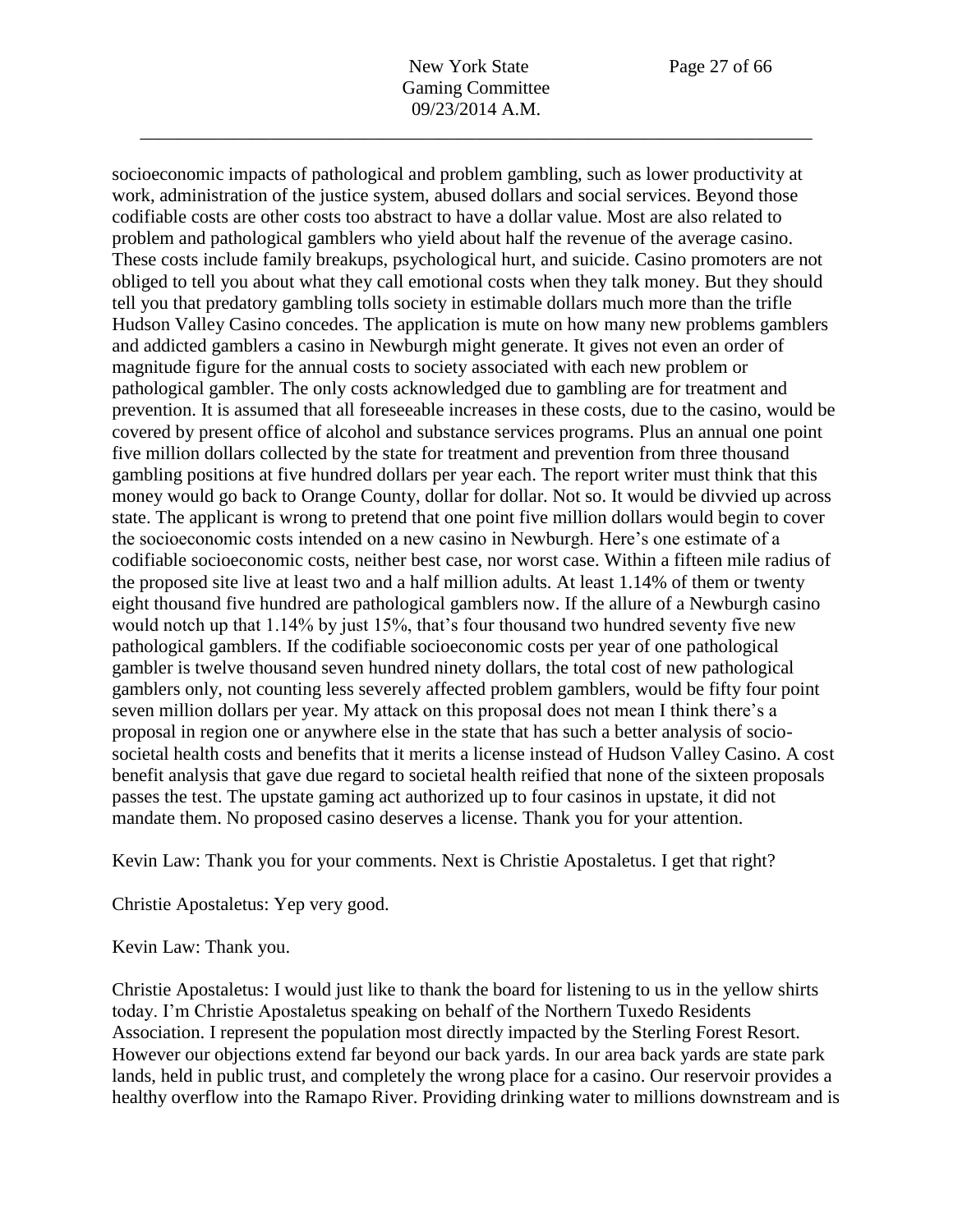socioeconomic impacts of pathological and problem gambling, such as lower productivity at work, administration of the justice system, abused dollars and social services. Beyond those codifiable costs are other costs too abstract to have a dollar value. Most are also related to problem and pathological gamblers who yield about half the revenue of the average casino. These costs include family breakups, psychological hurt, and suicide. Casino promoters are not obliged to tell you about what they call emotional costs when they talk money. But they should tell you that predatory gambling tolls society in estimable dollars much more than the trifle Hudson Valley Casino concedes. The application is mute on how many new problems gamblers and addicted gamblers a casino in Newburgh might generate. It gives not even an order of magnitude figure for the annual costs to society associated with each new problem or pathological gambler. The only costs acknowledged due to gambling are for treatment and prevention. It is assumed that all foreseeable increases in these costs, due to the casino, would be covered by present office of alcohol and substance services programs. Plus an annual one point five million dollars collected by the state for treatment and prevention from three thousand gambling positions at five hundred dollars per year each. The report writer must think that this money would go back to Orange County, dollar for dollar. Not so. It would be divvied up across state. The applicant is wrong to pretend that one point five million dollars would begin to cover the socioeconomic costs intended on a new casino in Newburgh. Here's one estimate of a codifiable socioeconomic costs, neither best case, nor worst case. Within a fifteen mile radius of the proposed site live at least two and a half million adults. At least 1.14% of them or twenty eight thousand five hundred are pathological gamblers now. If the allure of a Newburgh casino would notch up that 1.14% by just 15%, that's four thousand two hundred seventy five new pathological gamblers. If the codifiable socioeconomic costs per year of one pathological gambler is twelve thousand seven hundred ninety dollars, the total cost of new pathological gamblers only, not counting less severely affected problem gamblers, would be fifty four point seven million dollars per year. My attack on this proposal does not mean I think there's a proposal in region one or anywhere else in the state that has such a better analysis of sociosocietal health costs and benefits that it merits a license instead of Hudson Valley Casino. A cost benefit analysis that gave due regard to societal health reified that none of the sixteen proposals passes the test. The upstate gaming act authorized up to four casinos in upstate, it did not mandate them. No proposed casino deserves a license. Thank you for your attention.

Kevin Law: Thank you for your comments. Next is Christie Apostaletus. I get that right?

Christie Apostaletus: Yep very good.

Kevin Law: Thank you.

Christie Apostaletus: I would just like to thank the board for listening to us in the yellow shirts today. I'm Christie Apostaletus speaking on behalf of the Northern Tuxedo Residents Association. I represent the population most directly impacted by the Sterling Forest Resort. However our objections extend far beyond our back yards. In our area back yards are state park lands, held in public trust, and completely the wrong place for a casino. Our reservoir provides a healthy overflow into the Ramapo River. Providing drinking water to millions downstream and is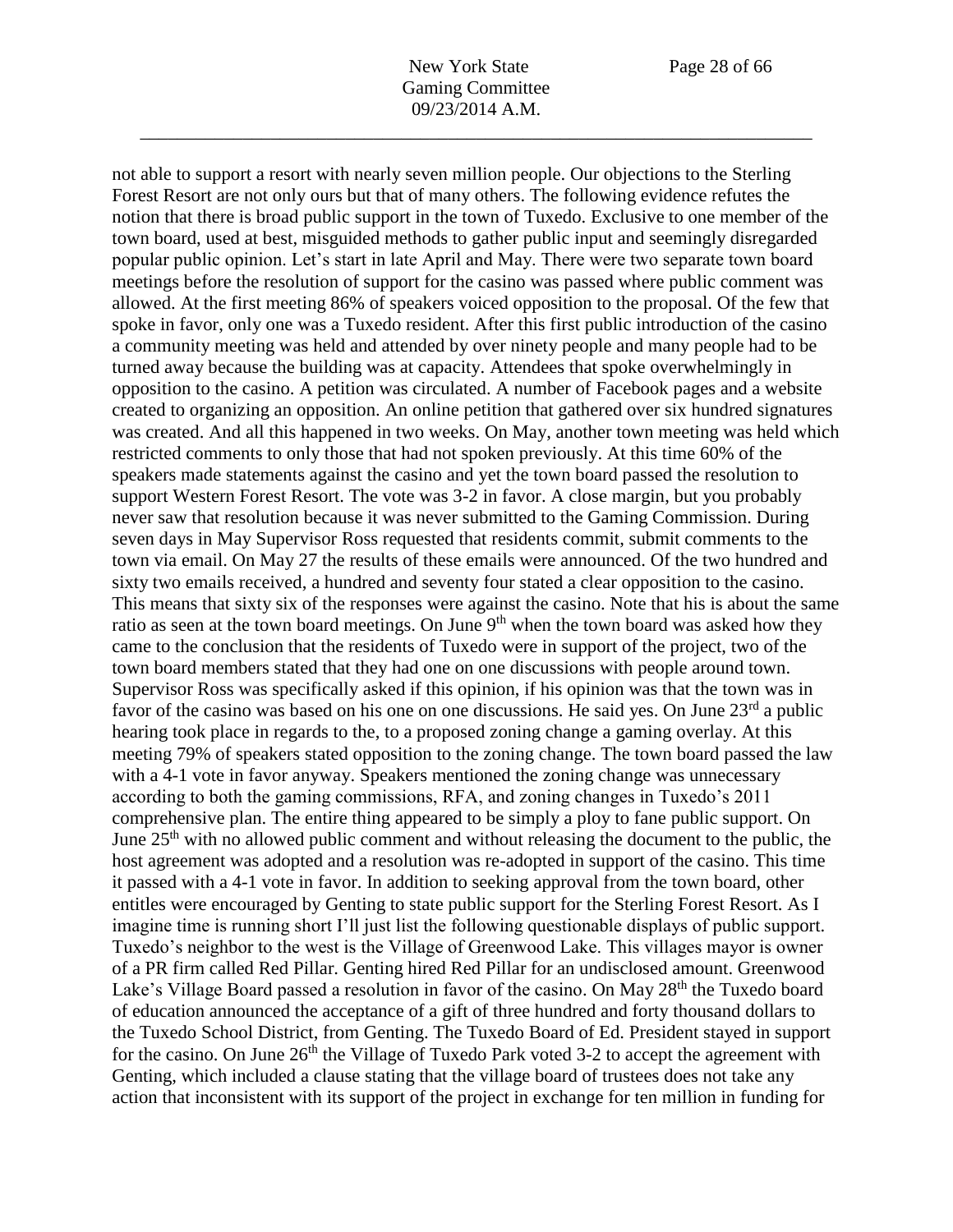not able to support a resort with nearly seven million people. Our objections to the Sterling Forest Resort are not only ours but that of many others. The following evidence refutes the notion that there is broad public support in the town of Tuxedo. Exclusive to one member of the town board, used at best, misguided methods to gather public input and seemingly disregarded popular public opinion. Let's start in late April and May. There were two separate town board meetings before the resolution of support for the casino was passed where public comment was allowed. At the first meeting 86% of speakers voiced opposition to the proposal. Of the few that spoke in favor, only one was a Tuxedo resident. After this first public introduction of the casino a community meeting was held and attended by over ninety people and many people had to be turned away because the building was at capacity. Attendees that spoke overwhelmingly in opposition to the casino. A petition was circulated. A number of Facebook pages and a website created to organizing an opposition. An online petition that gathered over six hundred signatures was created. And all this happened in two weeks. On May, another town meeting was held which restricted comments to only those that had not spoken previously. At this time 60% of the speakers made statements against the casino and yet the town board passed the resolution to support Western Forest Resort. The vote was 3-2 in favor. A close margin, but you probably never saw that resolution because it was never submitted to the Gaming Commission. During seven days in May Supervisor Ross requested that residents commit, submit comments to the town via email. On May 27 the results of these emails were announced. Of the two hundred and sixty two emails received, a hundred and seventy four stated a clear opposition to the casino. This means that sixty six of the responses were against the casino. Note that his is about the same ratio as seen at the town board meetings. On June  $9<sup>th</sup>$  when the town board was asked how they came to the conclusion that the residents of Tuxedo were in support of the project, two of the town board members stated that they had one on one discussions with people around town. Supervisor Ross was specifically asked if this opinion, if his opinion was that the town was in favor of the casino was based on his one on one discussions. He said yes. On June 23<sup>rd</sup> a public hearing took place in regards to the, to a proposed zoning change a gaming overlay. At this meeting 79% of speakers stated opposition to the zoning change. The town board passed the law with a 4-1 vote in favor anyway. Speakers mentioned the zoning change was unnecessary according to both the gaming commissions, RFA, and zoning changes in Tuxedo's 2011 comprehensive plan. The entire thing appeared to be simply a ploy to fane public support. On June  $25<sup>th</sup>$  with no allowed public comment and without releasing the document to the public, the host agreement was adopted and a resolution was re-adopted in support of the casino. This time it passed with a 4-1 vote in favor. In addition to seeking approval from the town board, other entitles were encouraged by Genting to state public support for the Sterling Forest Resort. As I imagine time is running short I'll just list the following questionable displays of public support. Tuxedo's neighbor to the west is the Village of Greenwood Lake. This villages mayor is owner of a PR firm called Red Pillar. Genting hired Red Pillar for an undisclosed amount. Greenwood Lake's Village Board passed a resolution in favor of the casino. On May 28<sup>th</sup> the Tuxedo board of education announced the acceptance of a gift of three hundred and forty thousand dollars to the Tuxedo School District, from Genting. The Tuxedo Board of Ed. President stayed in support for the casino. On June  $26<sup>th</sup>$  the Village of Tuxedo Park voted 3-2 to accept the agreement with Genting, which included a clause stating that the village board of trustees does not take any action that inconsistent with its support of the project in exchange for ten million in funding for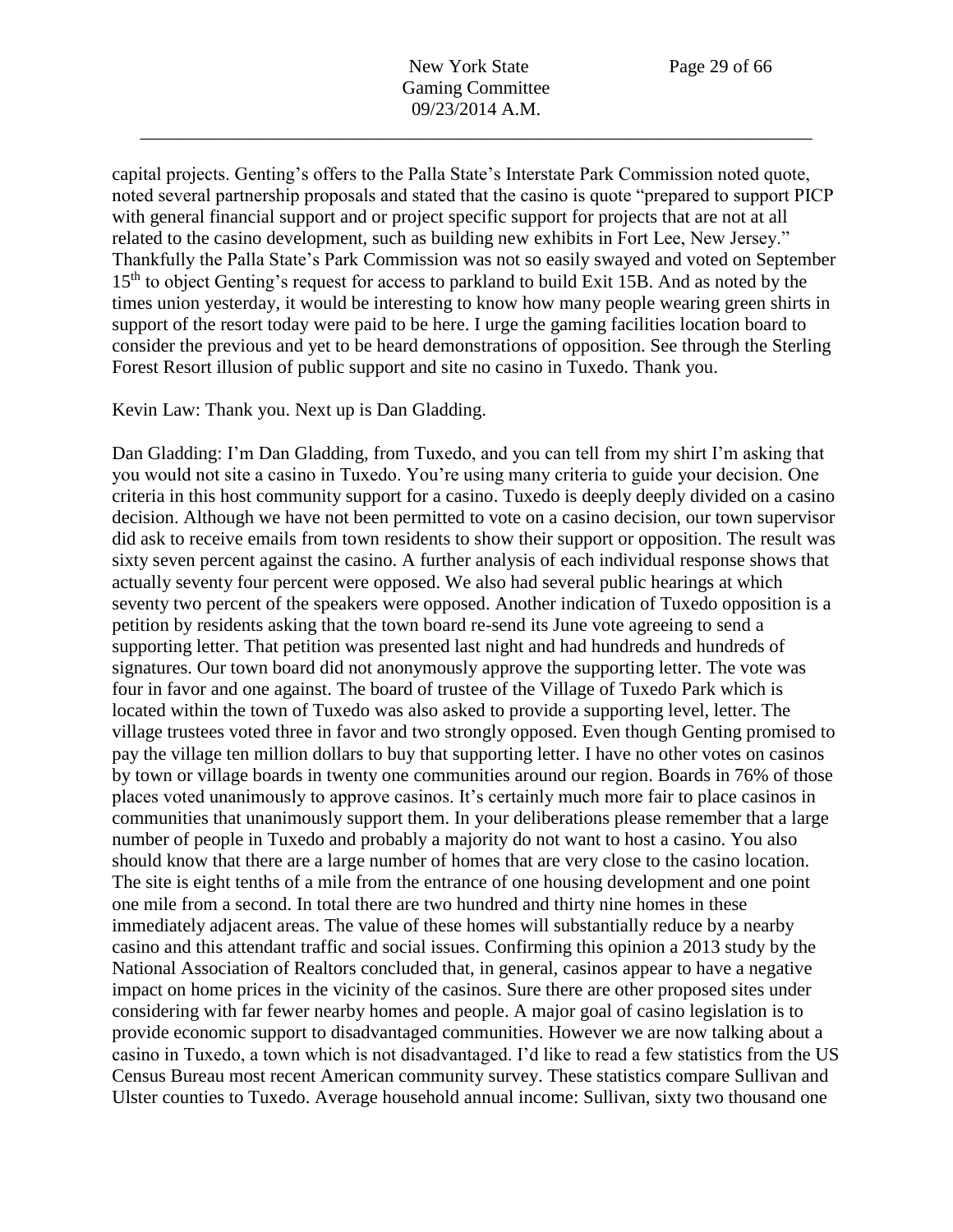capital projects. Genting's offers to the Palla State's Interstate Park Commission noted quote, noted several partnership proposals and stated that the casino is quote "prepared to support PICP with general financial support and or project specific support for projects that are not at all related to the casino development, such as building new exhibits in Fort Lee, New Jersey." Thankfully the Palla State's Park Commission was not so easily swayed and voted on September 15<sup>th</sup> to object Genting's request for access to parkland to build Exit 15B. And as noted by the times union yesterday, it would be interesting to know how many people wearing green shirts in support of the resort today were paid to be here. I urge the gaming facilities location board to consider the previous and yet to be heard demonstrations of opposition. See through the Sterling Forest Resort illusion of public support and site no casino in Tuxedo. Thank you.

Kevin Law: Thank you. Next up is Dan Gladding.

Dan Gladding: I'm Dan Gladding, from Tuxedo, and you can tell from my shirt I'm asking that you would not site a casino in Tuxedo. You're using many criteria to guide your decision. One criteria in this host community support for a casino. Tuxedo is deeply deeply divided on a casino decision. Although we have not been permitted to vote on a casino decision, our town supervisor did ask to receive emails from town residents to show their support or opposition. The result was sixty seven percent against the casino. A further analysis of each individual response shows that actually seventy four percent were opposed. We also had several public hearings at which seventy two percent of the speakers were opposed. Another indication of Tuxedo opposition is a petition by residents asking that the town board re-send its June vote agreeing to send a supporting letter. That petition was presented last night and had hundreds and hundreds of signatures. Our town board did not anonymously approve the supporting letter. The vote was four in favor and one against. The board of trustee of the Village of Tuxedo Park which is located within the town of Tuxedo was also asked to provide a supporting level, letter. The village trustees voted three in favor and two strongly opposed. Even though Genting promised to pay the village ten million dollars to buy that supporting letter. I have no other votes on casinos by town or village boards in twenty one communities around our region. Boards in 76% of those places voted unanimously to approve casinos. It's certainly much more fair to place casinos in communities that unanimously support them. In your deliberations please remember that a large number of people in Tuxedo and probably a majority do not want to host a casino. You also should know that there are a large number of homes that are very close to the casino location. The site is eight tenths of a mile from the entrance of one housing development and one point one mile from a second. In total there are two hundred and thirty nine homes in these immediately adjacent areas. The value of these homes will substantially reduce by a nearby casino and this attendant traffic and social issues. Confirming this opinion a 2013 study by the National Association of Realtors concluded that, in general, casinos appear to have a negative impact on home prices in the vicinity of the casinos. Sure there are other proposed sites under considering with far fewer nearby homes and people. A major goal of casino legislation is to provide economic support to disadvantaged communities. However we are now talking about a casino in Tuxedo, a town which is not disadvantaged. I'd like to read a few statistics from the US Census Bureau most recent American community survey. These statistics compare Sullivan and Ulster counties to Tuxedo. Average household annual income: Sullivan, sixty two thousand one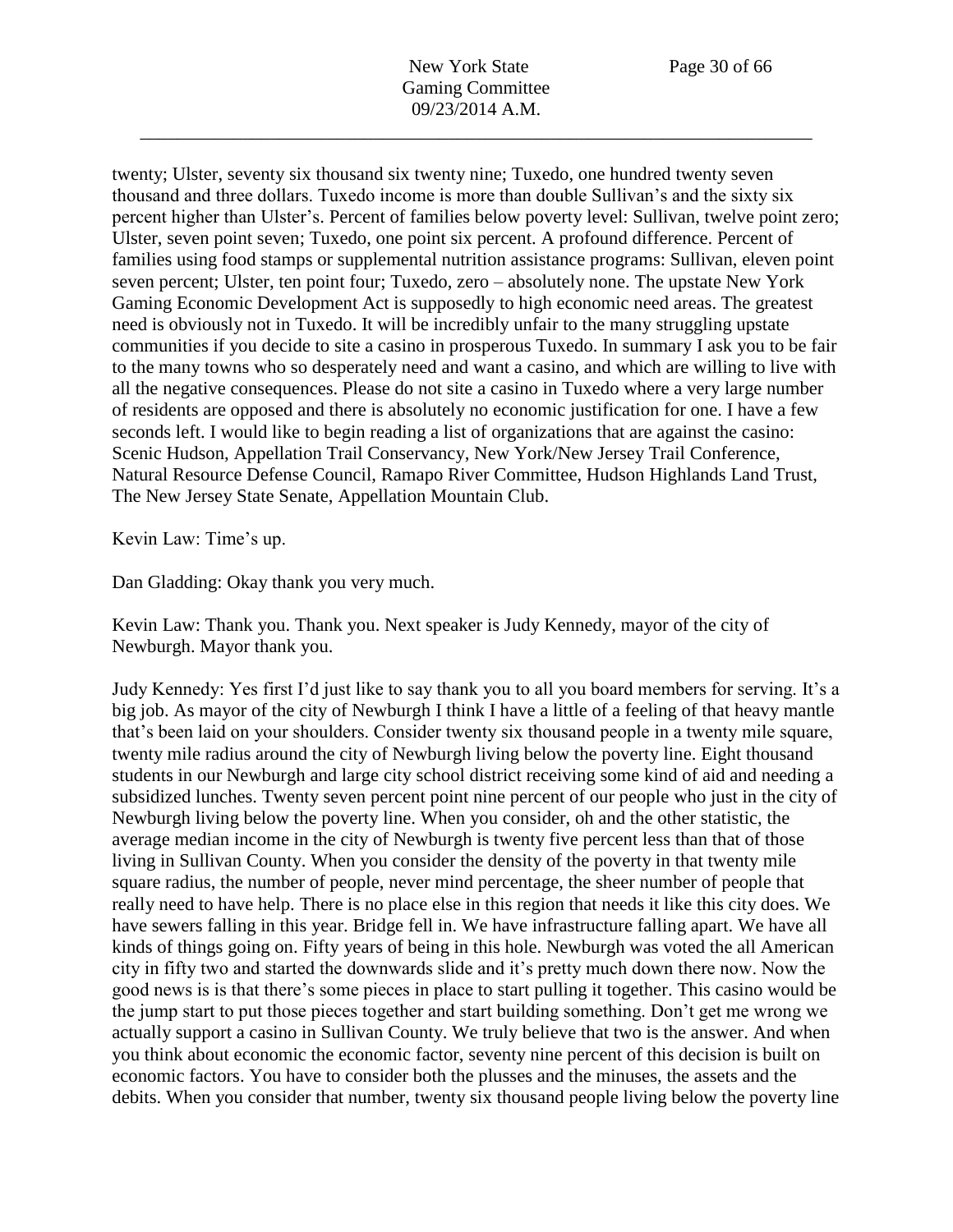twenty; Ulster, seventy six thousand six twenty nine; Tuxedo, one hundred twenty seven thousand and three dollars. Tuxedo income is more than double Sullivan's and the sixty six percent higher than Ulster's. Percent of families below poverty level: Sullivan, twelve point zero; Ulster, seven point seven; Tuxedo, one point six percent. A profound difference. Percent of families using food stamps or supplemental nutrition assistance programs: Sullivan, eleven point seven percent; Ulster, ten point four; Tuxedo, zero – absolutely none. The upstate New York Gaming Economic Development Act is supposedly to high economic need areas. The greatest need is obviously not in Tuxedo. It will be incredibly unfair to the many struggling upstate communities if you decide to site a casino in prosperous Tuxedo. In summary I ask you to be fair to the many towns who so desperately need and want a casino, and which are willing to live with all the negative consequences. Please do not site a casino in Tuxedo where a very large number of residents are opposed and there is absolutely no economic justification for one. I have a few seconds left. I would like to begin reading a list of organizations that are against the casino: Scenic Hudson, Appellation Trail Conservancy, New York/New Jersey Trail Conference, Natural Resource Defense Council, Ramapo River Committee, Hudson Highlands Land Trust, The New Jersey State Senate, Appellation Mountain Club.

Kevin Law: Time's up.

Dan Gladding: Okay thank you very much.

Kevin Law: Thank you. Thank you. Next speaker is Judy Kennedy, mayor of the city of Newburgh. Mayor thank you.

Judy Kennedy: Yes first I'd just like to say thank you to all you board members for serving. It's a big job. As mayor of the city of Newburgh I think I have a little of a feeling of that heavy mantle that's been laid on your shoulders. Consider twenty six thousand people in a twenty mile square, twenty mile radius around the city of Newburgh living below the poverty line. Eight thousand students in our Newburgh and large city school district receiving some kind of aid and needing a subsidized lunches. Twenty seven percent point nine percent of our people who just in the city of Newburgh living below the poverty line. When you consider, oh and the other statistic, the average median income in the city of Newburgh is twenty five percent less than that of those living in Sullivan County. When you consider the density of the poverty in that twenty mile square radius, the number of people, never mind percentage, the sheer number of people that really need to have help. There is no place else in this region that needs it like this city does. We have sewers falling in this year. Bridge fell in. We have infrastructure falling apart. We have all kinds of things going on. Fifty years of being in this hole. Newburgh was voted the all American city in fifty two and started the downwards slide and it's pretty much down there now. Now the good news is is that there's some pieces in place to start pulling it together. This casino would be the jump start to put those pieces together and start building something. Don't get me wrong we actually support a casino in Sullivan County. We truly believe that two is the answer. And when you think about economic the economic factor, seventy nine percent of this decision is built on economic factors. You have to consider both the plusses and the minuses, the assets and the debits. When you consider that number, twenty six thousand people living below the poverty line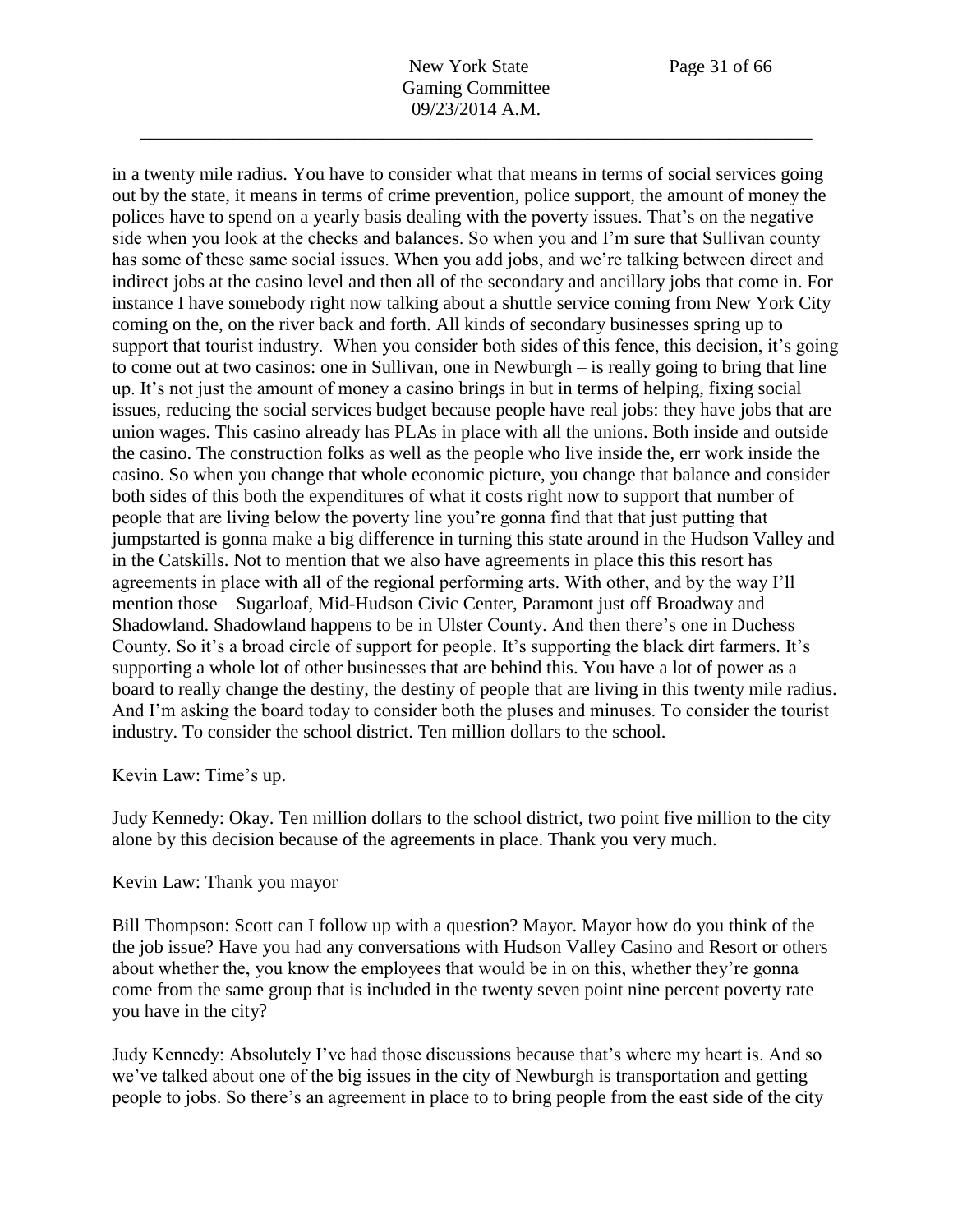in a twenty mile radius. You have to consider what that means in terms of social services going out by the state, it means in terms of crime prevention, police support, the amount of money the polices have to spend on a yearly basis dealing with the poverty issues. That's on the negative side when you look at the checks and balances. So when you and I'm sure that Sullivan county has some of these same social issues. When you add jobs, and we're talking between direct and indirect jobs at the casino level and then all of the secondary and ancillary jobs that come in. For instance I have somebody right now talking about a shuttle service coming from New York City coming on the, on the river back and forth. All kinds of secondary businesses spring up to support that tourist industry. When you consider both sides of this fence, this decision, it's going to come out at two casinos: one in Sullivan, one in Newburgh – is really going to bring that line up. It's not just the amount of money a casino brings in but in terms of helping, fixing social issues, reducing the social services budget because people have real jobs: they have jobs that are union wages. This casino already has PLAs in place with all the unions. Both inside and outside the casino. The construction folks as well as the people who live inside the, err work inside the casino. So when you change that whole economic picture, you change that balance and consider both sides of this both the expenditures of what it costs right now to support that number of people that are living below the poverty line you're gonna find that that just putting that jumpstarted is gonna make a big difference in turning this state around in the Hudson Valley and in the Catskills. Not to mention that we also have agreements in place this this resort has agreements in place with all of the regional performing arts. With other, and by the way I'll mention those – Sugarloaf, Mid-Hudson Civic Center, Paramont just off Broadway and Shadowland. Shadowland happens to be in Ulster County. And then there's one in Duchess County. So it's a broad circle of support for people. It's supporting the black dirt farmers. It's supporting a whole lot of other businesses that are behind this. You have a lot of power as a board to really change the destiny, the destiny of people that are living in this twenty mile radius. And I'm asking the board today to consider both the pluses and minuses. To consider the tourist industry. To consider the school district. Ten million dollars to the school.

Kevin Law: Time's up.

Judy Kennedy: Okay. Ten million dollars to the school district, two point five million to the city alone by this decision because of the agreements in place. Thank you very much.

## Kevin Law: Thank you mayor

Bill Thompson: Scott can I follow up with a question? Mayor. Mayor how do you think of the the job issue? Have you had any conversations with Hudson Valley Casino and Resort or others about whether the, you know the employees that would be in on this, whether they're gonna come from the same group that is included in the twenty seven point nine percent poverty rate you have in the city?

Judy Kennedy: Absolutely I've had those discussions because that's where my heart is. And so we've talked about one of the big issues in the city of Newburgh is transportation and getting people to jobs. So there's an agreement in place to to bring people from the east side of the city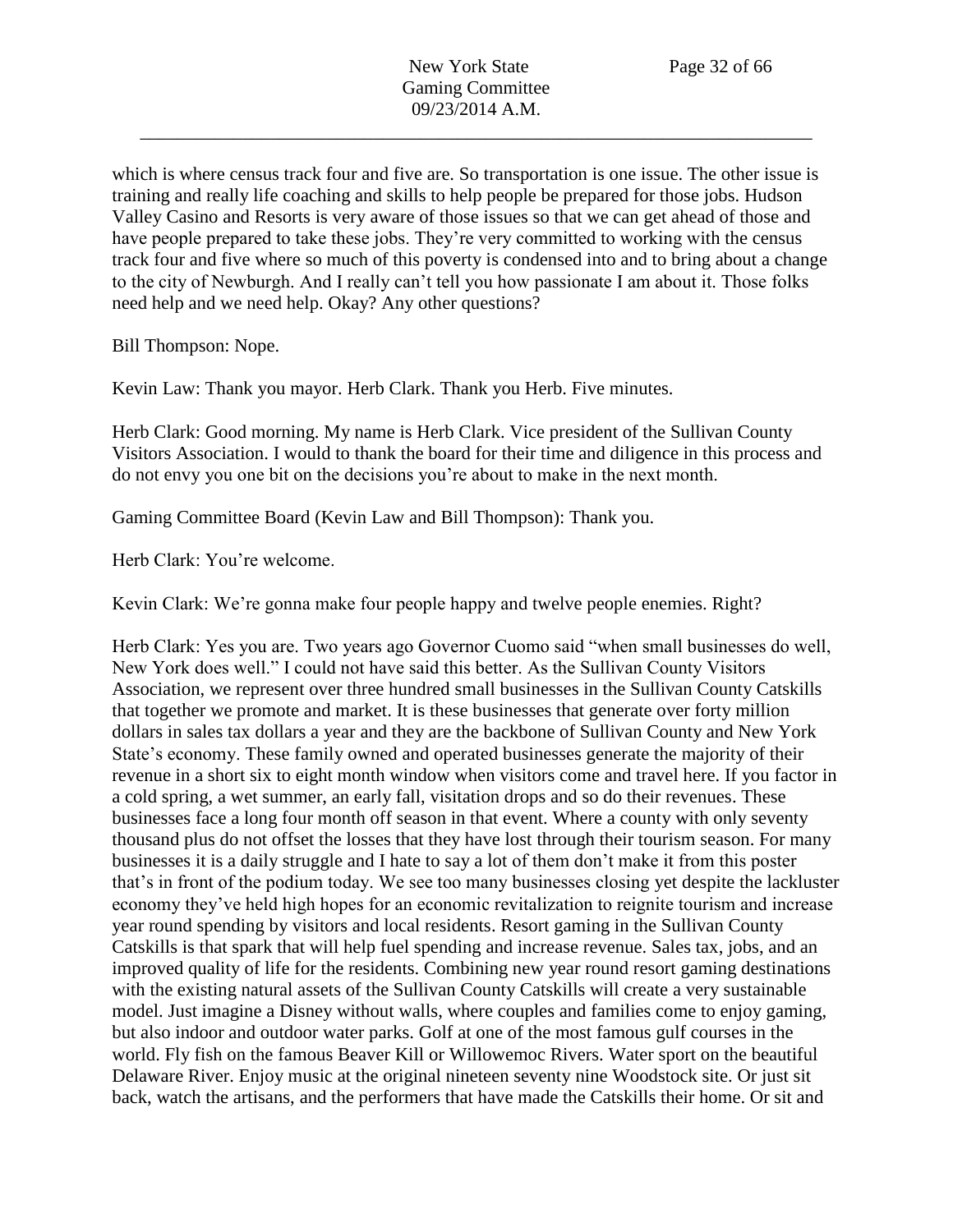which is where census track four and five are. So transportation is one issue. The other issue is training and really life coaching and skills to help people be prepared for those jobs. Hudson Valley Casino and Resorts is very aware of those issues so that we can get ahead of those and have people prepared to take these jobs. They're very committed to working with the census track four and five where so much of this poverty is condensed into and to bring about a change to the city of Newburgh. And I really can't tell you how passionate I am about it. Those folks need help and we need help. Okay? Any other questions?

Bill Thompson: Nope.

Kevin Law: Thank you mayor. Herb Clark. Thank you Herb. Five minutes.

Herb Clark: Good morning. My name is Herb Clark. Vice president of the Sullivan County Visitors Association. I would to thank the board for their time and diligence in this process and do not envy you one bit on the decisions you're about to make in the next month.

Gaming Committee Board (Kevin Law and Bill Thompson): Thank you.

Herb Clark: You're welcome.

Kevin Clark: We're gonna make four people happy and twelve people enemies. Right?

Herb Clark: Yes you are. Two years ago Governor Cuomo said "when small businesses do well, New York does well." I could not have said this better. As the Sullivan County Visitors Association, we represent over three hundred small businesses in the Sullivan County Catskills that together we promote and market. It is these businesses that generate over forty million dollars in sales tax dollars a year and they are the backbone of Sullivan County and New York State's economy. These family owned and operated businesses generate the majority of their revenue in a short six to eight month window when visitors come and travel here. If you factor in a cold spring, a wet summer, an early fall, visitation drops and so do their revenues. These businesses face a long four month off season in that event. Where a county with only seventy thousand plus do not offset the losses that they have lost through their tourism season. For many businesses it is a daily struggle and I hate to say a lot of them don't make it from this poster that's in front of the podium today. We see too many businesses closing yet despite the lackluster economy they've held high hopes for an economic revitalization to reignite tourism and increase year round spending by visitors and local residents. Resort gaming in the Sullivan County Catskills is that spark that will help fuel spending and increase revenue. Sales tax, jobs, and an improved quality of life for the residents. Combining new year round resort gaming destinations with the existing natural assets of the Sullivan County Catskills will create a very sustainable model. Just imagine a Disney without walls, where couples and families come to enjoy gaming, but also indoor and outdoor water parks. Golf at one of the most famous gulf courses in the world. Fly fish on the famous Beaver Kill or Willowemoc Rivers. Water sport on the beautiful Delaware River. Enjoy music at the original nineteen seventy nine Woodstock site. Or just sit back, watch the artisans, and the performers that have made the Catskills their home. Or sit and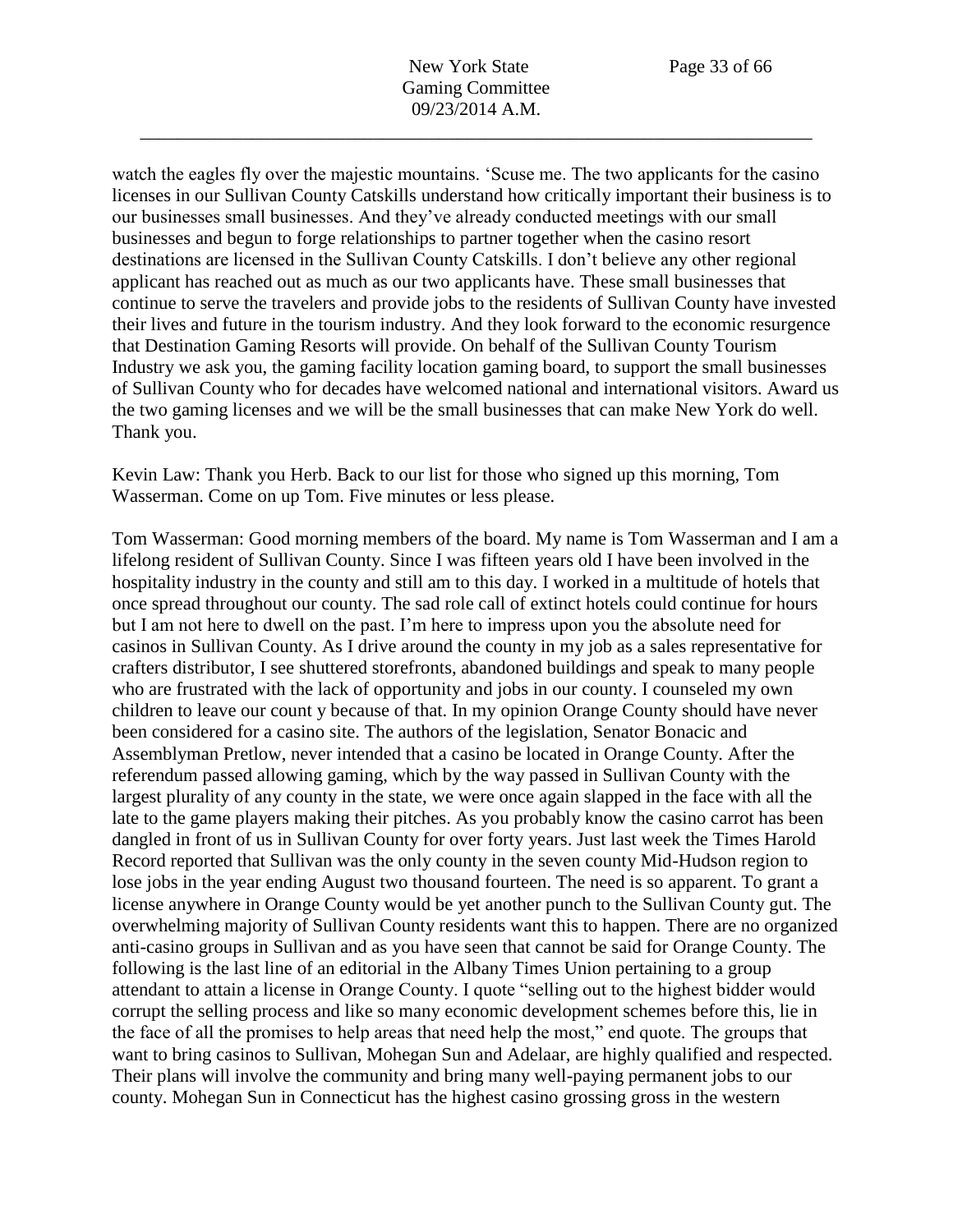watch the eagles fly over the majestic mountains. 'Scuse me. The two applicants for the casino licenses in our Sullivan County Catskills understand how critically important their business is to our businesses small businesses. And they've already conducted meetings with our small businesses and begun to forge relationships to partner together when the casino resort destinations are licensed in the Sullivan County Catskills. I don't believe any other regional applicant has reached out as much as our two applicants have. These small businesses that continue to serve the travelers and provide jobs to the residents of Sullivan County have invested their lives and future in the tourism industry. And they look forward to the economic resurgence that Destination Gaming Resorts will provide. On behalf of the Sullivan County Tourism Industry we ask you, the gaming facility location gaming board, to support the small businesses of Sullivan County who for decades have welcomed national and international visitors. Award us the two gaming licenses and we will be the small businesses that can make New York do well. Thank you.

Kevin Law: Thank you Herb. Back to our list for those who signed up this morning, Tom Wasserman. Come on up Tom. Five minutes or less please.

Tom Wasserman: Good morning members of the board. My name is Tom Wasserman and I am a lifelong resident of Sullivan County. Since I was fifteen years old I have been involved in the hospitality industry in the county and still am to this day. I worked in a multitude of hotels that once spread throughout our county. The sad role call of extinct hotels could continue for hours but I am not here to dwell on the past. I'm here to impress upon you the absolute need for casinos in Sullivan County. As I drive around the county in my job as a sales representative for crafters distributor, I see shuttered storefronts, abandoned buildings and speak to many people who are frustrated with the lack of opportunity and jobs in our county. I counseled my own children to leave our count y because of that. In my opinion Orange County should have never been considered for a casino site. The authors of the legislation, Senator Bonacic and Assemblyman Pretlow, never intended that a casino be located in Orange County. After the referendum passed allowing gaming, which by the way passed in Sullivan County with the largest plurality of any county in the state, we were once again slapped in the face with all the late to the game players making their pitches. As you probably know the casino carrot has been dangled in front of us in Sullivan County for over forty years. Just last week the Times Harold Record reported that Sullivan was the only county in the seven county Mid-Hudson region to lose jobs in the year ending August two thousand fourteen. The need is so apparent. To grant a license anywhere in Orange County would be yet another punch to the Sullivan County gut. The overwhelming majority of Sullivan County residents want this to happen. There are no organized anti-casino groups in Sullivan and as you have seen that cannot be said for Orange County. The following is the last line of an editorial in the Albany Times Union pertaining to a group attendant to attain a license in Orange County. I quote "selling out to the highest bidder would corrupt the selling process and like so many economic development schemes before this, lie in the face of all the promises to help areas that need help the most," end quote. The groups that want to bring casinos to Sullivan, Mohegan Sun and Adelaar, are highly qualified and respected. Their plans will involve the community and bring many well-paying permanent jobs to our county. Mohegan Sun in Connecticut has the highest casino grossing gross in the western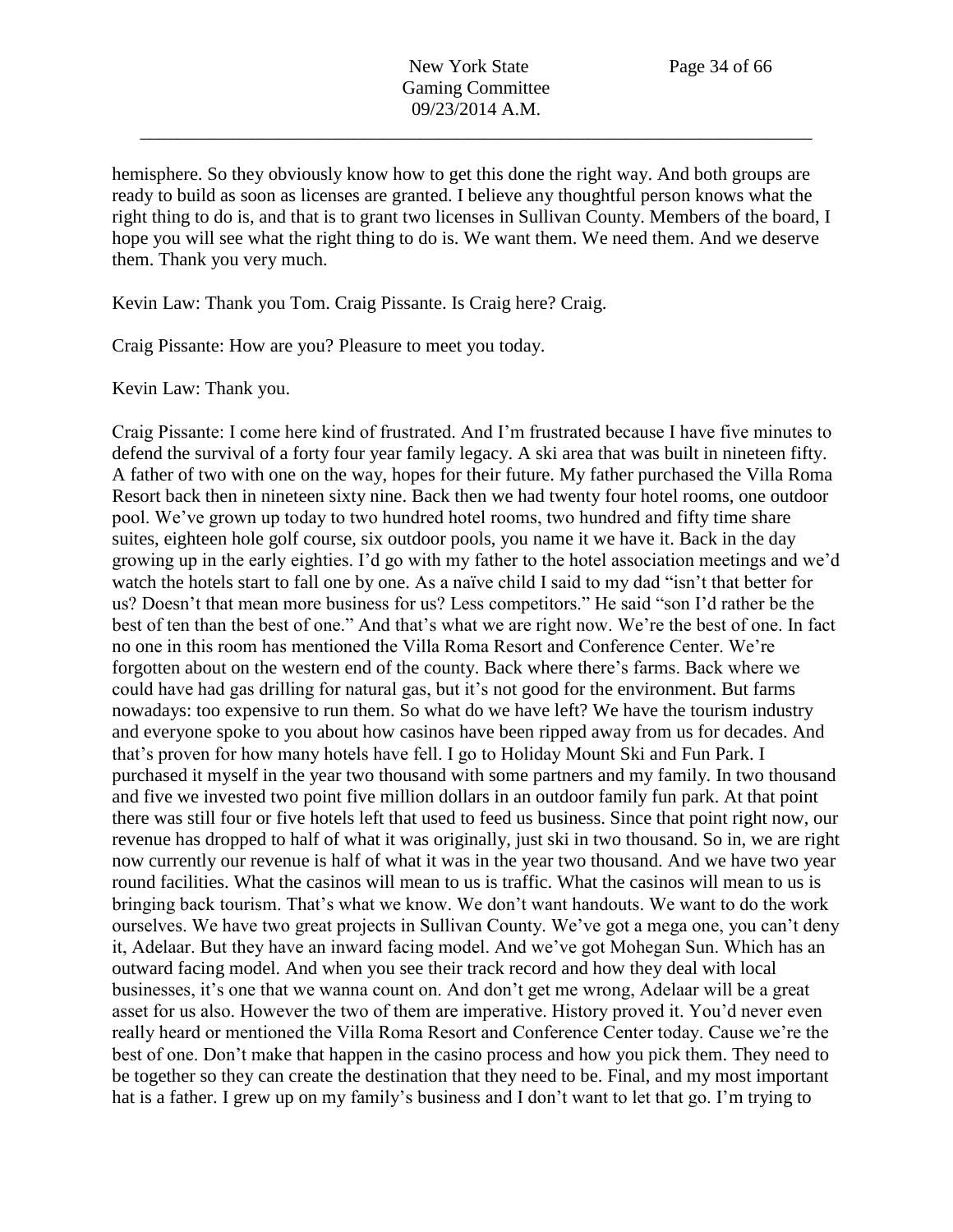hemisphere. So they obviously know how to get this done the right way. And both groups are ready to build as soon as licenses are granted. I believe any thoughtful person knows what the right thing to do is, and that is to grant two licenses in Sullivan County. Members of the board, I hope you will see what the right thing to do is. We want them. We need them. And we deserve them. Thank you very much.

Kevin Law: Thank you Tom. Craig Pissante. Is Craig here? Craig.

Craig Pissante: How are you? Pleasure to meet you today.

Kevin Law: Thank you.

Craig Pissante: I come here kind of frustrated. And I'm frustrated because I have five minutes to defend the survival of a forty four year family legacy. A ski area that was built in nineteen fifty. A father of two with one on the way, hopes for their future. My father purchased the Villa Roma Resort back then in nineteen sixty nine. Back then we had twenty four hotel rooms, one outdoor pool. We've grown up today to two hundred hotel rooms, two hundred and fifty time share suites, eighteen hole golf course, six outdoor pools, you name it we have it. Back in the day growing up in the early eighties. I'd go with my father to the hotel association meetings and we'd watch the hotels start to fall one by one. As a naïve child I said to my dad "isn't that better for us? Doesn't that mean more business for us? Less competitors." He said "son I'd rather be the best of ten than the best of one." And that's what we are right now. We're the best of one. In fact no one in this room has mentioned the Villa Roma Resort and Conference Center. We're forgotten about on the western end of the county. Back where there's farms. Back where we could have had gas drilling for natural gas, but it's not good for the environment. But farms nowadays: too expensive to run them. So what do we have left? We have the tourism industry and everyone spoke to you about how casinos have been ripped away from us for decades. And that's proven for how many hotels have fell. I go to Holiday Mount Ski and Fun Park. I purchased it myself in the year two thousand with some partners and my family. In two thousand and five we invested two point five million dollars in an outdoor family fun park. At that point there was still four or five hotels left that used to feed us business. Since that point right now, our revenue has dropped to half of what it was originally, just ski in two thousand. So in, we are right now currently our revenue is half of what it was in the year two thousand. And we have two year round facilities. What the casinos will mean to us is traffic. What the casinos will mean to us is bringing back tourism. That's what we know. We don't want handouts. We want to do the work ourselves. We have two great projects in Sullivan County. We've got a mega one, you can't deny it, Adelaar. But they have an inward facing model. And we've got Mohegan Sun. Which has an outward facing model. And when you see their track record and how they deal with local businesses, it's one that we wanna count on. And don't get me wrong, Adelaar will be a great asset for us also. However the two of them are imperative. History proved it. You'd never even really heard or mentioned the Villa Roma Resort and Conference Center today. Cause we're the best of one. Don't make that happen in the casino process and how you pick them. They need to be together so they can create the destination that they need to be. Final, and my most important hat is a father. I grew up on my family's business and I don't want to let that go. I'm trying to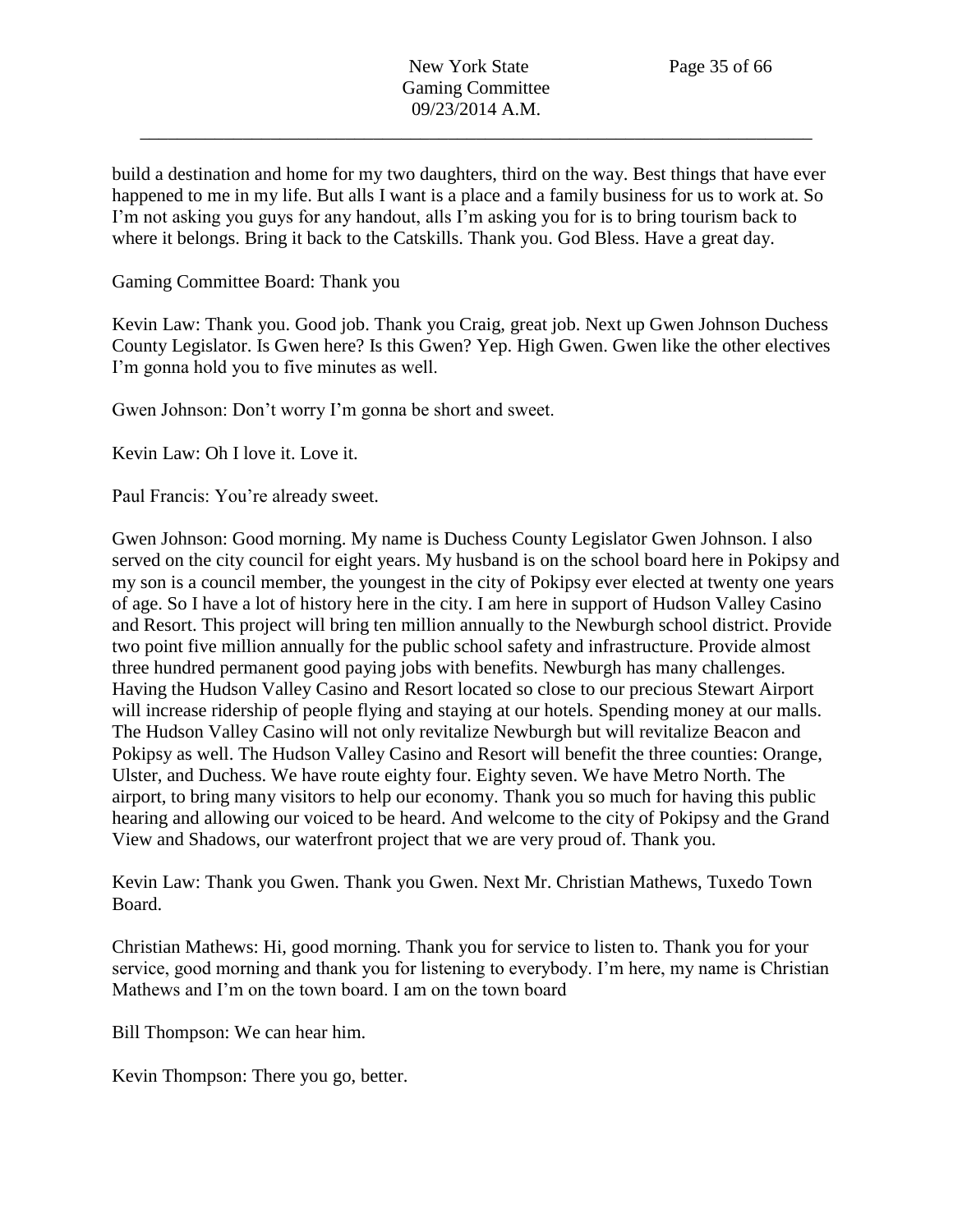build a destination and home for my two daughters, third on the way. Best things that have ever happened to me in my life. But alls I want is a place and a family business for us to work at. So I'm not asking you guys for any handout, alls I'm asking you for is to bring tourism back to where it belongs. Bring it back to the Catskills. Thank you. God Bless. Have a great day.

## Gaming Committee Board: Thank you

Kevin Law: Thank you. Good job. Thank you Craig, great job. Next up Gwen Johnson Duchess County Legislator. Is Gwen here? Is this Gwen? Yep. High Gwen. Gwen like the other electives I'm gonna hold you to five minutes as well.

Gwen Johnson: Don't worry I'm gonna be short and sweet.

Kevin Law: Oh I love it. Love it.

Paul Francis: You're already sweet.

Gwen Johnson: Good morning. My name is Duchess County Legislator Gwen Johnson. I also served on the city council for eight years. My husband is on the school board here in Pokipsy and my son is a council member, the youngest in the city of Pokipsy ever elected at twenty one years of age. So I have a lot of history here in the city. I am here in support of Hudson Valley Casino and Resort. This project will bring ten million annually to the Newburgh school district. Provide two point five million annually for the public school safety and infrastructure. Provide almost three hundred permanent good paying jobs with benefits. Newburgh has many challenges. Having the Hudson Valley Casino and Resort located so close to our precious Stewart Airport will increase ridership of people flying and staying at our hotels. Spending money at our malls. The Hudson Valley Casino will not only revitalize Newburgh but will revitalize Beacon and Pokipsy as well. The Hudson Valley Casino and Resort will benefit the three counties: Orange, Ulster, and Duchess. We have route eighty four. Eighty seven. We have Metro North. The airport, to bring many visitors to help our economy. Thank you so much for having this public hearing and allowing our voiced to be heard. And welcome to the city of Pokipsy and the Grand View and Shadows, our waterfront project that we are very proud of. Thank you.

Kevin Law: Thank you Gwen. Thank you Gwen. Next Mr. Christian Mathews, Tuxedo Town Board.

Christian Mathews: Hi, good morning. Thank you for service to listen to. Thank you for your service, good morning and thank you for listening to everybody. I'm here, my name is Christian Mathews and I'm on the town board. I am on the town board

Bill Thompson: We can hear him.

Kevin Thompson: There you go, better.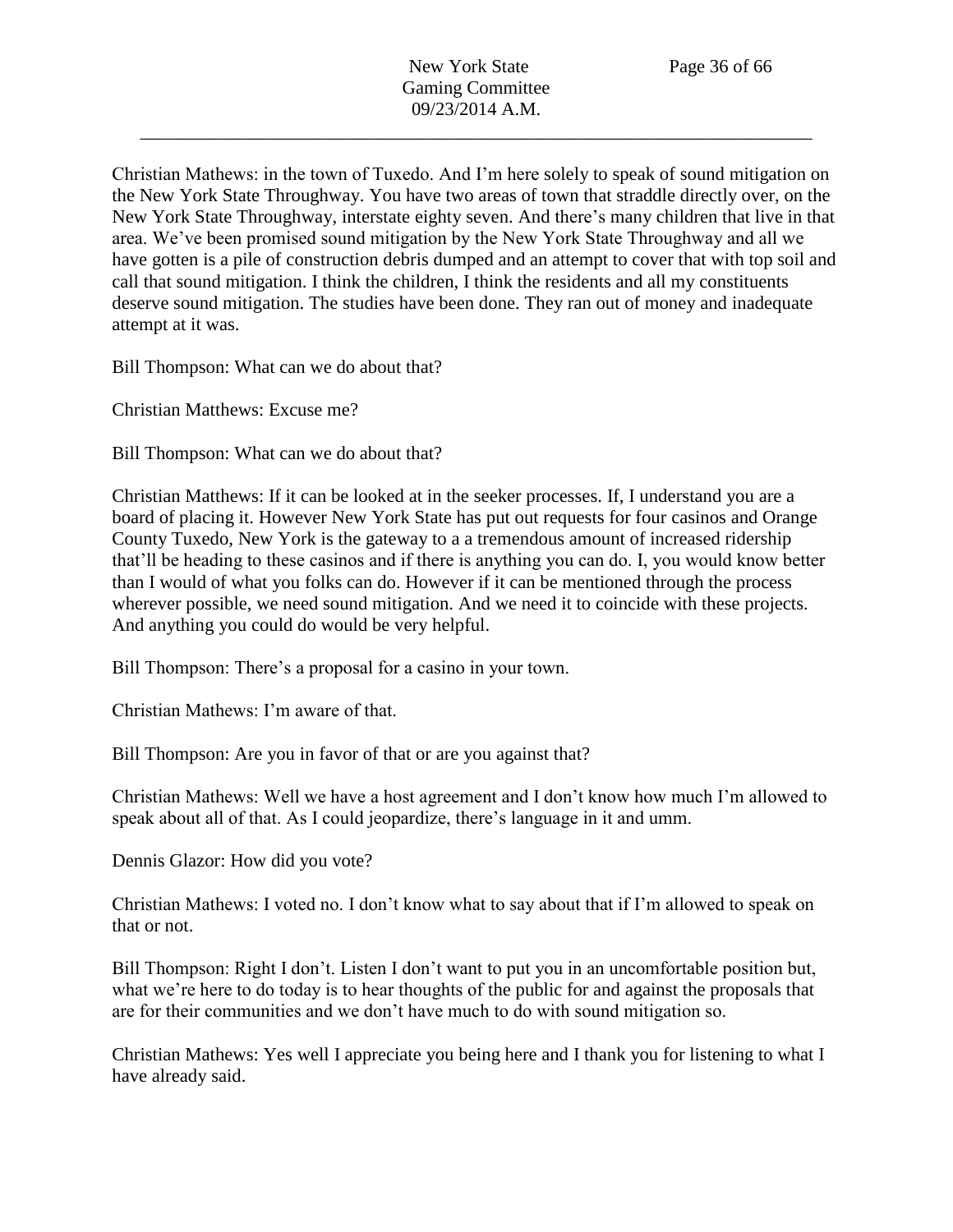Christian Mathews: in the town of Tuxedo. And I'm here solely to speak of sound mitigation on the New York State Throughway. You have two areas of town that straddle directly over, on the New York State Throughway, interstate eighty seven. And there's many children that live in that area. We've been promised sound mitigation by the New York State Throughway and all we have gotten is a pile of construction debris dumped and an attempt to cover that with top soil and call that sound mitigation. I think the children, I think the residents and all my constituents deserve sound mitigation. The studies have been done. They ran out of money and inadequate attempt at it was.

Bill Thompson: What can we do about that?

Christian Matthews: Excuse me?

Bill Thompson: What can we do about that?

Christian Matthews: If it can be looked at in the seeker processes. If, I understand you are a board of placing it. However New York State has put out requests for four casinos and Orange County Tuxedo, New York is the gateway to a a tremendous amount of increased ridership that'll be heading to these casinos and if there is anything you can do. I, you would know better than I would of what you folks can do. However if it can be mentioned through the process wherever possible, we need sound mitigation. And we need it to coincide with these projects. And anything you could do would be very helpful.

Bill Thompson: There's a proposal for a casino in your town.

Christian Mathews: I'm aware of that.

Bill Thompson: Are you in favor of that or are you against that?

Christian Mathews: Well we have a host agreement and I don't know how much I'm allowed to speak about all of that. As I could jeopardize, there's language in it and umm.

Dennis Glazor: How did you vote?

Christian Mathews: I voted no. I don't know what to say about that if I'm allowed to speak on that or not.

Bill Thompson: Right I don't. Listen I don't want to put you in an uncomfortable position but, what we're here to do today is to hear thoughts of the public for and against the proposals that are for their communities and we don't have much to do with sound mitigation so.

Christian Mathews: Yes well I appreciate you being here and I thank you for listening to what I have already said.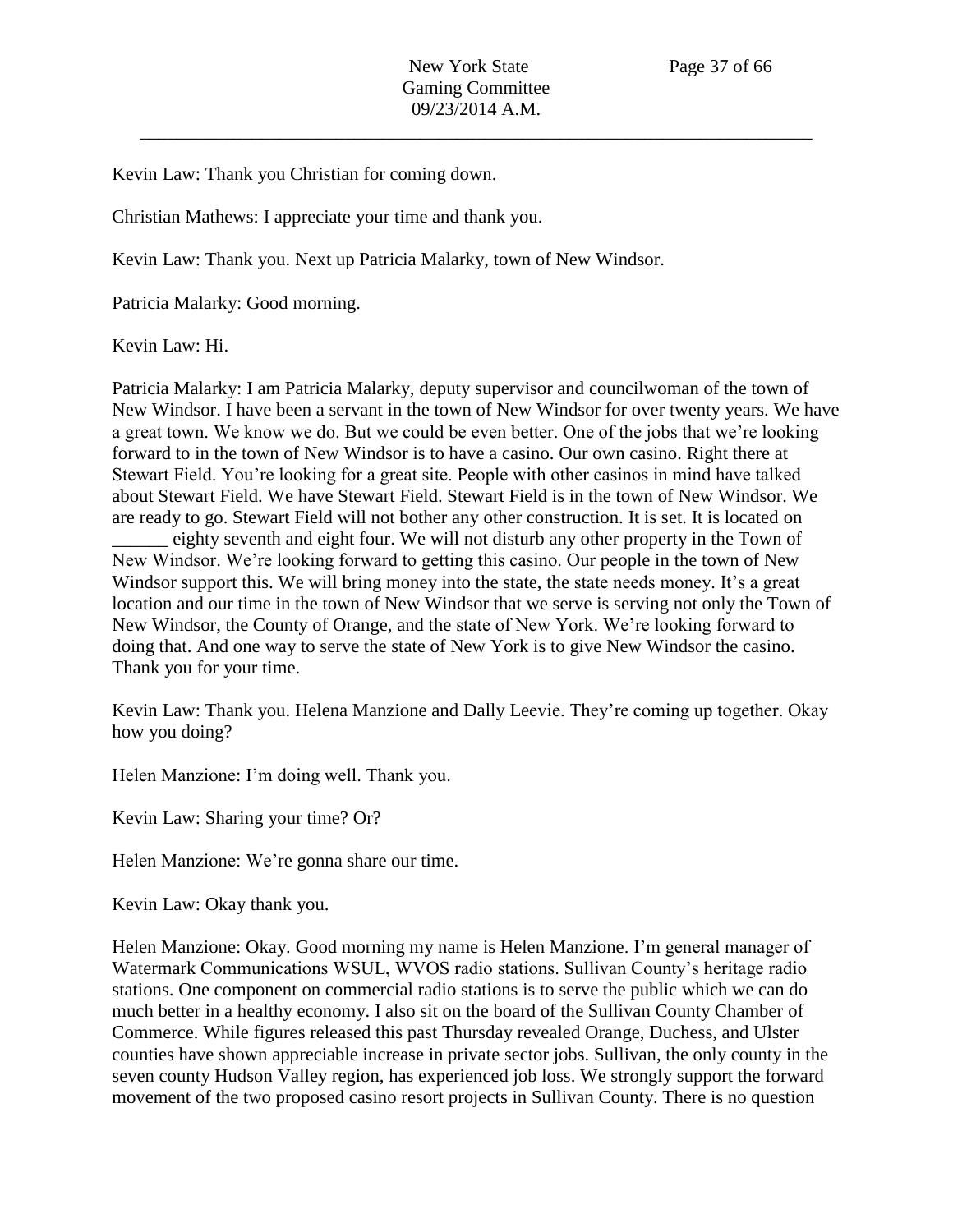Kevin Law: Thank you Christian for coming down.

Christian Mathews: I appreciate your time and thank you.

Kevin Law: Thank you. Next up Patricia Malarky, town of New Windsor.

Patricia Malarky: Good morning.

Kevin Law: Hi.

Patricia Malarky: I am Patricia Malarky, deputy supervisor and councilwoman of the town of New Windsor. I have been a servant in the town of New Windsor for over twenty years. We have a great town. We know we do. But we could be even better. One of the jobs that we're looking forward to in the town of New Windsor is to have a casino. Our own casino. Right there at Stewart Field. You're looking for a great site. People with other casinos in mind have talked about Stewart Field. We have Stewart Field. Stewart Field is in the town of New Windsor. We are ready to go. Stewart Field will not bother any other construction. It is set. It is located on eighty seventh and eight four. We will not disturb any other property in the Town of New Windsor. We're looking forward to getting this casino. Our people in the town of New Windsor support this. We will bring money into the state, the state needs money. It's a great location and our time in the town of New Windsor that we serve is serving not only the Town of New Windsor, the County of Orange, and the state of New York. We're looking forward to doing that. And one way to serve the state of New York is to give New Windsor the casino. Thank you for your time.

Kevin Law: Thank you. Helena Manzione and Dally Leevie. They're coming up together. Okay how you doing?

Helen Manzione: I'm doing well. Thank you.

Kevin Law: Sharing your time? Or?

Helen Manzione: We're gonna share our time.

Kevin Law: Okay thank you.

Helen Manzione: Okay. Good morning my name is Helen Manzione. I'm general manager of Watermark Communications WSUL, WVOS radio stations. Sullivan County's heritage radio stations. One component on commercial radio stations is to serve the public which we can do much better in a healthy economy. I also sit on the board of the Sullivan County Chamber of Commerce. While figures released this past Thursday revealed Orange, Duchess, and Ulster counties have shown appreciable increase in private sector jobs. Sullivan, the only county in the seven county Hudson Valley region, has experienced job loss. We strongly support the forward movement of the two proposed casino resort projects in Sullivan County. There is no question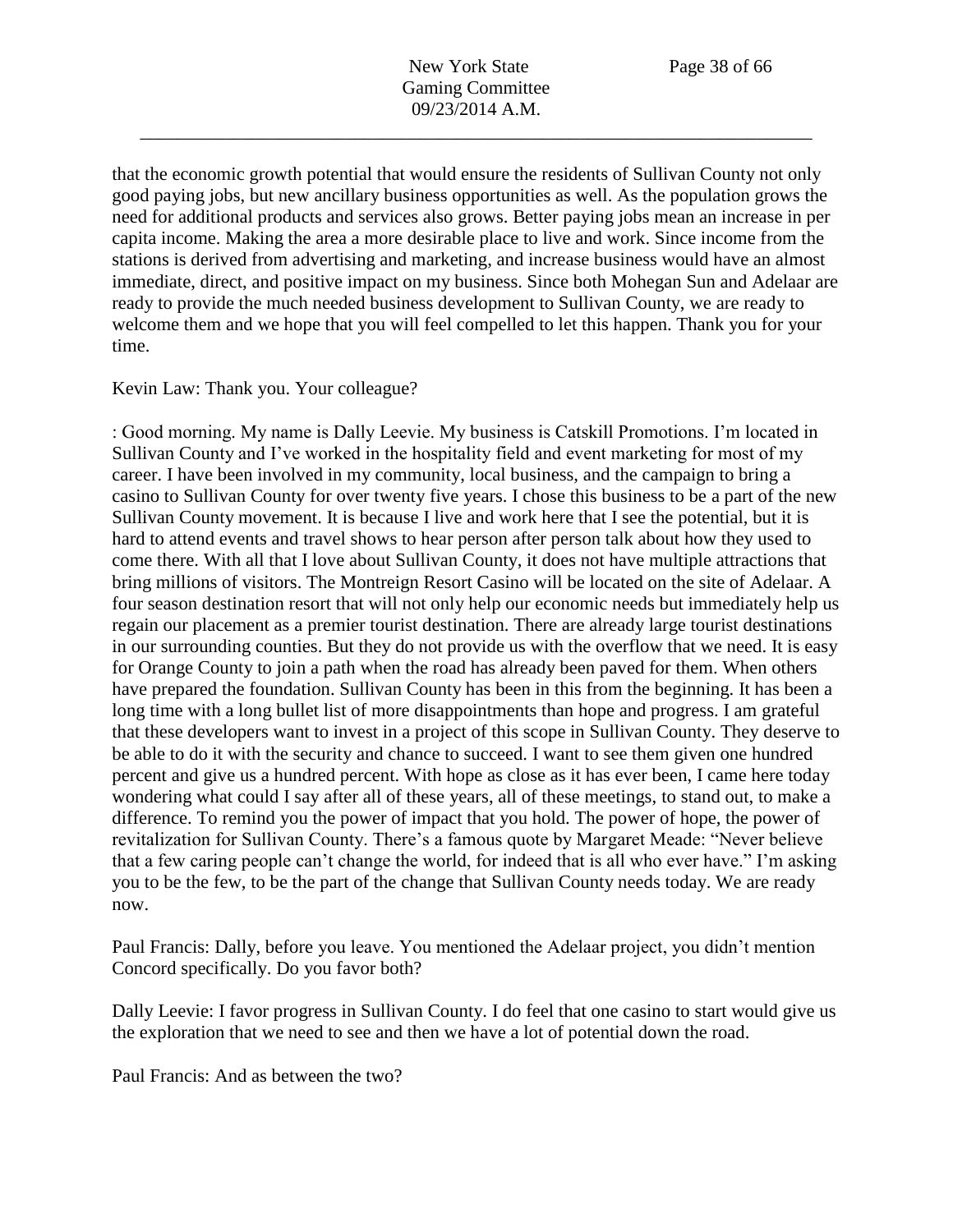that the economic growth potential that would ensure the residents of Sullivan County not only good paying jobs, but new ancillary business opportunities as well. As the population grows the need for additional products and services also grows. Better paying jobs mean an increase in per capita income. Making the area a more desirable place to live and work. Since income from the stations is derived from advertising and marketing, and increase business would have an almost immediate, direct, and positive impact on my business. Since both Mohegan Sun and Adelaar are ready to provide the much needed business development to Sullivan County, we are ready to welcome them and we hope that you will feel compelled to let this happen. Thank you for your time.

# Kevin Law: Thank you. Your colleague?

: Good morning. My name is Dally Leevie. My business is Catskill Promotions. I'm located in Sullivan County and I've worked in the hospitality field and event marketing for most of my career. I have been involved in my community, local business, and the campaign to bring a casino to Sullivan County for over twenty five years. I chose this business to be a part of the new Sullivan County movement. It is because I live and work here that I see the potential, but it is hard to attend events and travel shows to hear person after person talk about how they used to come there. With all that I love about Sullivan County, it does not have multiple attractions that bring millions of visitors. The Montreign Resort Casino will be located on the site of Adelaar. A four season destination resort that will not only help our economic needs but immediately help us regain our placement as a premier tourist destination. There are already large tourist destinations in our surrounding counties. But they do not provide us with the overflow that we need. It is easy for Orange County to join a path when the road has already been paved for them. When others have prepared the foundation. Sullivan County has been in this from the beginning. It has been a long time with a long bullet list of more disappointments than hope and progress. I am grateful that these developers want to invest in a project of this scope in Sullivan County. They deserve to be able to do it with the security and chance to succeed. I want to see them given one hundred percent and give us a hundred percent. With hope as close as it has ever been, I came here today wondering what could I say after all of these years, all of these meetings, to stand out, to make a difference. To remind you the power of impact that you hold. The power of hope, the power of revitalization for Sullivan County. There's a famous quote by Margaret Meade: "Never believe that a few caring people can't change the world, for indeed that is all who ever have." I'm asking you to be the few, to be the part of the change that Sullivan County needs today. We are ready now.

Paul Francis: Dally, before you leave. You mentioned the Adelaar project, you didn't mention Concord specifically. Do you favor both?

Dally Leevie: I favor progress in Sullivan County. I do feel that one casino to start would give us the exploration that we need to see and then we have a lot of potential down the road.

Paul Francis: And as between the two?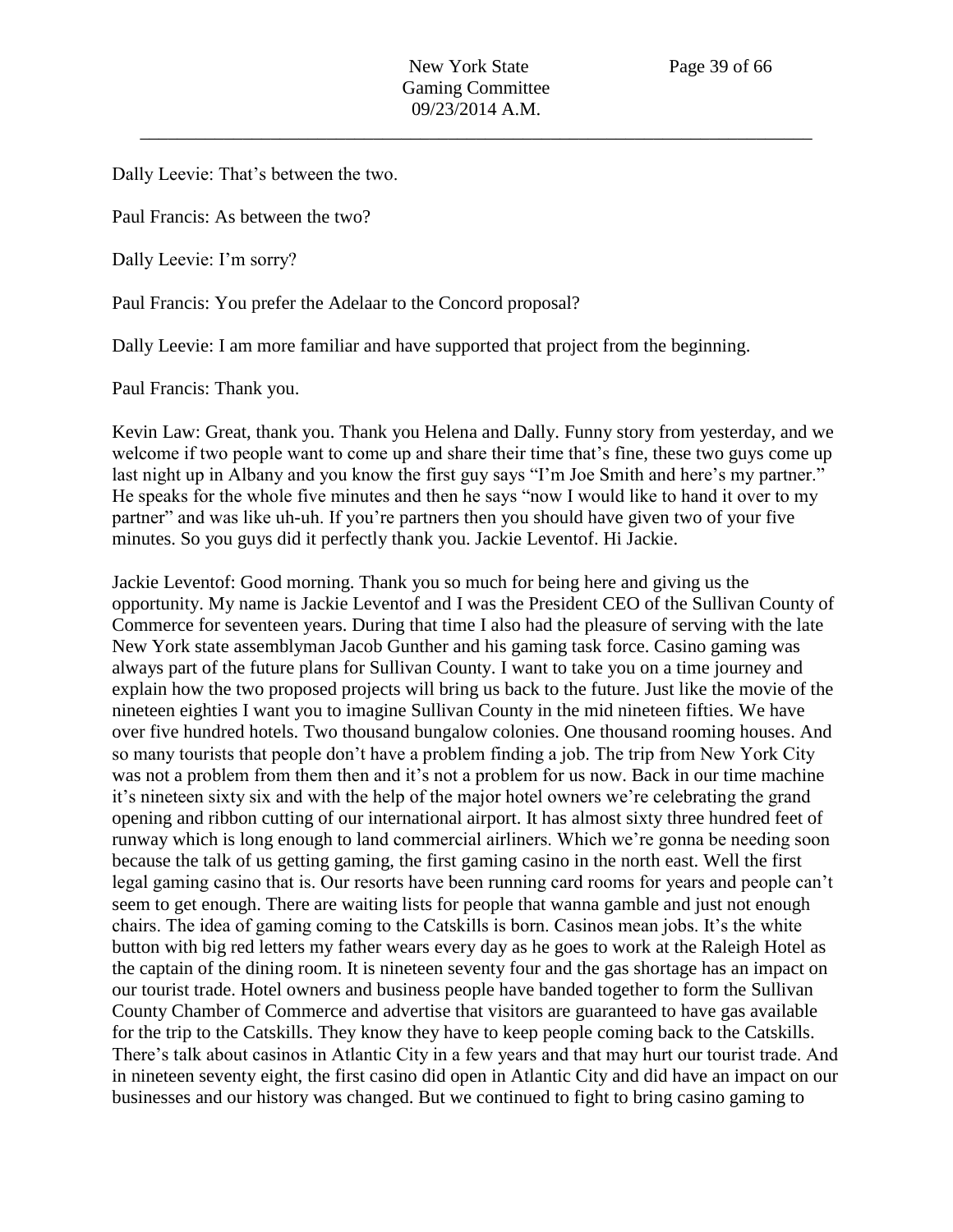Dally Leevie: That's between the two.

Paul Francis: As between the two?

Dally Leevie: I'm sorry?

Paul Francis: You prefer the Adelaar to the Concord proposal?

Dally Leevie: I am more familiar and have supported that project from the beginning.

Paul Francis: Thank you.

Kevin Law: Great, thank you. Thank you Helena and Dally. Funny story from yesterday, and we welcome if two people want to come up and share their time that's fine, these two guys come up last night up in Albany and you know the first guy says "I'm Joe Smith and here's my partner." He speaks for the whole five minutes and then he says "now I would like to hand it over to my partner" and was like uh-uh. If you're partners then you should have given two of your five minutes. So you guys did it perfectly thank you. Jackie Leventof. Hi Jackie.

Jackie Leventof: Good morning. Thank you so much for being here and giving us the opportunity. My name is Jackie Leventof and I was the President CEO of the Sullivan County of Commerce for seventeen years. During that time I also had the pleasure of serving with the late New York state assemblyman Jacob Gunther and his gaming task force. Casino gaming was always part of the future plans for Sullivan County. I want to take you on a time journey and explain how the two proposed projects will bring us back to the future. Just like the movie of the nineteen eighties I want you to imagine Sullivan County in the mid nineteen fifties. We have over five hundred hotels. Two thousand bungalow colonies. One thousand rooming houses. And so many tourists that people don't have a problem finding a job. The trip from New York City was not a problem from them then and it's not a problem for us now. Back in our time machine it's nineteen sixty six and with the help of the major hotel owners we're celebrating the grand opening and ribbon cutting of our international airport. It has almost sixty three hundred feet of runway which is long enough to land commercial airliners. Which we're gonna be needing soon because the talk of us getting gaming, the first gaming casino in the north east. Well the first legal gaming casino that is. Our resorts have been running card rooms for years and people can't seem to get enough. There are waiting lists for people that wanna gamble and just not enough chairs. The idea of gaming coming to the Catskills is born. Casinos mean jobs. It's the white button with big red letters my father wears every day as he goes to work at the Raleigh Hotel as the captain of the dining room. It is nineteen seventy four and the gas shortage has an impact on our tourist trade. Hotel owners and business people have banded together to form the Sullivan County Chamber of Commerce and advertise that visitors are guaranteed to have gas available for the trip to the Catskills. They know they have to keep people coming back to the Catskills. There's talk about casinos in Atlantic City in a few years and that may hurt our tourist trade. And in nineteen seventy eight, the first casino did open in Atlantic City and did have an impact on our businesses and our history was changed. But we continued to fight to bring casino gaming to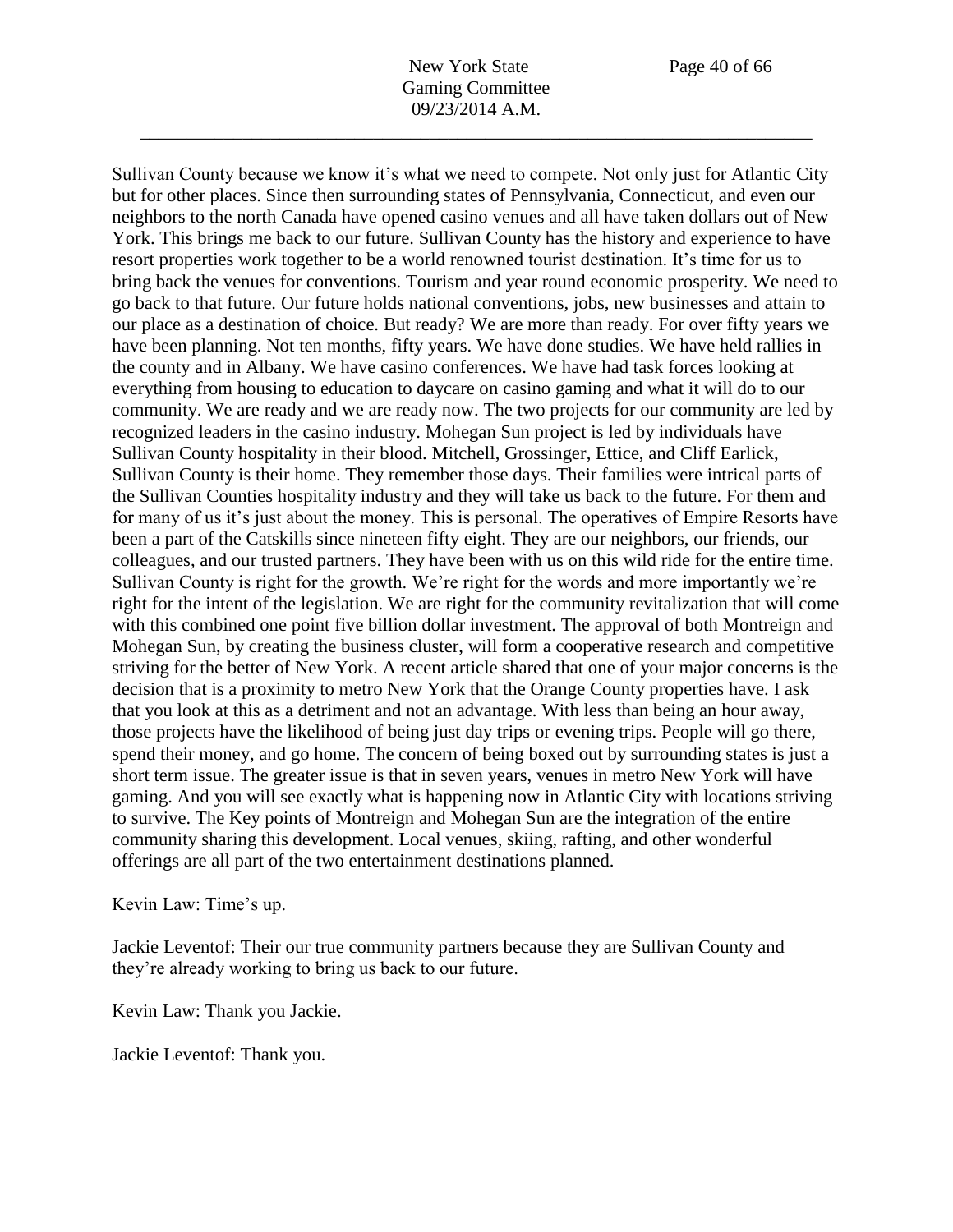Sullivan County because we know it's what we need to compete. Not only just for Atlantic City

but for other places. Since then surrounding states of Pennsylvania, Connecticut, and even our neighbors to the north Canada have opened casino venues and all have taken dollars out of New York. This brings me back to our future. Sullivan County has the history and experience to have resort properties work together to be a world renowned tourist destination. It's time for us to bring back the venues for conventions. Tourism and year round economic prosperity. We need to go back to that future. Our future holds national conventions, jobs, new businesses and attain to our place as a destination of choice. But ready? We are more than ready. For over fifty years we have been planning. Not ten months, fifty years. We have done studies. We have held rallies in the county and in Albany. We have casino conferences. We have had task forces looking at everything from housing to education to daycare on casino gaming and what it will do to our community. We are ready and we are ready now. The two projects for our community are led by recognized leaders in the casino industry. Mohegan Sun project is led by individuals have Sullivan County hospitality in their blood. Mitchell, Grossinger, Ettice, and Cliff Earlick, Sullivan County is their home. They remember those days. Their families were intrical parts of the Sullivan Counties hospitality industry and they will take us back to the future. For them and for many of us it's just about the money. This is personal. The operatives of Empire Resorts have been a part of the Catskills since nineteen fifty eight. They are our neighbors, our friends, our colleagues, and our trusted partners. They have been with us on this wild ride for the entire time. Sullivan County is right for the growth. We're right for the words and more importantly we're right for the intent of the legislation. We are right for the community revitalization that will come with this combined one point five billion dollar investment. The approval of both Montreign and Mohegan Sun, by creating the business cluster, will form a cooperative research and competitive striving for the better of New York. A recent article shared that one of your major concerns is the decision that is a proximity to metro New York that the Orange County properties have. I ask that you look at this as a detriment and not an advantage. With less than being an hour away, those projects have the likelihood of being just day trips or evening trips. People will go there, spend their money, and go home. The concern of being boxed out by surrounding states is just a short term issue. The greater issue is that in seven years, venues in metro New York will have gaming. And you will see exactly what is happening now in Atlantic City with locations striving to survive. The Key points of Montreign and Mohegan Sun are the integration of the entire community sharing this development. Local venues, skiing, rafting, and other wonderful offerings are all part of the two entertainment destinations planned.

Kevin Law: Time's up.

Jackie Leventof: Their our true community partners because they are Sullivan County and they're already working to bring us back to our future.

Kevin Law: Thank you Jackie.

Jackie Leventof: Thank you.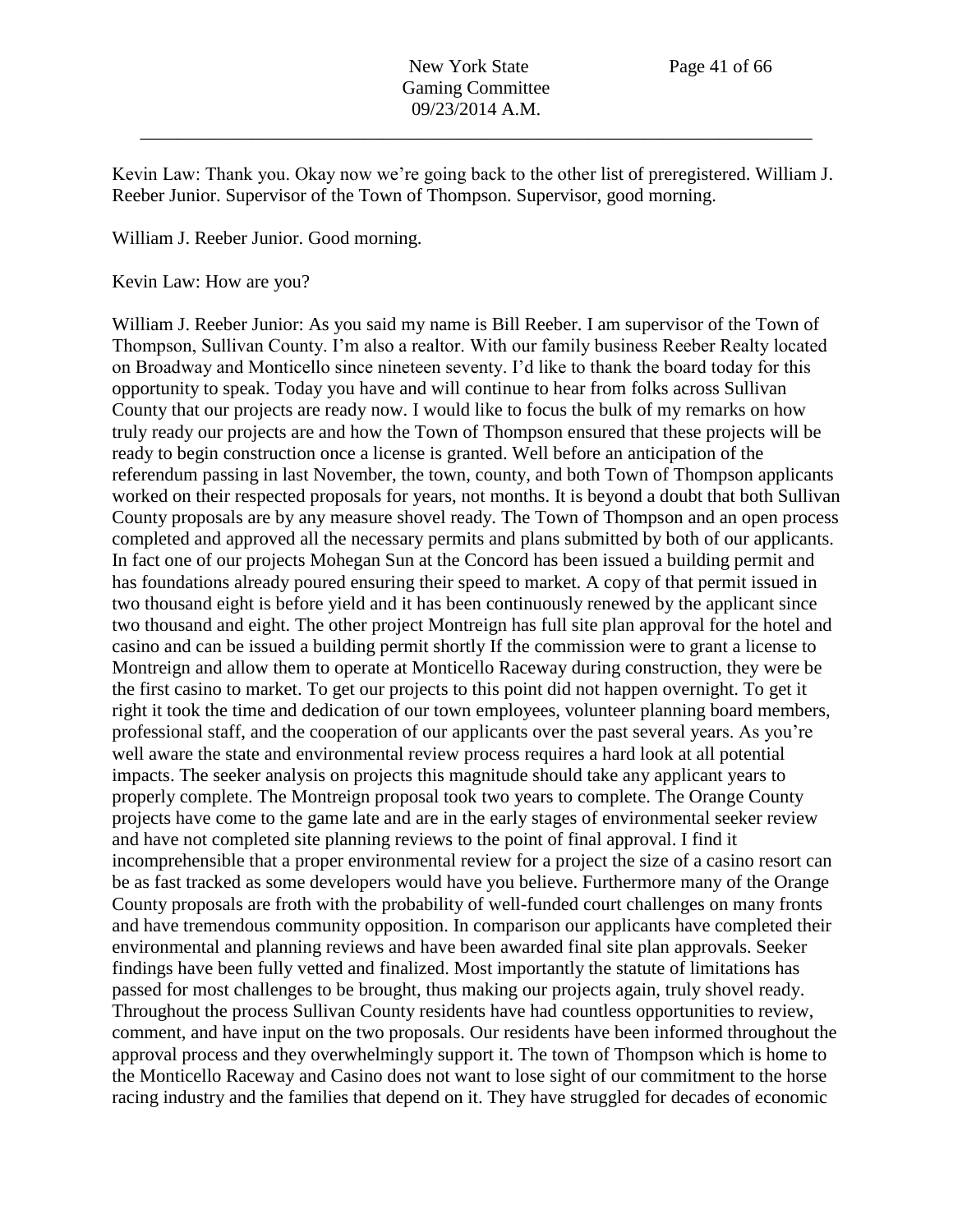Kevin Law: Thank you. Okay now we're going back to the other list of preregistered. William J. Reeber Junior. Supervisor of the Town of Thompson. Supervisor, good morning.

William J. Reeber Junior. Good morning.

Kevin Law: How are you?

William J. Reeber Junior: As you said my name is Bill Reeber. I am supervisor of the Town of Thompson, Sullivan County. I'm also a realtor. With our family business Reeber Realty located on Broadway and Monticello since nineteen seventy. I'd like to thank the board today for this opportunity to speak. Today you have and will continue to hear from folks across Sullivan County that our projects are ready now. I would like to focus the bulk of my remarks on how truly ready our projects are and how the Town of Thompson ensured that these projects will be ready to begin construction once a license is granted. Well before an anticipation of the referendum passing in last November, the town, county, and both Town of Thompson applicants worked on their respected proposals for years, not months. It is beyond a doubt that both Sullivan County proposals are by any measure shovel ready. The Town of Thompson and an open process completed and approved all the necessary permits and plans submitted by both of our applicants. In fact one of our projects Mohegan Sun at the Concord has been issued a building permit and has foundations already poured ensuring their speed to market. A copy of that permit issued in two thousand eight is before yield and it has been continuously renewed by the applicant since two thousand and eight. The other project Montreign has full site plan approval for the hotel and casino and can be issued a building permit shortly If the commission were to grant a license to Montreign and allow them to operate at Monticello Raceway during construction, they were be the first casino to market. To get our projects to this point did not happen overnight. To get it right it took the time and dedication of our town employees, volunteer planning board members, professional staff, and the cooperation of our applicants over the past several years. As you're well aware the state and environmental review process requires a hard look at all potential impacts. The seeker analysis on projects this magnitude should take any applicant years to properly complete. The Montreign proposal took two years to complete. The Orange County projects have come to the game late and are in the early stages of environmental seeker review and have not completed site planning reviews to the point of final approval. I find it incomprehensible that a proper environmental review for a project the size of a casino resort can be as fast tracked as some developers would have you believe. Furthermore many of the Orange County proposals are froth with the probability of well-funded court challenges on many fronts and have tremendous community opposition. In comparison our applicants have completed their environmental and planning reviews and have been awarded final site plan approvals. Seeker findings have been fully vetted and finalized. Most importantly the statute of limitations has passed for most challenges to be brought, thus making our projects again, truly shovel ready. Throughout the process Sullivan County residents have had countless opportunities to review, comment, and have input on the two proposals. Our residents have been informed throughout the approval process and they overwhelmingly support it. The town of Thompson which is home to the Monticello Raceway and Casino does not want to lose sight of our commitment to the horse racing industry and the families that depend on it. They have struggled for decades of economic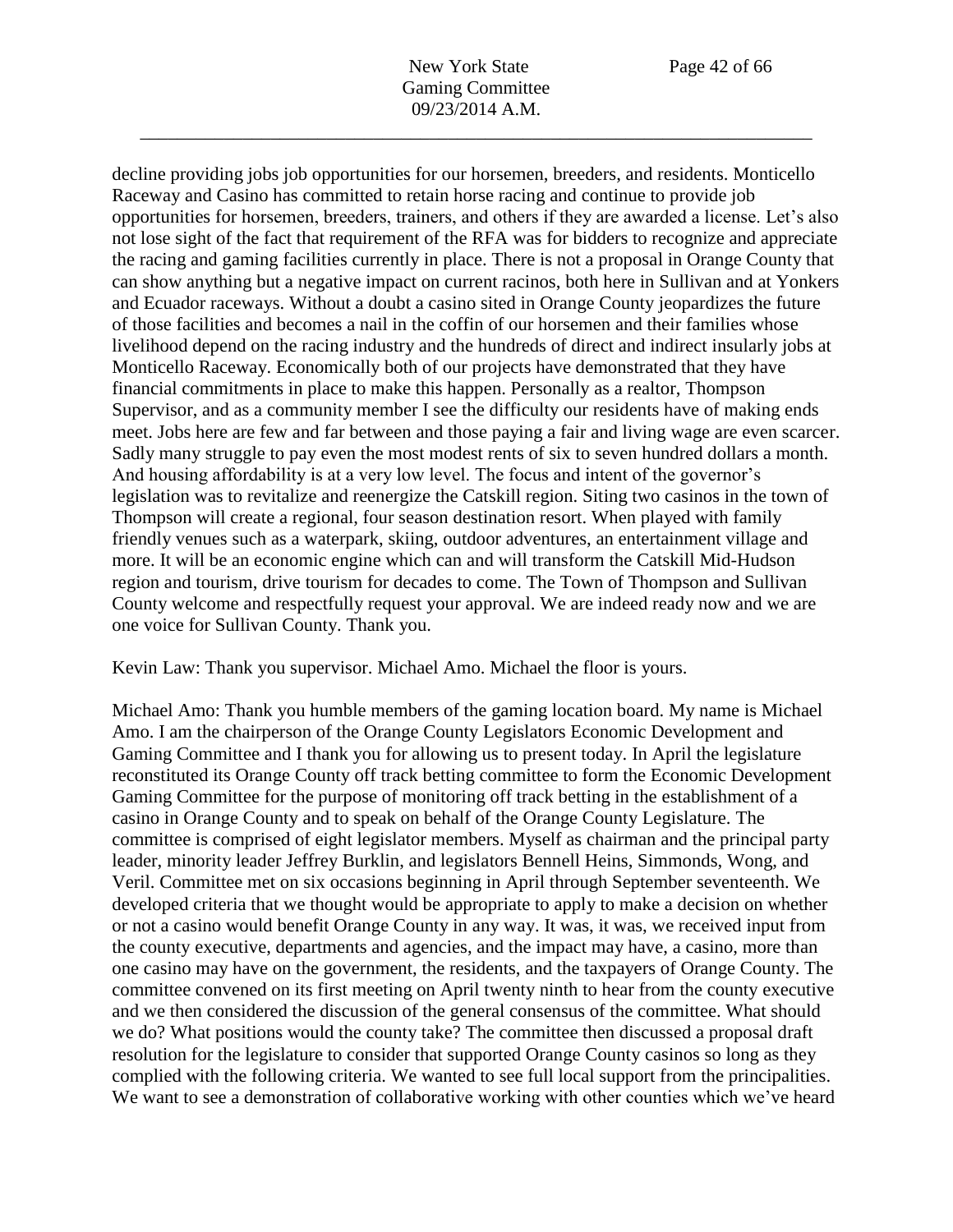decline providing jobs job opportunities for our horsemen, breeders, and residents. Monticello Raceway and Casino has committed to retain horse racing and continue to provide job opportunities for horsemen, breeders, trainers, and others if they are awarded a license. Let's also not lose sight of the fact that requirement of the RFA was for bidders to recognize and appreciate the racing and gaming facilities currently in place. There is not a proposal in Orange County that can show anything but a negative impact on current racinos, both here in Sullivan and at Yonkers and Ecuador raceways. Without a doubt a casino sited in Orange County jeopardizes the future of those facilities and becomes a nail in the coffin of our horsemen and their families whose livelihood depend on the racing industry and the hundreds of direct and indirect insularly jobs at Monticello Raceway. Economically both of our projects have demonstrated that they have financial commitments in place to make this happen. Personally as a realtor, Thompson Supervisor, and as a community member I see the difficulty our residents have of making ends meet. Jobs here are few and far between and those paying a fair and living wage are even scarcer. Sadly many struggle to pay even the most modest rents of six to seven hundred dollars a month. And housing affordability is at a very low level. The focus and intent of the governor's legislation was to revitalize and reenergize the Catskill region. Siting two casinos in the town of Thompson will create a regional, four season destination resort. When played with family friendly venues such as a waterpark, skiing, outdoor adventures, an entertainment village and more. It will be an economic engine which can and will transform the Catskill Mid-Hudson region and tourism, drive tourism for decades to come. The Town of Thompson and Sullivan County welcome and respectfully request your approval. We are indeed ready now and we are one voice for Sullivan County. Thank you.

Kevin Law: Thank you supervisor. Michael Amo. Michael the floor is yours.

Michael Amo: Thank you humble members of the gaming location board. My name is Michael Amo. I am the chairperson of the Orange County Legislators Economic Development and Gaming Committee and I thank you for allowing us to present today. In April the legislature reconstituted its Orange County off track betting committee to form the Economic Development Gaming Committee for the purpose of monitoring off track betting in the establishment of a casino in Orange County and to speak on behalf of the Orange County Legislature. The committee is comprised of eight legislator members. Myself as chairman and the principal party leader, minority leader Jeffrey Burklin, and legislators Bennell Heins, Simmonds, Wong, and Veril. Committee met on six occasions beginning in April through September seventeenth. We developed criteria that we thought would be appropriate to apply to make a decision on whether or not a casino would benefit Orange County in any way. It was, it was, we received input from the county executive, departments and agencies, and the impact may have, a casino, more than one casino may have on the government, the residents, and the taxpayers of Orange County. The committee convened on its first meeting on April twenty ninth to hear from the county executive and we then considered the discussion of the general consensus of the committee. What should we do? What positions would the county take? The committee then discussed a proposal draft resolution for the legislature to consider that supported Orange County casinos so long as they complied with the following criteria. We wanted to see full local support from the principalities. We want to see a demonstration of collaborative working with other counties which we've heard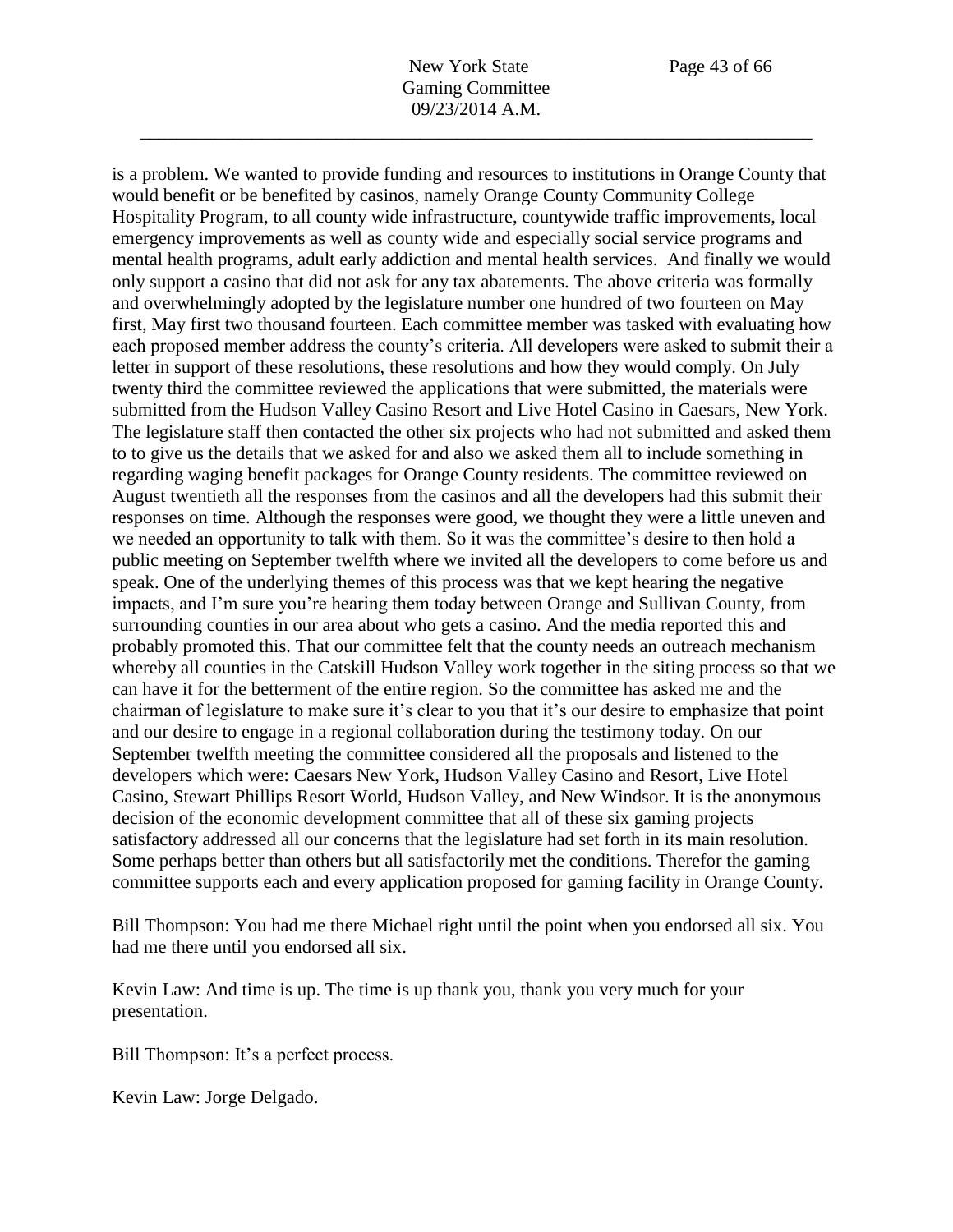is a problem. We wanted to provide funding and resources to institutions in Orange County that

would benefit or be benefited by casinos, namely Orange County Community College Hospitality Program, to all county wide infrastructure, countywide traffic improvements, local emergency improvements as well as county wide and especially social service programs and mental health programs, adult early addiction and mental health services. And finally we would only support a casino that did not ask for any tax abatements. The above criteria was formally and overwhelmingly adopted by the legislature number one hundred of two fourteen on May first, May first two thousand fourteen. Each committee member was tasked with evaluating how each proposed member address the county's criteria. All developers were asked to submit their a letter in support of these resolutions, these resolutions and how they would comply. On July twenty third the committee reviewed the applications that were submitted, the materials were submitted from the Hudson Valley Casino Resort and Live Hotel Casino in Caesars, New York. The legislature staff then contacted the other six projects who had not submitted and asked them to to give us the details that we asked for and also we asked them all to include something in regarding waging benefit packages for Orange County residents. The committee reviewed on August twentieth all the responses from the casinos and all the developers had this submit their responses on time. Although the responses were good, we thought they were a little uneven and we needed an opportunity to talk with them. So it was the committee's desire to then hold a public meeting on September twelfth where we invited all the developers to come before us and speak. One of the underlying themes of this process was that we kept hearing the negative impacts, and I'm sure you're hearing them today between Orange and Sullivan County, from surrounding counties in our area about who gets a casino. And the media reported this and probably promoted this. That our committee felt that the county needs an outreach mechanism whereby all counties in the Catskill Hudson Valley work together in the siting process so that we can have it for the betterment of the entire region. So the committee has asked me and the chairman of legislature to make sure it's clear to you that it's our desire to emphasize that point and our desire to engage in a regional collaboration during the testimony today. On our September twelfth meeting the committee considered all the proposals and listened to the developers which were: Caesars New York, Hudson Valley Casino and Resort, Live Hotel Casino, Stewart Phillips Resort World, Hudson Valley, and New Windsor. It is the anonymous decision of the economic development committee that all of these six gaming projects satisfactory addressed all our concerns that the legislature had set forth in its main resolution. Some perhaps better than others but all satisfactorily met the conditions. Therefor the gaming committee supports each and every application proposed for gaming facility in Orange County.

Bill Thompson: You had me there Michael right until the point when you endorsed all six. You had me there until you endorsed all six.

Kevin Law: And time is up. The time is up thank you, thank you very much for your presentation.

Bill Thompson: It's a perfect process.

Kevin Law: Jorge Delgado.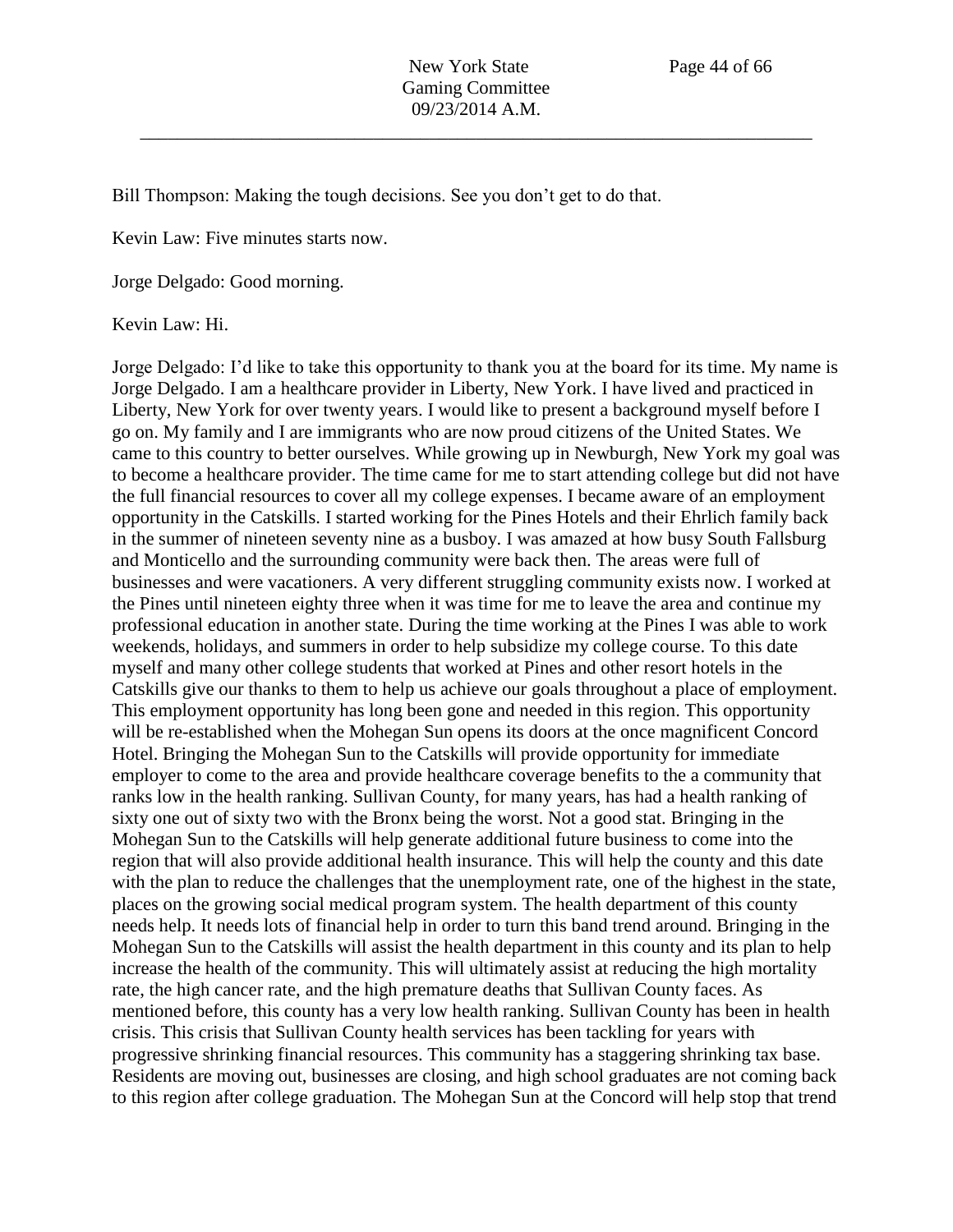Bill Thompson: Making the tough decisions. See you don't get to do that.

Kevin Law: Five minutes starts now.

Jorge Delgado: Good morning.

Kevin Law: Hi.

Jorge Delgado: I'd like to take this opportunity to thank you at the board for its time. My name is Jorge Delgado. I am a healthcare provider in Liberty, New York. I have lived and practiced in Liberty, New York for over twenty years. I would like to present a background myself before I go on. My family and I are immigrants who are now proud citizens of the United States. We came to this country to better ourselves. While growing up in Newburgh, New York my goal was to become a healthcare provider. The time came for me to start attending college but did not have the full financial resources to cover all my college expenses. I became aware of an employment opportunity in the Catskills. I started working for the Pines Hotels and their Ehrlich family back in the summer of nineteen seventy nine as a busboy. I was amazed at how busy South Fallsburg and Monticello and the surrounding community were back then. The areas were full of businesses and were vacationers. A very different struggling community exists now. I worked at the Pines until nineteen eighty three when it was time for me to leave the area and continue my professional education in another state. During the time working at the Pines I was able to work weekends, holidays, and summers in order to help subsidize my college course. To this date myself and many other college students that worked at Pines and other resort hotels in the Catskills give our thanks to them to help us achieve our goals throughout a place of employment. This employment opportunity has long been gone and needed in this region. This opportunity will be re-established when the Mohegan Sun opens its doors at the once magnificent Concord Hotel. Bringing the Mohegan Sun to the Catskills will provide opportunity for immediate employer to come to the area and provide healthcare coverage benefits to the a community that ranks low in the health ranking. Sullivan County, for many years, has had a health ranking of sixty one out of sixty two with the Bronx being the worst. Not a good stat. Bringing in the Mohegan Sun to the Catskills will help generate additional future business to come into the region that will also provide additional health insurance. This will help the county and this date with the plan to reduce the challenges that the unemployment rate, one of the highest in the state, places on the growing social medical program system. The health department of this county needs help. It needs lots of financial help in order to turn this band trend around. Bringing in the Mohegan Sun to the Catskills will assist the health department in this county and its plan to help increase the health of the community. This will ultimately assist at reducing the high mortality rate, the high cancer rate, and the high premature deaths that Sullivan County faces. As mentioned before, this county has a very low health ranking. Sullivan County has been in health crisis. This crisis that Sullivan County health services has been tackling for years with progressive shrinking financial resources. This community has a staggering shrinking tax base. Residents are moving out, businesses are closing, and high school graduates are not coming back to this region after college graduation. The Mohegan Sun at the Concord will help stop that trend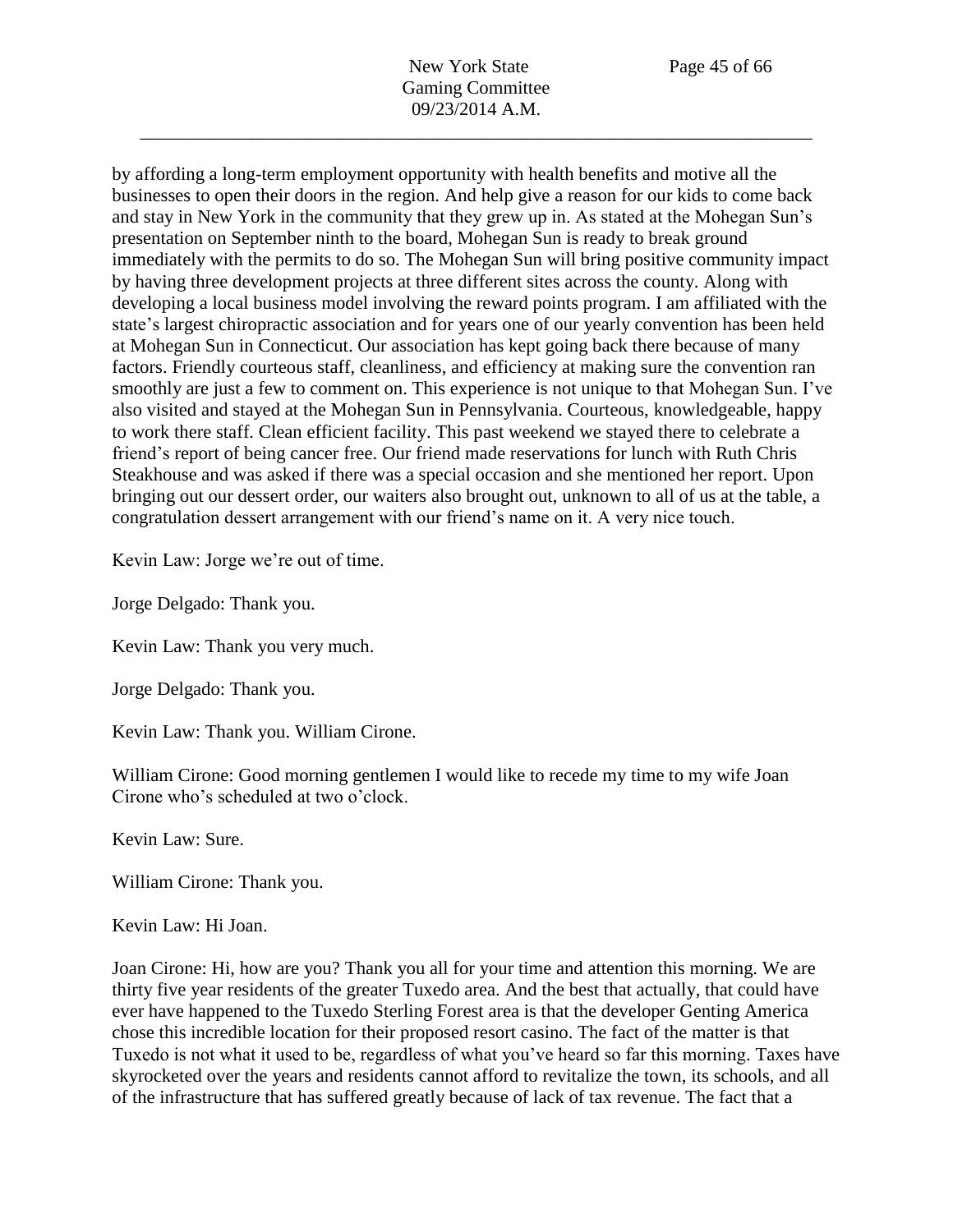by affording a long-term employment opportunity with health benefits and motive all the businesses to open their doors in the region. And help give a reason for our kids to come back and stay in New York in the community that they grew up in. As stated at the Mohegan Sun's presentation on September ninth to the board, Mohegan Sun is ready to break ground immediately with the permits to do so. The Mohegan Sun will bring positive community impact by having three development projects at three different sites across the county. Along with developing a local business model involving the reward points program. I am affiliated with the state's largest chiropractic association and for years one of our yearly convention has been held at Mohegan Sun in Connecticut. Our association has kept going back there because of many factors. Friendly courteous staff, cleanliness, and efficiency at making sure the convention ran smoothly are just a few to comment on. This experience is not unique to that Mohegan Sun. I've also visited and stayed at the Mohegan Sun in Pennsylvania. Courteous, knowledgeable, happy to work there staff. Clean efficient facility. This past weekend we stayed there to celebrate a friend's report of being cancer free. Our friend made reservations for lunch with Ruth Chris Steakhouse and was asked if there was a special occasion and she mentioned her report. Upon bringing out our dessert order, our waiters also brought out, unknown to all of us at the table, a congratulation dessert arrangement with our friend's name on it. A very nice touch.

Kevin Law: Jorge we're out of time.

Jorge Delgado: Thank you.

Kevin Law: Thank you very much.

Jorge Delgado: Thank you.

Kevin Law: Thank you. William Cirone.

William Cirone: Good morning gentlemen I would like to recede my time to my wife Joan Cirone who's scheduled at two o'clock.

Kevin Law: Sure.

William Cirone: Thank you.

Kevin Law: Hi Joan.

Joan Cirone: Hi, how are you? Thank you all for your time and attention this morning. We are thirty five year residents of the greater Tuxedo area. And the best that actually, that could have ever have happened to the Tuxedo Sterling Forest area is that the developer Genting America chose this incredible location for their proposed resort casino. The fact of the matter is that Tuxedo is not what it used to be, regardless of what you've heard so far this morning. Taxes have skyrocketed over the years and residents cannot afford to revitalize the town, its schools, and all of the infrastructure that has suffered greatly because of lack of tax revenue. The fact that a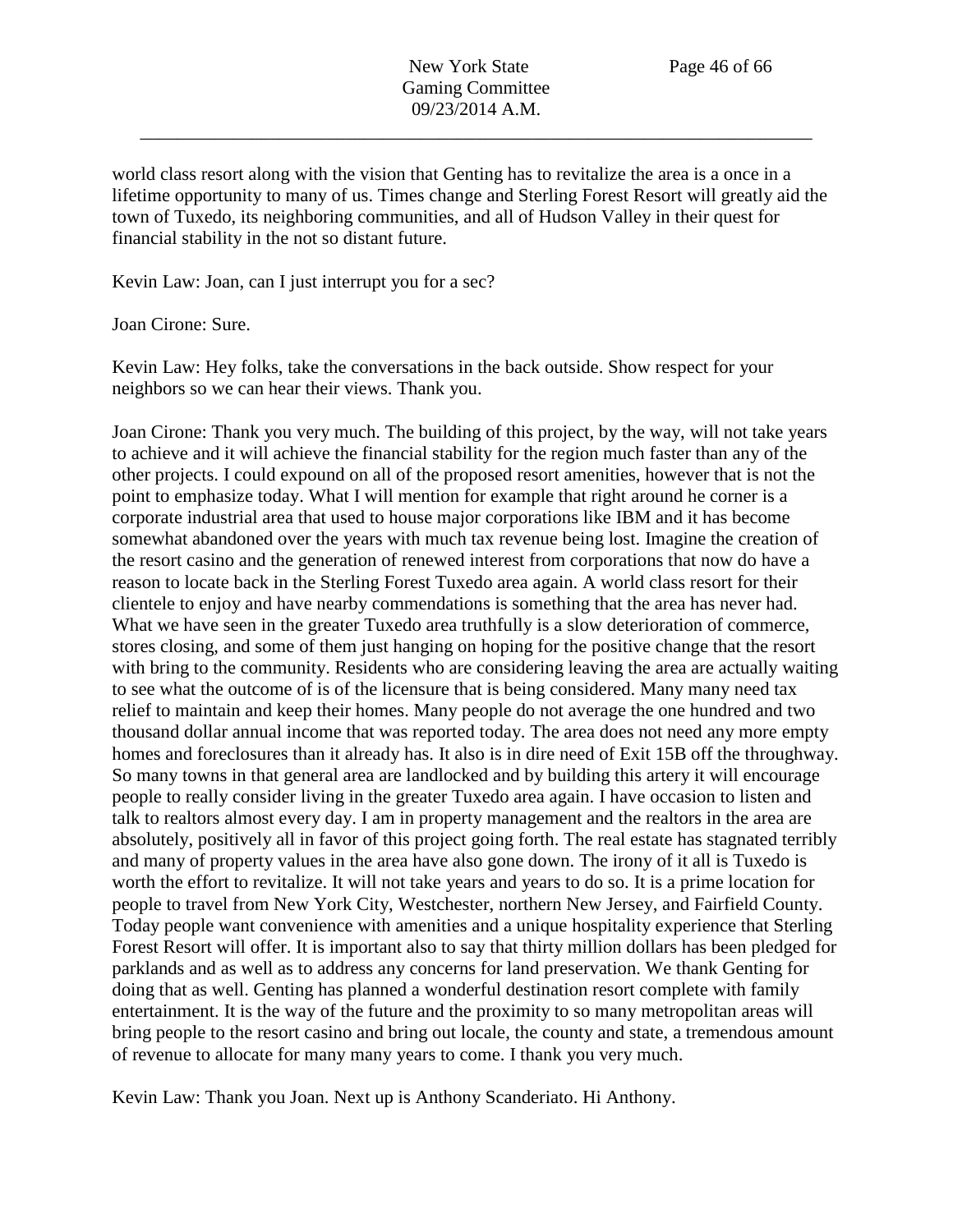world class resort along with the vision that Genting has to revitalize the area is a once in a lifetime opportunity to many of us. Times change and Sterling Forest Resort will greatly aid the town of Tuxedo, its neighboring communities, and all of Hudson Valley in their quest for financial stability in the not so distant future.

Kevin Law: Joan, can I just interrupt you for a sec?

Joan Cirone: Sure.

Kevin Law: Hey folks, take the conversations in the back outside. Show respect for your neighbors so we can hear their views. Thank you.

Joan Cirone: Thank you very much. The building of this project, by the way, will not take years to achieve and it will achieve the financial stability for the region much faster than any of the other projects. I could expound on all of the proposed resort amenities, however that is not the point to emphasize today. What I will mention for example that right around he corner is a corporate industrial area that used to house major corporations like IBM and it has become somewhat abandoned over the years with much tax revenue being lost. Imagine the creation of the resort casino and the generation of renewed interest from corporations that now do have a reason to locate back in the Sterling Forest Tuxedo area again. A world class resort for their clientele to enjoy and have nearby commendations is something that the area has never had. What we have seen in the greater Tuxedo area truthfully is a slow deterioration of commerce, stores closing, and some of them just hanging on hoping for the positive change that the resort with bring to the community. Residents who are considering leaving the area are actually waiting to see what the outcome of is of the licensure that is being considered. Many many need tax relief to maintain and keep their homes. Many people do not average the one hundred and two thousand dollar annual income that was reported today. The area does not need any more empty homes and foreclosures than it already has. It also is in dire need of Exit 15B off the throughway. So many towns in that general area are landlocked and by building this artery it will encourage people to really consider living in the greater Tuxedo area again. I have occasion to listen and talk to realtors almost every day. I am in property management and the realtors in the area are absolutely, positively all in favor of this project going forth. The real estate has stagnated terribly and many of property values in the area have also gone down. The irony of it all is Tuxedo is worth the effort to revitalize. It will not take years and years to do so. It is a prime location for people to travel from New York City, Westchester, northern New Jersey, and Fairfield County. Today people want convenience with amenities and a unique hospitality experience that Sterling Forest Resort will offer. It is important also to say that thirty million dollars has been pledged for parklands and as well as to address any concerns for land preservation. We thank Genting for doing that as well. Genting has planned a wonderful destination resort complete with family entertainment. It is the way of the future and the proximity to so many metropolitan areas will bring people to the resort casino and bring out locale, the county and state, a tremendous amount of revenue to allocate for many many years to come. I thank you very much.

Kevin Law: Thank you Joan. Next up is Anthony Scanderiato. Hi Anthony.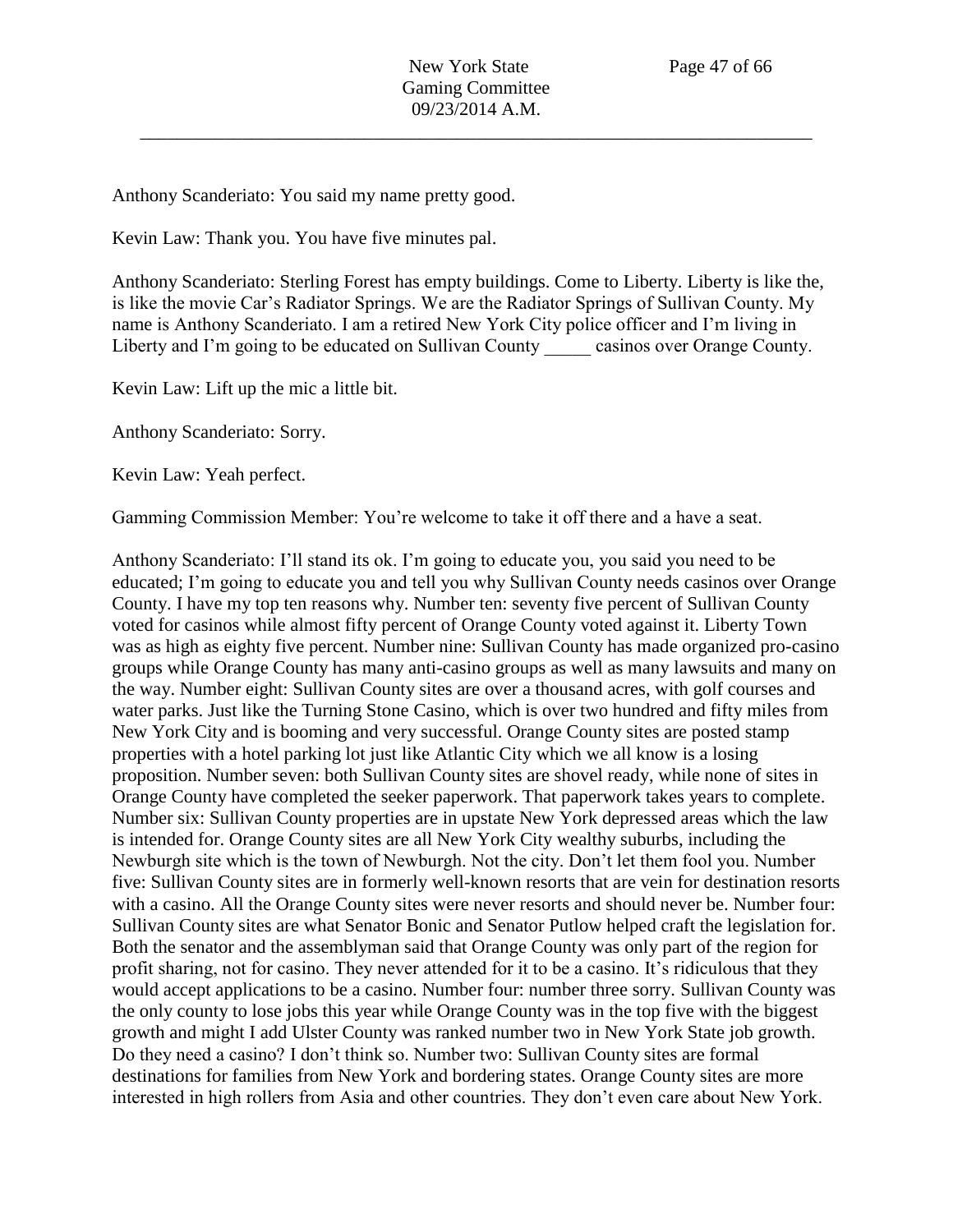Anthony Scanderiato: You said my name pretty good.

Kevin Law: Thank you. You have five minutes pal.

Anthony Scanderiato: Sterling Forest has empty buildings. Come to Liberty. Liberty is like the, is like the movie Car's Radiator Springs. We are the Radiator Springs of Sullivan County. My name is Anthony Scanderiato. I am a retired New York City police officer and I'm living in Liberty and I'm going to be educated on Sullivan County casinos over Orange County.

Kevin Law: Lift up the mic a little bit.

Anthony Scanderiato: Sorry.

Kevin Law: Yeah perfect.

Gamming Commission Member: You're welcome to take it off there and a have a seat.

Anthony Scanderiato: I'll stand its ok. I'm going to educate you, you said you need to be educated; I'm going to educate you and tell you why Sullivan County needs casinos over Orange County. I have my top ten reasons why. Number ten: seventy five percent of Sullivan County voted for casinos while almost fifty percent of Orange County voted against it. Liberty Town was as high as eighty five percent. Number nine: Sullivan County has made organized pro-casino groups while Orange County has many anti-casino groups as well as many lawsuits and many on the way. Number eight: Sullivan County sites are over a thousand acres, with golf courses and water parks. Just like the Turning Stone Casino, which is over two hundred and fifty miles from New York City and is booming and very successful. Orange County sites are posted stamp properties with a hotel parking lot just like Atlantic City which we all know is a losing proposition. Number seven: both Sullivan County sites are shovel ready, while none of sites in Orange County have completed the seeker paperwork. That paperwork takes years to complete. Number six: Sullivan County properties are in upstate New York depressed areas which the law is intended for. Orange County sites are all New York City wealthy suburbs, including the Newburgh site which is the town of Newburgh. Not the city. Don't let them fool you. Number five: Sullivan County sites are in formerly well-known resorts that are vein for destination resorts with a casino. All the Orange County sites were never resorts and should never be. Number four: Sullivan County sites are what Senator Bonic and Senator Putlow helped craft the legislation for. Both the senator and the assemblyman said that Orange County was only part of the region for profit sharing, not for casino. They never attended for it to be a casino. It's ridiculous that they would accept applications to be a casino. Number four: number three sorry. Sullivan County was the only county to lose jobs this year while Orange County was in the top five with the biggest growth and might I add Ulster County was ranked number two in New York State job growth. Do they need a casino? I don't think so. Number two: Sullivan County sites are formal destinations for families from New York and bordering states. Orange County sites are more interested in high rollers from Asia and other countries. They don't even care about New York.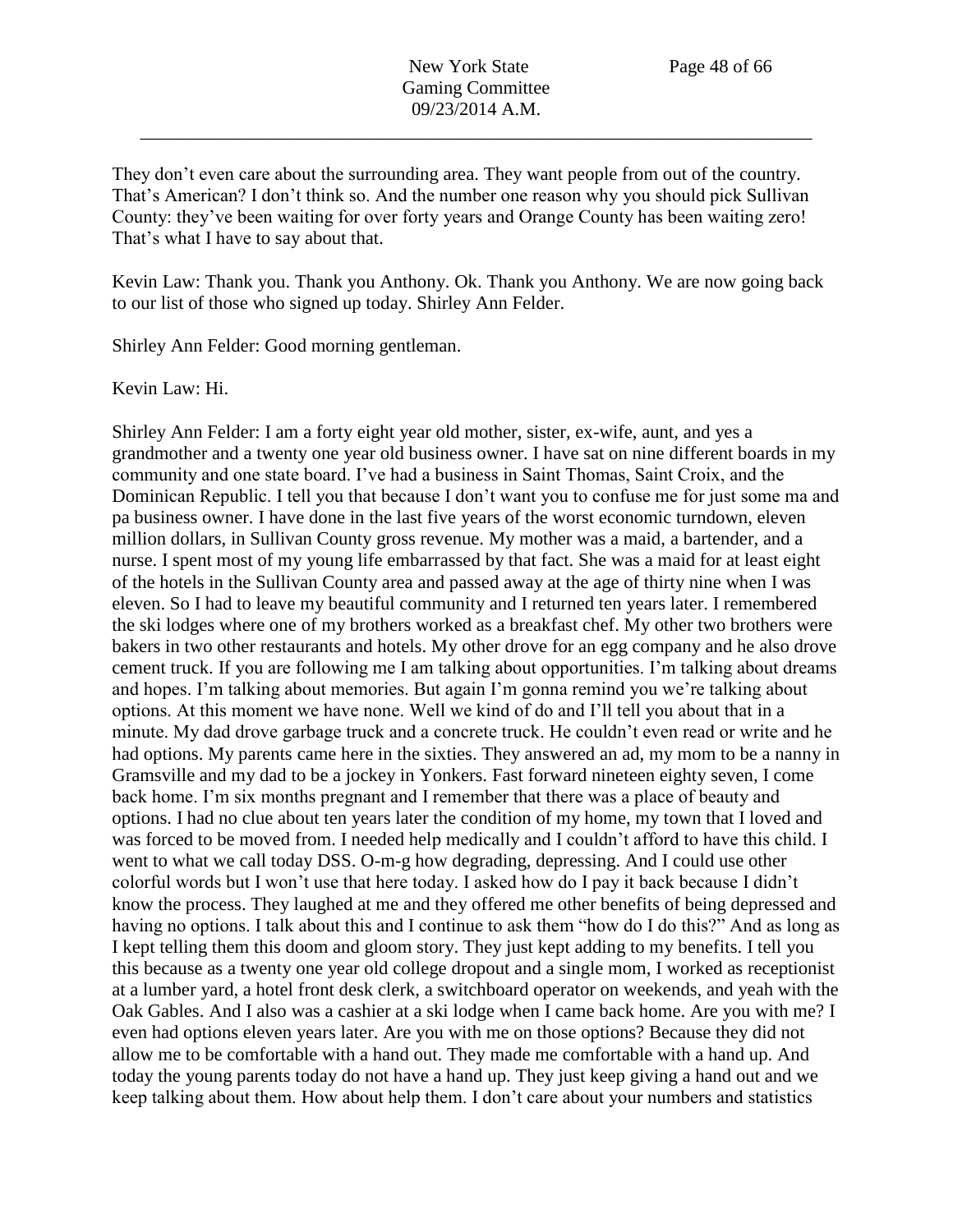They don't even care about the surrounding area. They want people from out of the country. That's American? I don't think so. And the number one reason why you should pick Sullivan County: they've been waiting for over forty years and Orange County has been waiting zero! That's what I have to say about that.

Kevin Law: Thank you. Thank you Anthony. Ok. Thank you Anthony. We are now going back to our list of those who signed up today. Shirley Ann Felder.

Shirley Ann Felder: Good morning gentleman.

Kevin Law: Hi.

Shirley Ann Felder: I am a forty eight year old mother, sister, ex-wife, aunt, and yes a grandmother and a twenty one year old business owner. I have sat on nine different boards in my community and one state board. I've had a business in Saint Thomas, Saint Croix, and the Dominican Republic. I tell you that because I don't want you to confuse me for just some ma and pa business owner. I have done in the last five years of the worst economic turndown, eleven million dollars, in Sullivan County gross revenue. My mother was a maid, a bartender, and a nurse. I spent most of my young life embarrassed by that fact. She was a maid for at least eight of the hotels in the Sullivan County area and passed away at the age of thirty nine when I was eleven. So I had to leave my beautiful community and I returned ten years later. I remembered the ski lodges where one of my brothers worked as a breakfast chef. My other two brothers were bakers in two other restaurants and hotels. My other drove for an egg company and he also drove cement truck. If you are following me I am talking about opportunities. I'm talking about dreams and hopes. I'm talking about memories. But again I'm gonna remind you we're talking about options. At this moment we have none. Well we kind of do and I'll tell you about that in a minute. My dad drove garbage truck and a concrete truck. He couldn't even read or write and he had options. My parents came here in the sixties. They answered an ad, my mom to be a nanny in Gramsville and my dad to be a jockey in Yonkers. Fast forward nineteen eighty seven, I come back home. I'm six months pregnant and I remember that there was a place of beauty and options. I had no clue about ten years later the condition of my home, my town that I loved and was forced to be moved from. I needed help medically and I couldn't afford to have this child. I went to what we call today DSS. O-m-g how degrading, depressing. And I could use other colorful words but I won't use that here today. I asked how do I pay it back because I didn't know the process. They laughed at me and they offered me other benefits of being depressed and having no options. I talk about this and I continue to ask them "how do I do this?" And as long as I kept telling them this doom and gloom story. They just kept adding to my benefits. I tell you this because as a twenty one year old college dropout and a single mom, I worked as receptionist at a lumber yard, a hotel front desk clerk, a switchboard operator on weekends, and yeah with the Oak Gables. And I also was a cashier at a ski lodge when I came back home. Are you with me? I even had options eleven years later. Are you with me on those options? Because they did not allow me to be comfortable with a hand out. They made me comfortable with a hand up. And today the young parents today do not have a hand up. They just keep giving a hand out and we keep talking about them. How about help them. I don't care about your numbers and statistics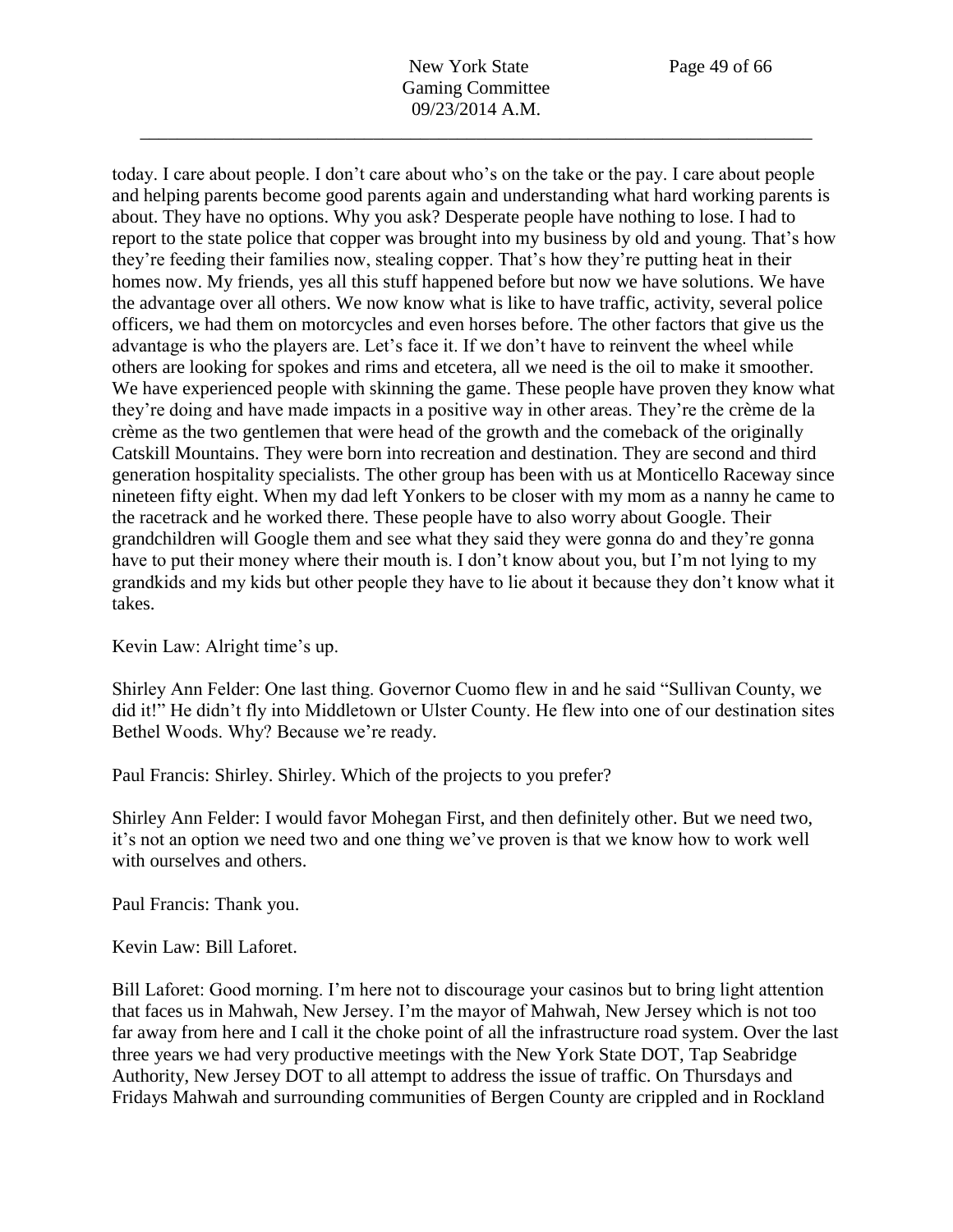today. I care about people. I don't care about who's on the take or the pay. I care about people and helping parents become good parents again and understanding what hard working parents is about. They have no options. Why you ask? Desperate people have nothing to lose. I had to report to the state police that copper was brought into my business by old and young. That's how they're feeding their families now, stealing copper. That's how they're putting heat in their homes now. My friends, yes all this stuff happened before but now we have solutions. We have the advantage over all others. We now know what is like to have traffic, activity, several police officers, we had them on motorcycles and even horses before. The other factors that give us the advantage is who the players are. Let's face it. If we don't have to reinvent the wheel while others are looking for spokes and rims and etcetera, all we need is the oil to make it smoother. We have experienced people with skinning the game. These people have proven they know what they're doing and have made impacts in a positive way in other areas. They're the crème de la crème as the two gentlemen that were head of the growth and the comeback of the originally Catskill Mountains. They were born into recreation and destination. They are second and third generation hospitality specialists. The other group has been with us at Monticello Raceway since nineteen fifty eight. When my dad left Yonkers to be closer with my mom as a nanny he came to the racetrack and he worked there. These people have to also worry about Google. Their grandchildren will Google them and see what they said they were gonna do and they're gonna have to put their money where their mouth is. I don't know about you, but I'm not lying to my grandkids and my kids but other people they have to lie about it because they don't know what it takes.

Kevin Law: Alright time's up.

Shirley Ann Felder: One last thing. Governor Cuomo flew in and he said "Sullivan County, we did it!" He didn't fly into Middletown or Ulster County. He flew into one of our destination sites Bethel Woods. Why? Because we're ready.

Paul Francis: Shirley. Shirley. Which of the projects to you prefer?

Shirley Ann Felder: I would favor Mohegan First, and then definitely other. But we need two, it's not an option we need two and one thing we've proven is that we know how to work well with ourselves and others.

Paul Francis: Thank you.

Kevin Law: Bill Laforet.

Bill Laforet: Good morning. I'm here not to discourage your casinos but to bring light attention that faces us in Mahwah, New Jersey. I'm the mayor of Mahwah, New Jersey which is not too far away from here and I call it the choke point of all the infrastructure road system. Over the last three years we had very productive meetings with the New York State DOT, Tap Seabridge Authority, New Jersey DOT to all attempt to address the issue of traffic. On Thursdays and Fridays Mahwah and surrounding communities of Bergen County are crippled and in Rockland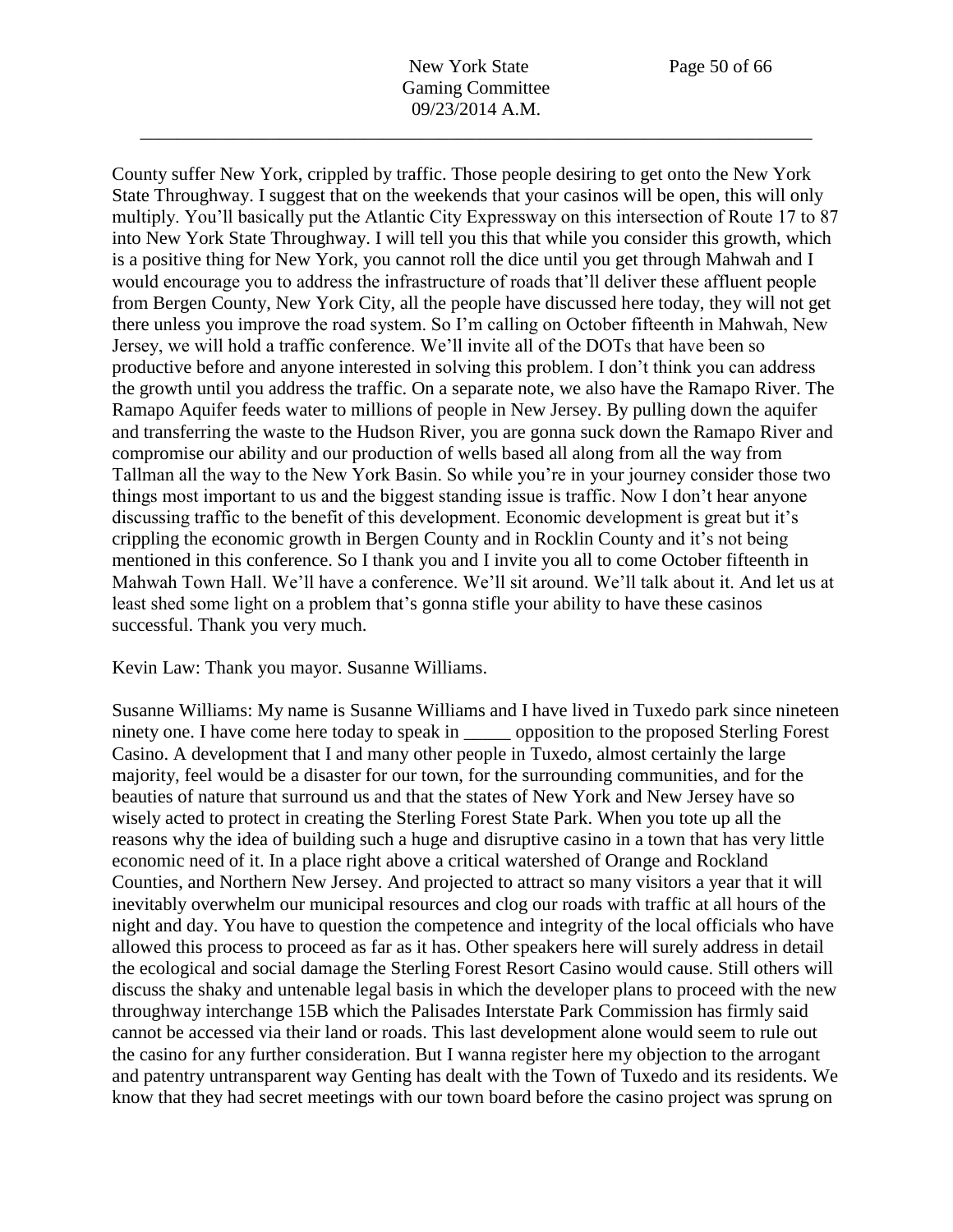County suffer New York, crippled by traffic. Those people desiring to get onto the New York State Throughway. I suggest that on the weekends that your casinos will be open, this will only multiply. You'll basically put the Atlantic City Expressway on this intersection of Route 17 to 87 into New York State Throughway. I will tell you this that while you consider this growth, which is a positive thing for New York, you cannot roll the dice until you get through Mahwah and I would encourage you to address the infrastructure of roads that'll deliver these affluent people from Bergen County, New York City, all the people have discussed here today, they will not get there unless you improve the road system. So I'm calling on October fifteenth in Mahwah, New Jersey, we will hold a traffic conference. We'll invite all of the DOTs that have been so productive before and anyone interested in solving this problem. I don't think you can address the growth until you address the traffic. On a separate note, we also have the Ramapo River. The Ramapo Aquifer feeds water to millions of people in New Jersey. By pulling down the aquifer and transferring the waste to the Hudson River, you are gonna suck down the Ramapo River and compromise our ability and our production of wells based all along from all the way from Tallman all the way to the New York Basin. So while you're in your journey consider those two things most important to us and the biggest standing issue is traffic. Now I don't hear anyone discussing traffic to the benefit of this development. Economic development is great but it's crippling the economic growth in Bergen County and in Rocklin County and it's not being mentioned in this conference. So I thank you and I invite you all to come October fifteenth in Mahwah Town Hall. We'll have a conference. We'll sit around. We'll talk about it. And let us at least shed some light on a problem that's gonna stifle your ability to have these casinos successful. Thank you very much.

Kevin Law: Thank you mayor. Susanne Williams.

Susanne Williams: My name is Susanne Williams and I have lived in Tuxedo park since nineteen ninety one. I have come here today to speak in proposition to the proposed Sterling Forest Casino. A development that I and many other people in Tuxedo, almost certainly the large majority, feel would be a disaster for our town, for the surrounding communities, and for the beauties of nature that surround us and that the states of New York and New Jersey have so wisely acted to protect in creating the Sterling Forest State Park. When you tote up all the reasons why the idea of building such a huge and disruptive casino in a town that has very little economic need of it. In a place right above a critical watershed of Orange and Rockland Counties, and Northern New Jersey. And projected to attract so many visitors a year that it will inevitably overwhelm our municipal resources and clog our roads with traffic at all hours of the night and day. You have to question the competence and integrity of the local officials who have allowed this process to proceed as far as it has. Other speakers here will surely address in detail the ecological and social damage the Sterling Forest Resort Casino would cause. Still others will discuss the shaky and untenable legal basis in which the developer plans to proceed with the new throughway interchange 15B which the Palisades Interstate Park Commission has firmly said cannot be accessed via their land or roads. This last development alone would seem to rule out the casino for any further consideration. But I wanna register here my objection to the arrogant and patentry untransparent way Genting has dealt with the Town of Tuxedo and its residents. We know that they had secret meetings with our town board before the casino project was sprung on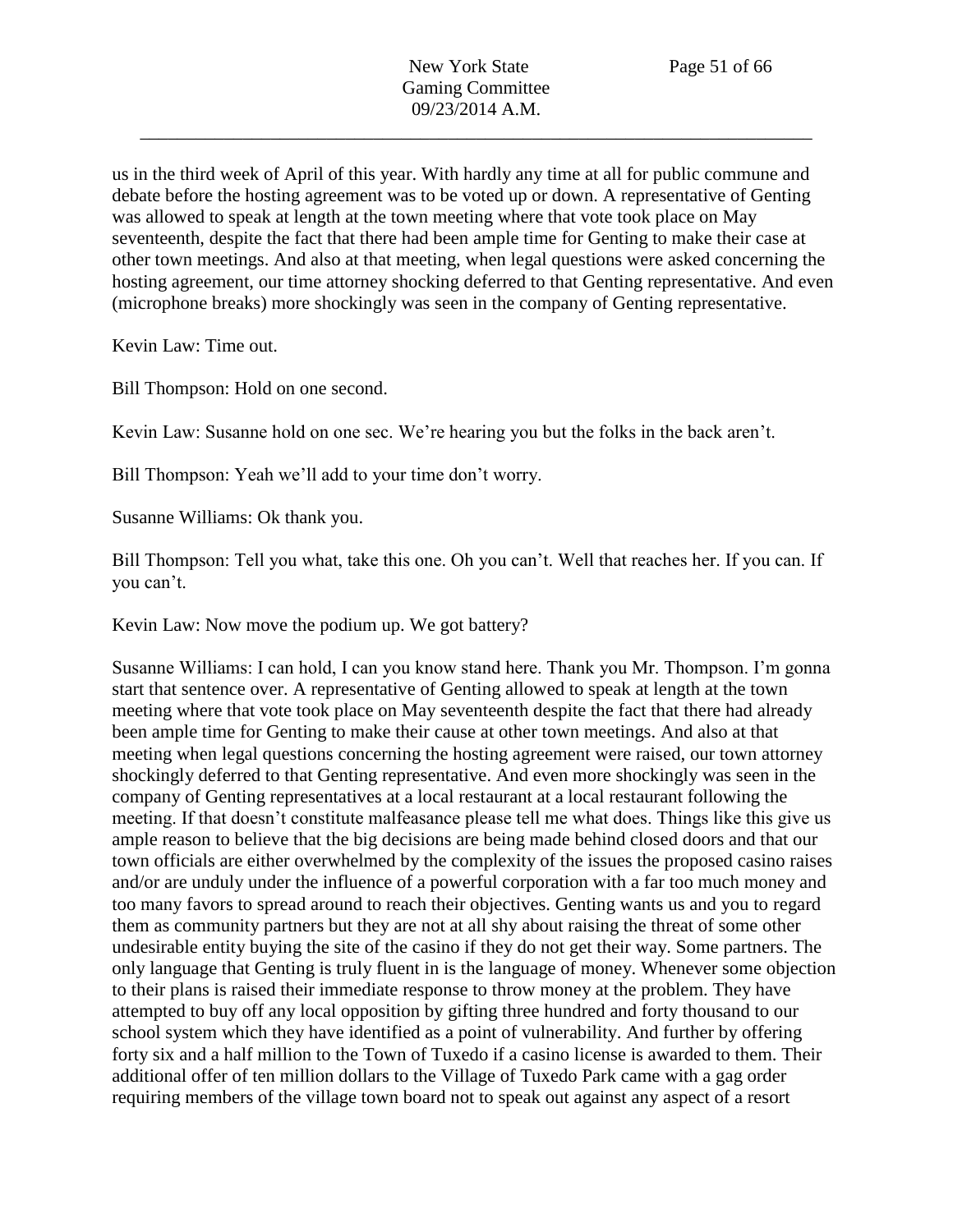us in the third week of April of this year. With hardly any time at all for public commune and debate before the hosting agreement was to be voted up or down. A representative of Genting was allowed to speak at length at the town meeting where that vote took place on May seventeenth, despite the fact that there had been ample time for Genting to make their case at other town meetings. And also at that meeting, when legal questions were asked concerning the hosting agreement, our time attorney shocking deferred to that Genting representative. And even (microphone breaks) more shockingly was seen in the company of Genting representative.

Kevin Law: Time out.

Bill Thompson: Hold on one second.

Kevin Law: Susanne hold on one sec. We're hearing you but the folks in the back aren't.

Bill Thompson: Yeah we'll add to your time don't worry.

Susanne Williams: Ok thank you.

Bill Thompson: Tell you what, take this one. Oh you can't. Well that reaches her. If you can. If you can't.

Kevin Law: Now move the podium up. We got battery?

Susanne Williams: I can hold, I can you know stand here. Thank you Mr. Thompson. I'm gonna start that sentence over. A representative of Genting allowed to speak at length at the town meeting where that vote took place on May seventeenth despite the fact that there had already been ample time for Genting to make their cause at other town meetings. And also at that meeting when legal questions concerning the hosting agreement were raised, our town attorney shockingly deferred to that Genting representative. And even more shockingly was seen in the company of Genting representatives at a local restaurant at a local restaurant following the meeting. If that doesn't constitute malfeasance please tell me what does. Things like this give us ample reason to believe that the big decisions are being made behind closed doors and that our town officials are either overwhelmed by the complexity of the issues the proposed casino raises and/or are unduly under the influence of a powerful corporation with a far too much money and too many favors to spread around to reach their objectives. Genting wants us and you to regard them as community partners but they are not at all shy about raising the threat of some other undesirable entity buying the site of the casino if they do not get their way. Some partners. The only language that Genting is truly fluent in is the language of money. Whenever some objection to their plans is raised their immediate response to throw money at the problem. They have attempted to buy off any local opposition by gifting three hundred and forty thousand to our school system which they have identified as a point of vulnerability. And further by offering forty six and a half million to the Town of Tuxedo if a casino license is awarded to them. Their additional offer of ten million dollars to the Village of Tuxedo Park came with a gag order requiring members of the village town board not to speak out against any aspect of a resort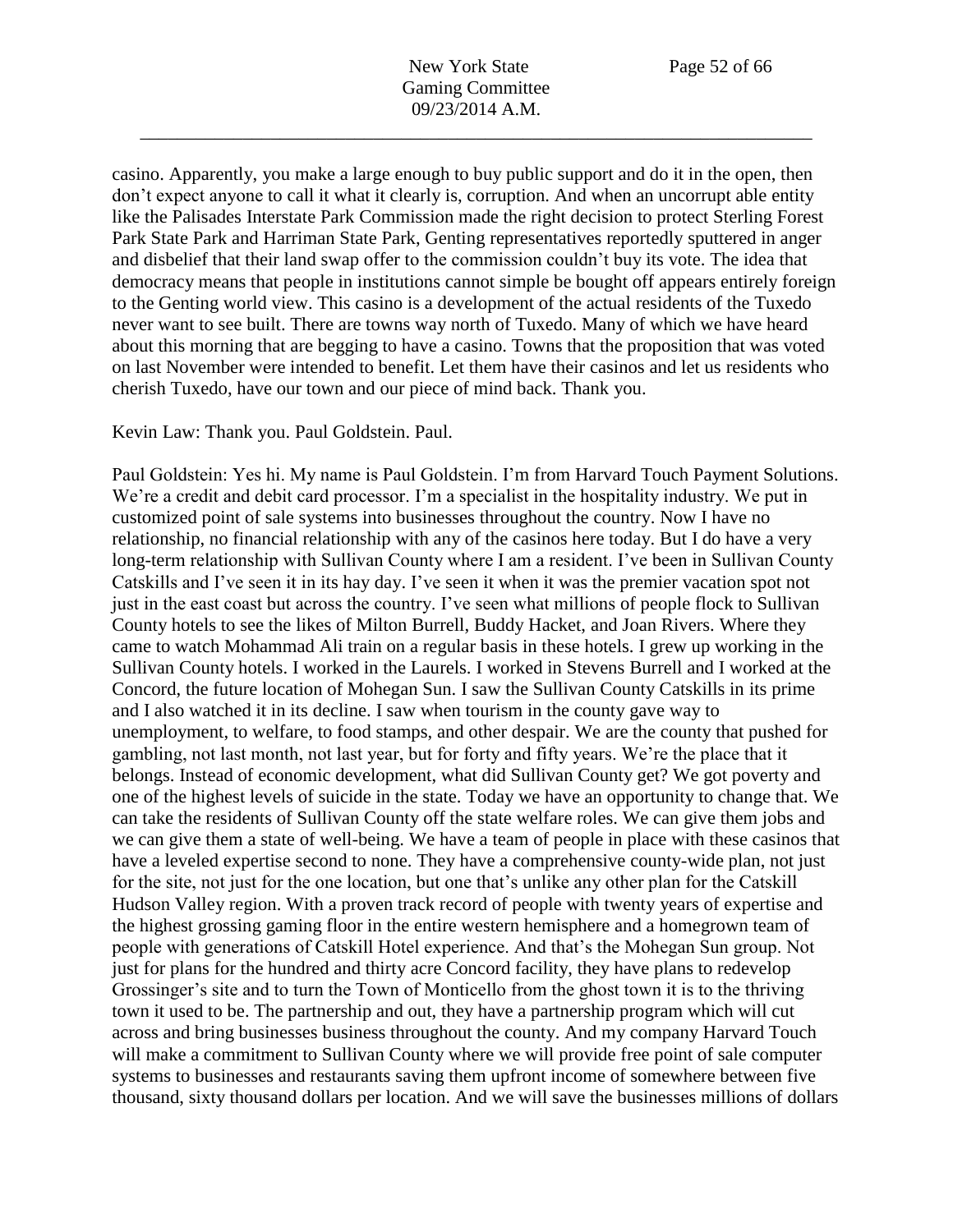casino. Apparently, you make a large enough to buy public support and do it in the open, then don't expect anyone to call it what it clearly is, corruption. And when an uncorrupt able entity like the Palisades Interstate Park Commission made the right decision to protect Sterling Forest Park State Park and Harriman State Park, Genting representatives reportedly sputtered in anger and disbelief that their land swap offer to the commission couldn't buy its vote. The idea that democracy means that people in institutions cannot simple be bought off appears entirely foreign to the Genting world view. This casino is a development of the actual residents of the Tuxedo never want to see built. There are towns way north of Tuxedo. Many of which we have heard about this morning that are begging to have a casino. Towns that the proposition that was voted on last November were intended to benefit. Let them have their casinos and let us residents who cherish Tuxedo, have our town and our piece of mind back. Thank you.

Kevin Law: Thank you. Paul Goldstein. Paul.

Paul Goldstein: Yes hi. My name is Paul Goldstein. I'm from Harvard Touch Payment Solutions. We're a credit and debit card processor. I'm a specialist in the hospitality industry. We put in customized point of sale systems into businesses throughout the country. Now I have no relationship, no financial relationship with any of the casinos here today. But I do have a very long-term relationship with Sullivan County where I am a resident. I've been in Sullivan County Catskills and I've seen it in its hay day. I've seen it when it was the premier vacation spot not just in the east coast but across the country. I've seen what millions of people flock to Sullivan County hotels to see the likes of Milton Burrell, Buddy Hacket, and Joan Rivers. Where they came to watch Mohammad Ali train on a regular basis in these hotels. I grew up working in the Sullivan County hotels. I worked in the Laurels. I worked in Stevens Burrell and I worked at the Concord, the future location of Mohegan Sun. I saw the Sullivan County Catskills in its prime and I also watched it in its decline. I saw when tourism in the county gave way to unemployment, to welfare, to food stamps, and other despair. We are the county that pushed for gambling, not last month, not last year, but for forty and fifty years. We're the place that it belongs. Instead of economic development, what did Sullivan County get? We got poverty and one of the highest levels of suicide in the state. Today we have an opportunity to change that. We can take the residents of Sullivan County off the state welfare roles. We can give them jobs and we can give them a state of well-being. We have a team of people in place with these casinos that have a leveled expertise second to none. They have a comprehensive county-wide plan, not just for the site, not just for the one location, but one that's unlike any other plan for the Catskill Hudson Valley region. With a proven track record of people with twenty years of expertise and the highest grossing gaming floor in the entire western hemisphere and a homegrown team of people with generations of Catskill Hotel experience. And that's the Mohegan Sun group. Not just for plans for the hundred and thirty acre Concord facility, they have plans to redevelop Grossinger's site and to turn the Town of Monticello from the ghost town it is to the thriving town it used to be. The partnership and out, they have a partnership program which will cut across and bring businesses business throughout the county. And my company Harvard Touch will make a commitment to Sullivan County where we will provide free point of sale computer systems to businesses and restaurants saving them upfront income of somewhere between five thousand, sixty thousand dollars per location. And we will save the businesses millions of dollars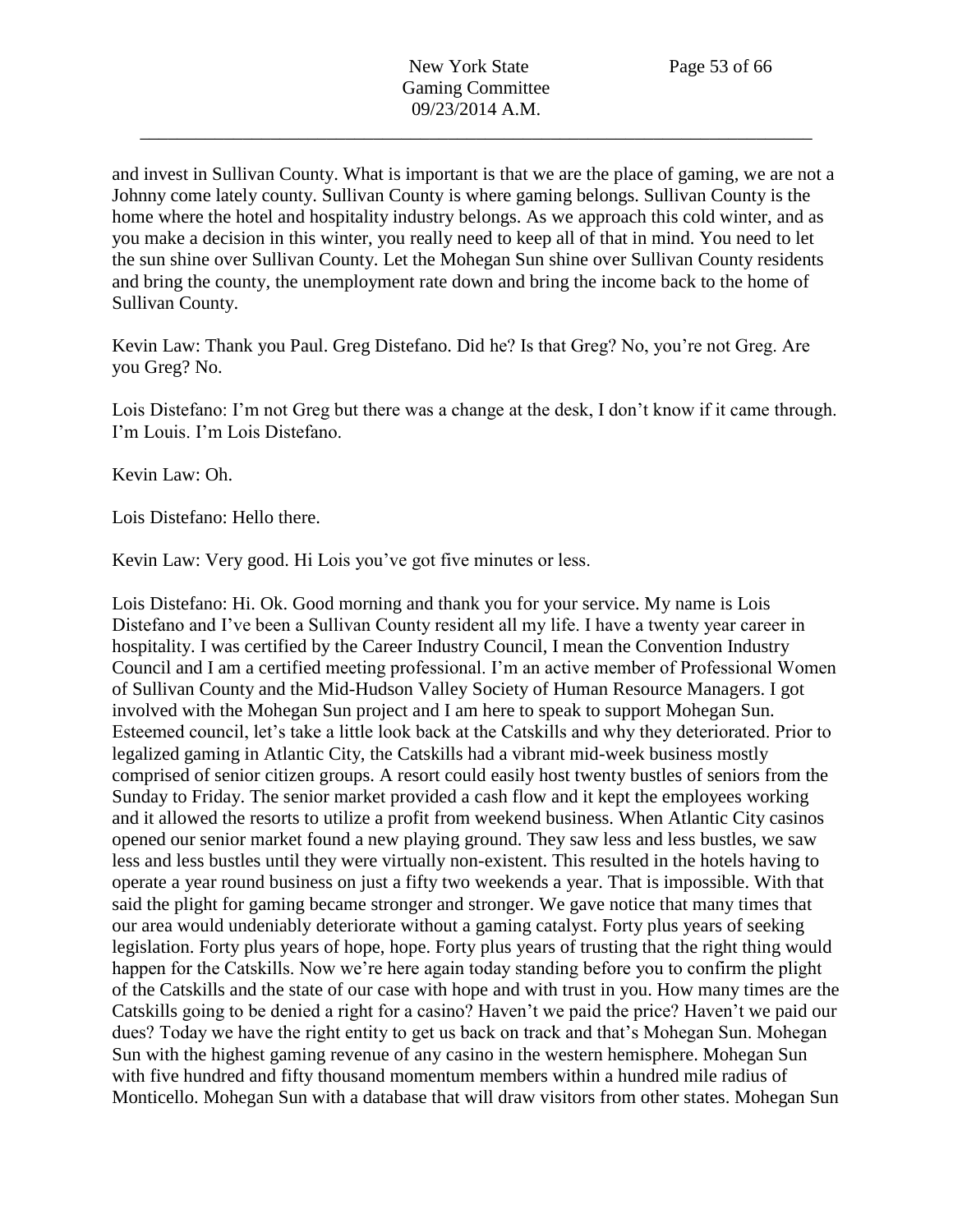and invest in Sullivan County. What is important is that we are the place of gaming, we are not a Johnny come lately county. Sullivan County is where gaming belongs. Sullivan County is the home where the hotel and hospitality industry belongs. As we approach this cold winter, and as you make a decision in this winter, you really need to keep all of that in mind. You need to let the sun shine over Sullivan County. Let the Mohegan Sun shine over Sullivan County residents and bring the county, the unemployment rate down and bring the income back to the home of Sullivan County.

Kevin Law: Thank you Paul. Greg Distefano. Did he? Is that Greg? No, you're not Greg. Are you Greg? No.

Lois Distefano: I'm not Greg but there was a change at the desk, I don't know if it came through. I'm Louis. I'm Lois Distefano.

Kevin Law: Oh.

Lois Distefano: Hello there.

Kevin Law: Very good. Hi Lois you've got five minutes or less.

Lois Distefano: Hi. Ok. Good morning and thank you for your service. My name is Lois Distefano and I've been a Sullivan County resident all my life. I have a twenty year career in hospitality. I was certified by the Career Industry Council, I mean the Convention Industry Council and I am a certified meeting professional. I'm an active member of Professional Women of Sullivan County and the Mid-Hudson Valley Society of Human Resource Managers. I got involved with the Mohegan Sun project and I am here to speak to support Mohegan Sun. Esteemed council, let's take a little look back at the Catskills and why they deteriorated. Prior to legalized gaming in Atlantic City, the Catskills had a vibrant mid-week business mostly comprised of senior citizen groups. A resort could easily host twenty bustles of seniors from the Sunday to Friday. The senior market provided a cash flow and it kept the employees working and it allowed the resorts to utilize a profit from weekend business. When Atlantic City casinos opened our senior market found a new playing ground. They saw less and less bustles, we saw less and less bustles until they were virtually non-existent. This resulted in the hotels having to operate a year round business on just a fifty two weekends a year. That is impossible. With that said the plight for gaming became stronger and stronger. We gave notice that many times that our area would undeniably deteriorate without a gaming catalyst. Forty plus years of seeking legislation. Forty plus years of hope, hope. Forty plus years of trusting that the right thing would happen for the Catskills. Now we're here again today standing before you to confirm the plight of the Catskills and the state of our case with hope and with trust in you. How many times are the Catskills going to be denied a right for a casino? Haven't we paid the price? Haven't we paid our dues? Today we have the right entity to get us back on track and that's Mohegan Sun. Mohegan Sun with the highest gaming revenue of any casino in the western hemisphere. Mohegan Sun with five hundred and fifty thousand momentum members within a hundred mile radius of Monticello. Mohegan Sun with a database that will draw visitors from other states. Mohegan Sun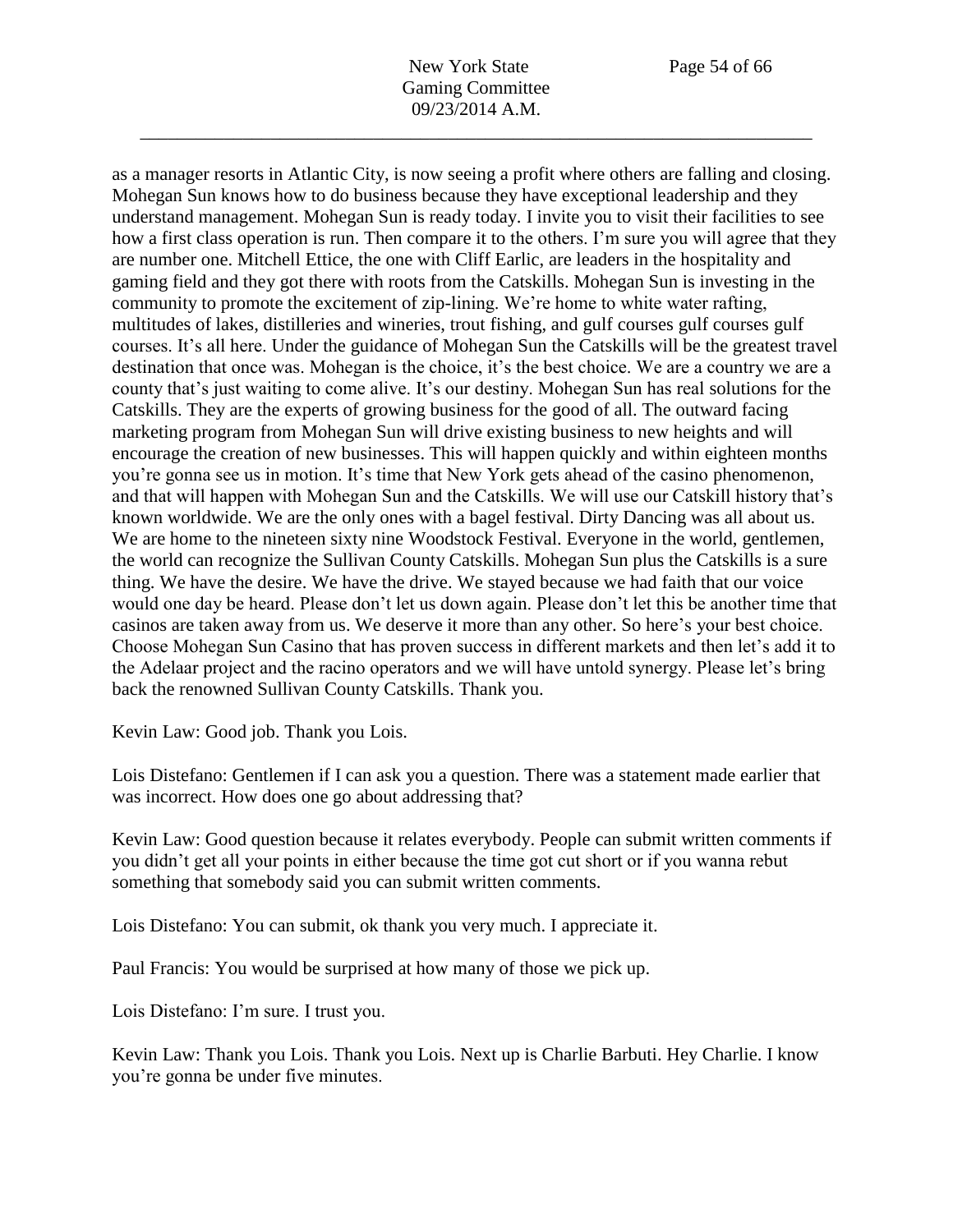as a manager resorts in Atlantic City, is now seeing a profit where others are falling and closing. Mohegan Sun knows how to do business because they have exceptional leadership and they understand management. Mohegan Sun is ready today. I invite you to visit their facilities to see how a first class operation is run. Then compare it to the others. I'm sure you will agree that they are number one. Mitchell Ettice, the one with Cliff Earlic, are leaders in the hospitality and gaming field and they got there with roots from the Catskills. Mohegan Sun is investing in the community to promote the excitement of zip-lining. We're home to white water rafting, multitudes of lakes, distilleries and wineries, trout fishing, and gulf courses gulf courses gulf courses. It's all here. Under the guidance of Mohegan Sun the Catskills will be the greatest travel destination that once was. Mohegan is the choice, it's the best choice. We are a country we are a county that's just waiting to come alive. It's our destiny. Mohegan Sun has real solutions for the Catskills. They are the experts of growing business for the good of all. The outward facing marketing program from Mohegan Sun will drive existing business to new heights and will encourage the creation of new businesses. This will happen quickly and within eighteen months you're gonna see us in motion. It's time that New York gets ahead of the casino phenomenon, and that will happen with Mohegan Sun and the Catskills. We will use our Catskill history that's known worldwide. We are the only ones with a bagel festival. Dirty Dancing was all about us. We are home to the nineteen sixty nine Woodstock Festival. Everyone in the world, gentlemen, the world can recognize the Sullivan County Catskills. Mohegan Sun plus the Catskills is a sure thing. We have the desire. We have the drive. We stayed because we had faith that our voice would one day be heard. Please don't let us down again. Please don't let this be another time that casinos are taken away from us. We deserve it more than any other. So here's your best choice. Choose Mohegan Sun Casino that has proven success in different markets and then let's add it to the Adelaar project and the racino operators and we will have untold synergy. Please let's bring back the renowned Sullivan County Catskills. Thank you.

Kevin Law: Good job. Thank you Lois.

Lois Distefano: Gentlemen if I can ask you a question. There was a statement made earlier that was incorrect. How does one go about addressing that?

Kevin Law: Good question because it relates everybody. People can submit written comments if you didn't get all your points in either because the time got cut short or if you wanna rebut something that somebody said you can submit written comments.

Lois Distefano: You can submit, ok thank you very much. I appreciate it.

Paul Francis: You would be surprised at how many of those we pick up.

Lois Distefano: I'm sure. I trust you.

Kevin Law: Thank you Lois. Thank you Lois. Next up is Charlie Barbuti. Hey Charlie. I know you're gonna be under five minutes.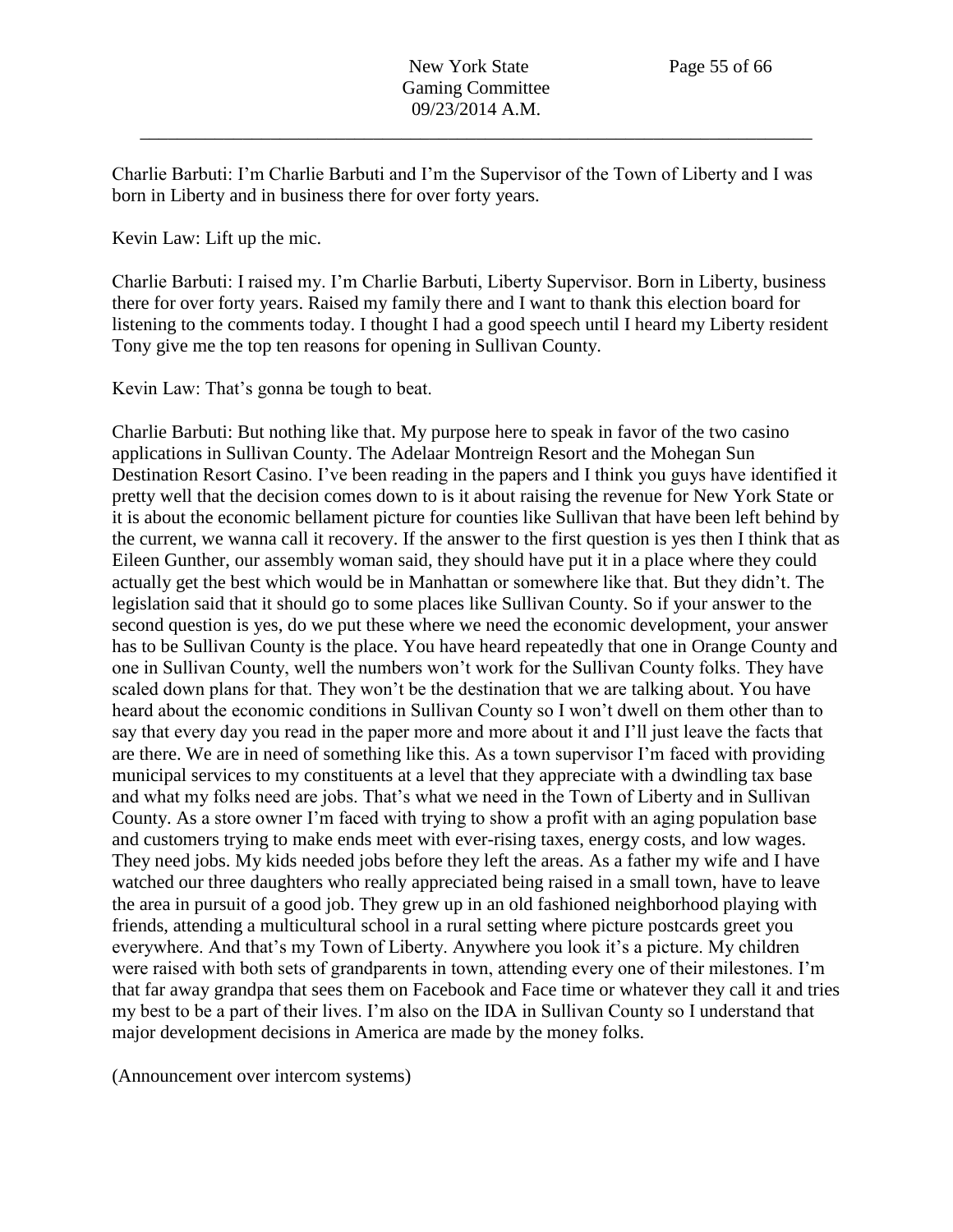Charlie Barbuti: I'm Charlie Barbuti and I'm the Supervisor of the Town of Liberty and I was born in Liberty and in business there for over forty years.

Kevin Law: Lift up the mic.

Charlie Barbuti: I raised my. I'm Charlie Barbuti, Liberty Supervisor. Born in Liberty, business there for over forty years. Raised my family there and I want to thank this election board for listening to the comments today. I thought I had a good speech until I heard my Liberty resident Tony give me the top ten reasons for opening in Sullivan County.

Kevin Law: That's gonna be tough to beat.

Charlie Barbuti: But nothing like that. My purpose here to speak in favor of the two casino applications in Sullivan County. The Adelaar Montreign Resort and the Mohegan Sun Destination Resort Casino. I've been reading in the papers and I think you guys have identified it pretty well that the decision comes down to is it about raising the revenue for New York State or it is about the economic bellament picture for counties like Sullivan that have been left behind by the current, we wanna call it recovery. If the answer to the first question is yes then I think that as Eileen Gunther, our assembly woman said, they should have put it in a place where they could actually get the best which would be in Manhattan or somewhere like that. But they didn't. The legislation said that it should go to some places like Sullivan County. So if your answer to the second question is yes, do we put these where we need the economic development, your answer has to be Sullivan County is the place. You have heard repeatedly that one in Orange County and one in Sullivan County, well the numbers won't work for the Sullivan County folks. They have scaled down plans for that. They won't be the destination that we are talking about. You have heard about the economic conditions in Sullivan County so I won't dwell on them other than to say that every day you read in the paper more and more about it and I'll just leave the facts that are there. We are in need of something like this. As a town supervisor I'm faced with providing municipal services to my constituents at a level that they appreciate with a dwindling tax base and what my folks need are jobs. That's what we need in the Town of Liberty and in Sullivan County. As a store owner I'm faced with trying to show a profit with an aging population base and customers trying to make ends meet with ever-rising taxes, energy costs, and low wages. They need jobs. My kids needed jobs before they left the areas. As a father my wife and I have watched our three daughters who really appreciated being raised in a small town, have to leave the area in pursuit of a good job. They grew up in an old fashioned neighborhood playing with friends, attending a multicultural school in a rural setting where picture postcards greet you everywhere. And that's my Town of Liberty. Anywhere you look it's a picture. My children were raised with both sets of grandparents in town, attending every one of their milestones. I'm that far away grandpa that sees them on Facebook and Face time or whatever they call it and tries my best to be a part of their lives. I'm also on the IDA in Sullivan County so I understand that major development decisions in America are made by the money folks.

(Announcement over intercom systems)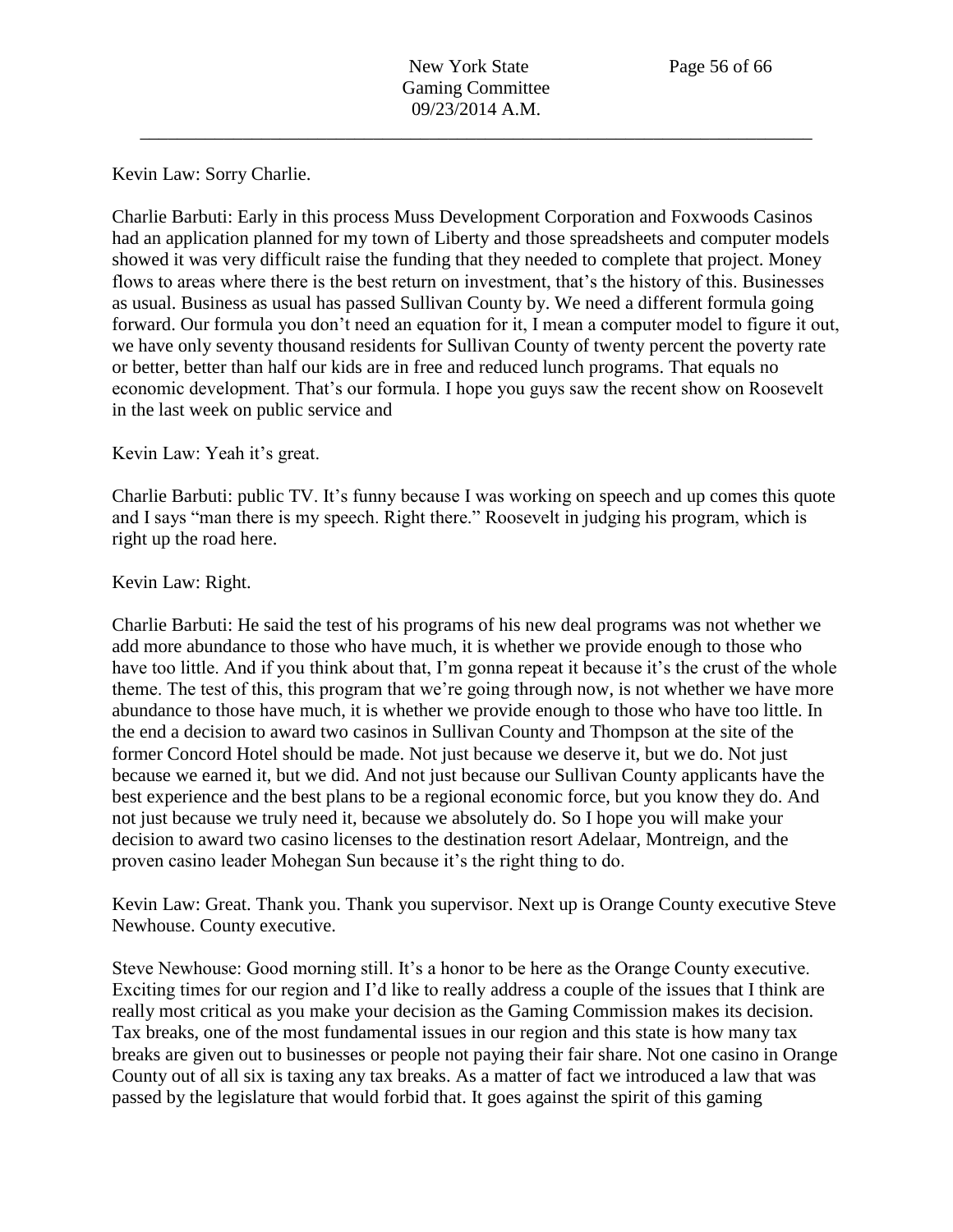## Kevin Law: Sorry Charlie.

Charlie Barbuti: Early in this process Muss Development Corporation and Foxwoods Casinos had an application planned for my town of Liberty and those spreadsheets and computer models showed it was very difficult raise the funding that they needed to complete that project. Money flows to areas where there is the best return on investment, that's the history of this. Businesses as usual. Business as usual has passed Sullivan County by. We need a different formula going forward. Our formula you don't need an equation for it, I mean a computer model to figure it out, we have only seventy thousand residents for Sullivan County of twenty percent the poverty rate or better, better than half our kids are in free and reduced lunch programs. That equals no economic development. That's our formula. I hope you guys saw the recent show on Roosevelt in the last week on public service and

## Kevin Law: Yeah it's great.

Charlie Barbuti: public TV. It's funny because I was working on speech and up comes this quote and I says "man there is my speech. Right there." Roosevelt in judging his program, which is right up the road here.

#### Kevin Law: Right.

Charlie Barbuti: He said the test of his programs of his new deal programs was not whether we add more abundance to those who have much, it is whether we provide enough to those who have too little. And if you think about that, I'm gonna repeat it because it's the crust of the whole theme. The test of this, this program that we're going through now, is not whether we have more abundance to those have much, it is whether we provide enough to those who have too little. In the end a decision to award two casinos in Sullivan County and Thompson at the site of the former Concord Hotel should be made. Not just because we deserve it, but we do. Not just because we earned it, but we did. And not just because our Sullivan County applicants have the best experience and the best plans to be a regional economic force, but you know they do. And not just because we truly need it, because we absolutely do. So I hope you will make your decision to award two casino licenses to the destination resort Adelaar, Montreign, and the proven casino leader Mohegan Sun because it's the right thing to do.

Kevin Law: Great. Thank you. Thank you supervisor. Next up is Orange County executive Steve Newhouse. County executive.

Steve Newhouse: Good morning still. It's a honor to be here as the Orange County executive. Exciting times for our region and I'd like to really address a couple of the issues that I think are really most critical as you make your decision as the Gaming Commission makes its decision. Tax breaks, one of the most fundamental issues in our region and this state is how many tax breaks are given out to businesses or people not paying their fair share. Not one casino in Orange County out of all six is taxing any tax breaks. As a matter of fact we introduced a law that was passed by the legislature that would forbid that. It goes against the spirit of this gaming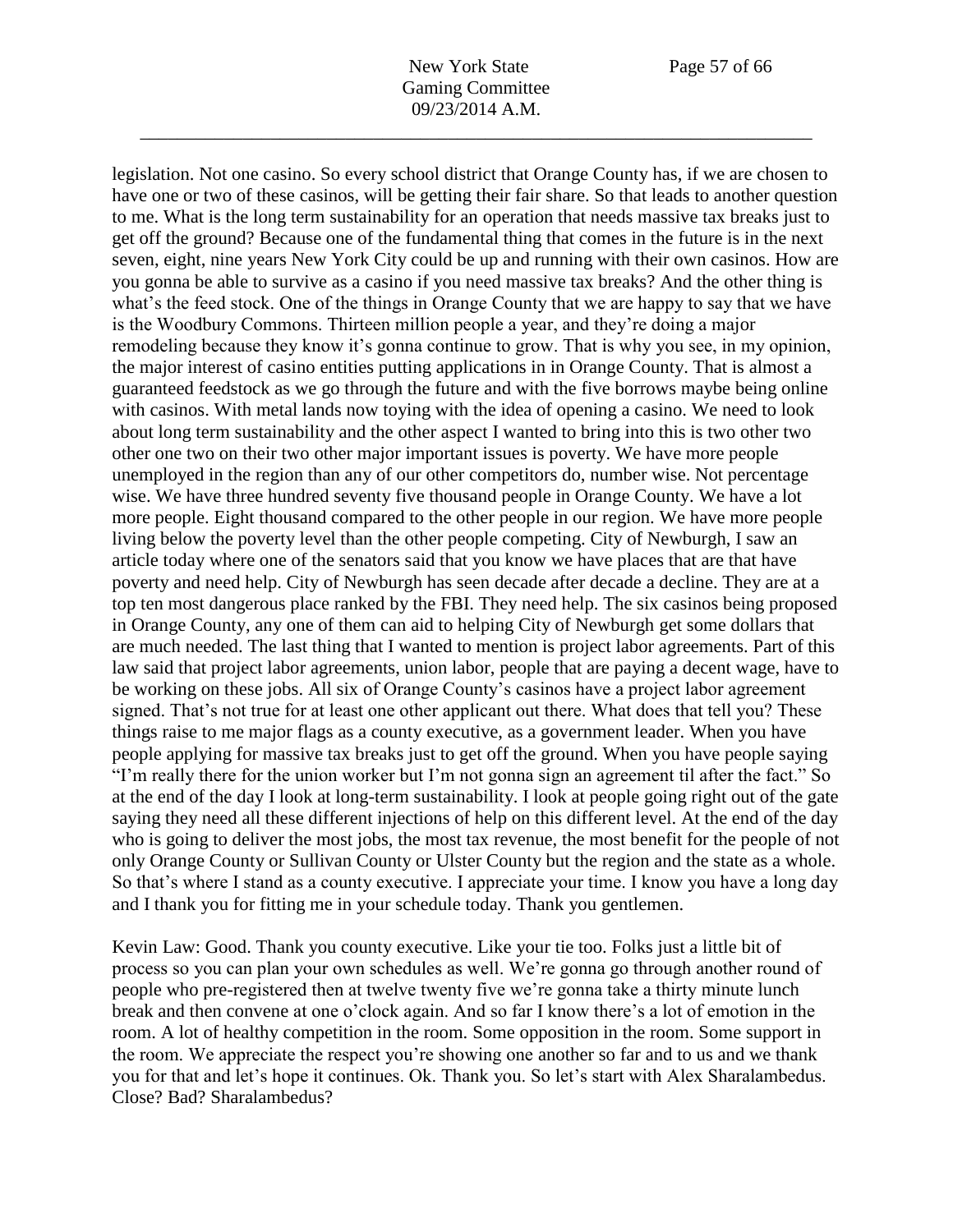legislation. Not one casino. So every school district that Orange County has, if we are chosen to

have one or two of these casinos, will be getting their fair share. So that leads to another question to me. What is the long term sustainability for an operation that needs massive tax breaks just to get off the ground? Because one of the fundamental thing that comes in the future is in the next seven, eight, nine years New York City could be up and running with their own casinos. How are you gonna be able to survive as a casino if you need massive tax breaks? And the other thing is what's the feed stock. One of the things in Orange County that we are happy to say that we have is the Woodbury Commons. Thirteen million people a year, and they're doing a major remodeling because they know it's gonna continue to grow. That is why you see, in my opinion, the major interest of casino entities putting applications in in Orange County. That is almost a guaranteed feedstock as we go through the future and with the five borrows maybe being online with casinos. With metal lands now toying with the idea of opening a casino. We need to look about long term sustainability and the other aspect I wanted to bring into this is two other two other one two on their two other major important issues is poverty. We have more people unemployed in the region than any of our other competitors do, number wise. Not percentage wise. We have three hundred seventy five thousand people in Orange County. We have a lot more people. Eight thousand compared to the other people in our region. We have more people living below the poverty level than the other people competing. City of Newburgh, I saw an article today where one of the senators said that you know we have places that are that have poverty and need help. City of Newburgh has seen decade after decade a decline. They are at a top ten most dangerous place ranked by the FBI. They need help. The six casinos being proposed in Orange County, any one of them can aid to helping City of Newburgh get some dollars that are much needed. The last thing that I wanted to mention is project labor agreements. Part of this law said that project labor agreements, union labor, people that are paying a decent wage, have to be working on these jobs. All six of Orange County's casinos have a project labor agreement signed. That's not true for at least one other applicant out there. What does that tell you? These things raise to me major flags as a county executive, as a government leader. When you have people applying for massive tax breaks just to get off the ground. When you have people saying "I'm really there for the union worker but I'm not gonna sign an agreement til after the fact." So at the end of the day I look at long-term sustainability. I look at people going right out of the gate saying they need all these different injections of help on this different level. At the end of the day who is going to deliver the most jobs, the most tax revenue, the most benefit for the people of not only Orange County or Sullivan County or Ulster County but the region and the state as a whole. So that's where I stand as a county executive. I appreciate your time. I know you have a long day and I thank you for fitting me in your schedule today. Thank you gentlemen.

Kevin Law: Good. Thank you county executive. Like your tie too. Folks just a little bit of process so you can plan your own schedules as well. We're gonna go through another round of people who pre-registered then at twelve twenty five we're gonna take a thirty minute lunch break and then convene at one o'clock again. And so far I know there's a lot of emotion in the room. A lot of healthy competition in the room. Some opposition in the room. Some support in the room. We appreciate the respect you're showing one another so far and to us and we thank you for that and let's hope it continues. Ok. Thank you. So let's start with Alex Sharalambedus. Close? Bad? Sharalambedus?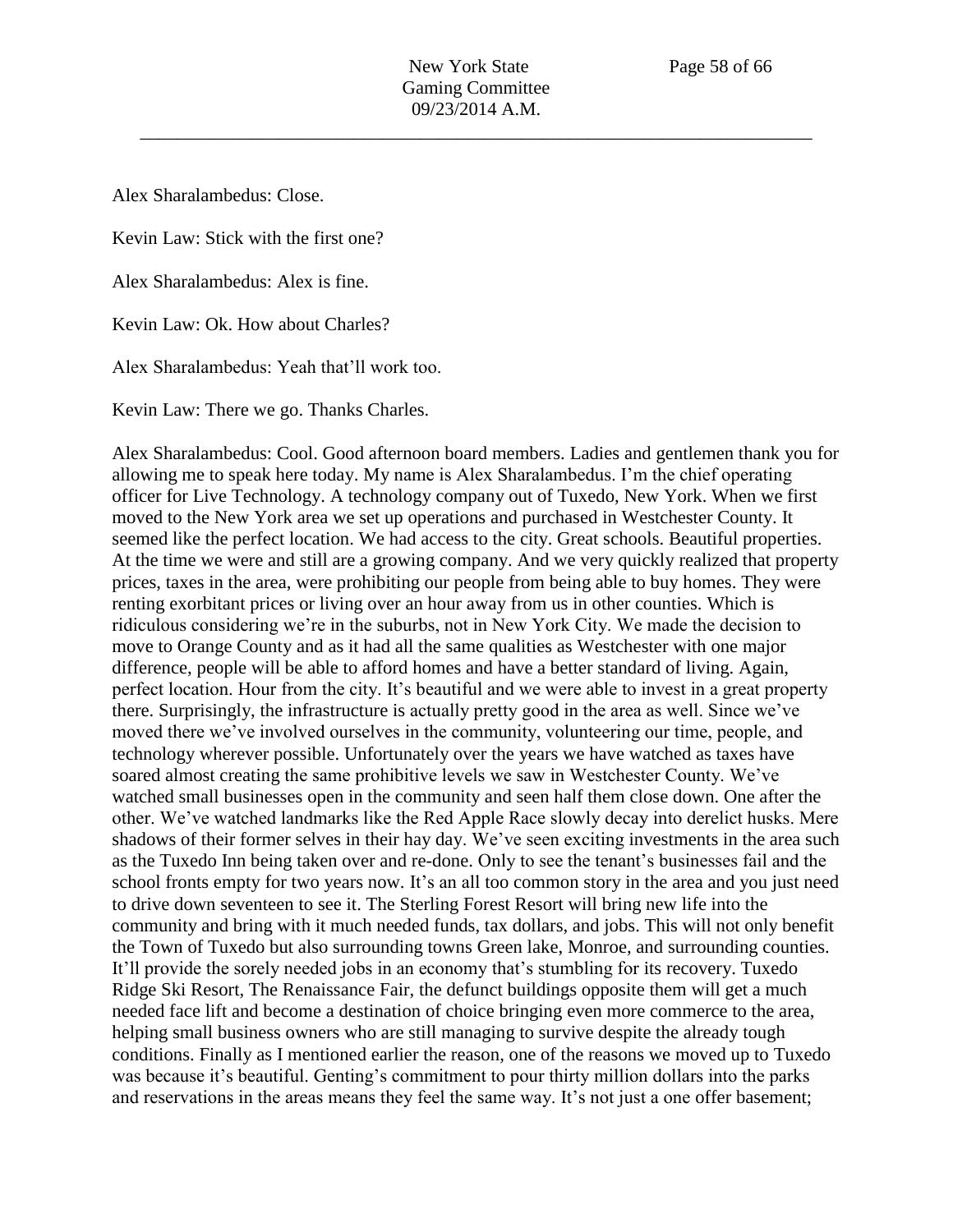Alex Sharalambedus: Close.

Kevin Law: Stick with the first one?

Alex Sharalambedus: Alex is fine.

Kevin Law: Ok. How about Charles?

Alex Sharalambedus: Yeah that'll work too.

Kevin Law: There we go. Thanks Charles.

Alex Sharalambedus: Cool. Good afternoon board members. Ladies and gentlemen thank you for allowing me to speak here today. My name is Alex Sharalambedus. I'm the chief operating officer for Live Technology. A technology company out of Tuxedo, New York. When we first moved to the New York area we set up operations and purchased in Westchester County. It seemed like the perfect location. We had access to the city. Great schools. Beautiful properties. At the time we were and still are a growing company. And we very quickly realized that property prices, taxes in the area, were prohibiting our people from being able to buy homes. They were renting exorbitant prices or living over an hour away from us in other counties. Which is ridiculous considering we're in the suburbs, not in New York City. We made the decision to move to Orange County and as it had all the same qualities as Westchester with one major difference, people will be able to afford homes and have a better standard of living. Again, perfect location. Hour from the city. It's beautiful and we were able to invest in a great property there. Surprisingly, the infrastructure is actually pretty good in the area as well. Since we've moved there we've involved ourselves in the community, volunteering our time, people, and technology wherever possible. Unfortunately over the years we have watched as taxes have soared almost creating the same prohibitive levels we saw in Westchester County. We've watched small businesses open in the community and seen half them close down. One after the other. We've watched landmarks like the Red Apple Race slowly decay into derelict husks. Mere shadows of their former selves in their hay day. We've seen exciting investments in the area such as the Tuxedo Inn being taken over and re-done. Only to see the tenant's businesses fail and the school fronts empty for two years now. It's an all too common story in the area and you just need to drive down seventeen to see it. The Sterling Forest Resort will bring new life into the community and bring with it much needed funds, tax dollars, and jobs. This will not only benefit the Town of Tuxedo but also surrounding towns Green lake, Monroe, and surrounding counties. It'll provide the sorely needed jobs in an economy that's stumbling for its recovery. Tuxedo Ridge Ski Resort, The Renaissance Fair, the defunct buildings opposite them will get a much needed face lift and become a destination of choice bringing even more commerce to the area, helping small business owners who are still managing to survive despite the already tough conditions. Finally as I mentioned earlier the reason, one of the reasons we moved up to Tuxedo was because it's beautiful. Genting's commitment to pour thirty million dollars into the parks and reservations in the areas means they feel the same way. It's not just a one offer basement;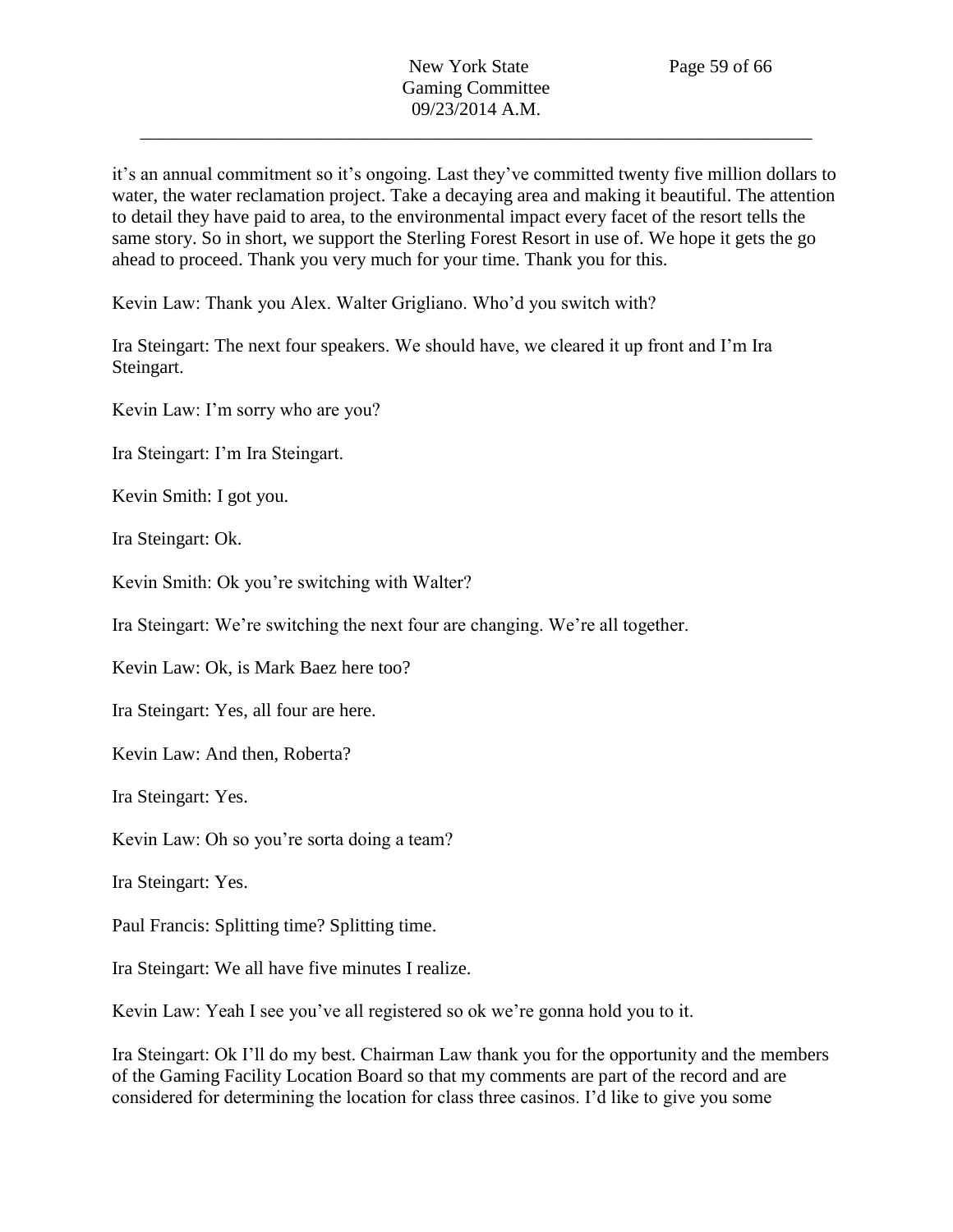it's an annual commitment so it's ongoing. Last they've committed twenty five million dollars to water, the water reclamation project. Take a decaying area and making it beautiful. The attention to detail they have paid to area, to the environmental impact every facet of the resort tells the same story. So in short, we support the Sterling Forest Resort in use of. We hope it gets the go ahead to proceed. Thank you very much for your time. Thank you for this.

Kevin Law: Thank you Alex. Walter Grigliano. Who'd you switch with?

Ira Steingart: The next four speakers. We should have, we cleared it up front and I'm Ira Steingart.

Kevin Law: I'm sorry who are you?

Ira Steingart: I'm Ira Steingart.

Kevin Smith: I got you.

Ira Steingart: Ok.

Kevin Smith: Ok you're switching with Walter?

Ira Steingart: We're switching the next four are changing. We're all together.

Kevin Law: Ok, is Mark Baez here too?

Ira Steingart: Yes, all four are here.

Kevin Law: And then, Roberta?

Ira Steingart: Yes.

Kevin Law: Oh so you're sorta doing a team?

Ira Steingart: Yes.

Paul Francis: Splitting time? Splitting time.

Ira Steingart: We all have five minutes I realize.

Kevin Law: Yeah I see you've all registered so ok we're gonna hold you to it.

Ira Steingart: Ok I'll do my best. Chairman Law thank you for the opportunity and the members of the Gaming Facility Location Board so that my comments are part of the record and are considered for determining the location for class three casinos. I'd like to give you some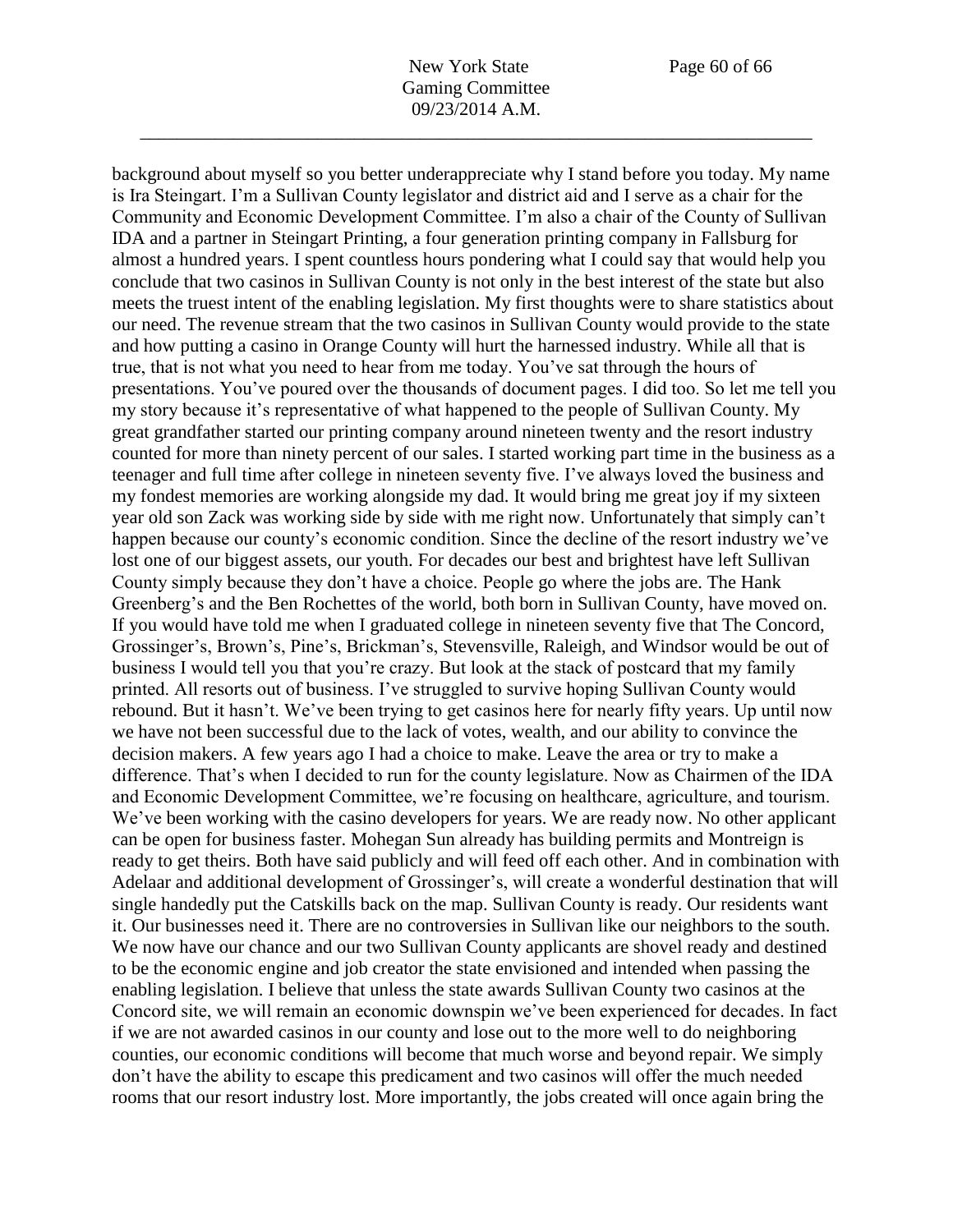background about myself so you better underappreciate why I stand before you today. My name

is Ira Steingart. I'm a Sullivan County legislator and district aid and I serve as a chair for the Community and Economic Development Committee. I'm also a chair of the County of Sullivan IDA and a partner in Steingart Printing, a four generation printing company in Fallsburg for almost a hundred years. I spent countless hours pondering what I could say that would help you conclude that two casinos in Sullivan County is not only in the best interest of the state but also meets the truest intent of the enabling legislation. My first thoughts were to share statistics about our need. The revenue stream that the two casinos in Sullivan County would provide to the state and how putting a casino in Orange County will hurt the harnessed industry. While all that is true, that is not what you need to hear from me today. You've sat through the hours of presentations. You've poured over the thousands of document pages. I did too. So let me tell you my story because it's representative of what happened to the people of Sullivan County. My great grandfather started our printing company around nineteen twenty and the resort industry counted for more than ninety percent of our sales. I started working part time in the business as a teenager and full time after college in nineteen seventy five. I've always loved the business and my fondest memories are working alongside my dad. It would bring me great joy if my sixteen year old son Zack was working side by side with me right now. Unfortunately that simply can't happen because our county's economic condition. Since the decline of the resort industry we've lost one of our biggest assets, our youth. For decades our best and brightest have left Sullivan County simply because they don't have a choice. People go where the jobs are. The Hank Greenberg's and the Ben Rochettes of the world, both born in Sullivan County, have moved on. If you would have told me when I graduated college in nineteen seventy five that The Concord, Grossinger's, Brown's, Pine's, Brickman's, Stevensville, Raleigh, and Windsor would be out of business I would tell you that you're crazy. But look at the stack of postcard that my family printed. All resorts out of business. I've struggled to survive hoping Sullivan County would rebound. But it hasn't. We've been trying to get casinos here for nearly fifty years. Up until now we have not been successful due to the lack of votes, wealth, and our ability to convince the decision makers. A few years ago I had a choice to make. Leave the area or try to make a difference. That's when I decided to run for the county legislature. Now as Chairmen of the IDA and Economic Development Committee, we're focusing on healthcare, agriculture, and tourism. We've been working with the casino developers for years. We are ready now. No other applicant can be open for business faster. Mohegan Sun already has building permits and Montreign is ready to get theirs. Both have said publicly and will feed off each other. And in combination with Adelaar and additional development of Grossinger's, will create a wonderful destination that will single handedly put the Catskills back on the map. Sullivan County is ready. Our residents want it. Our businesses need it. There are no controversies in Sullivan like our neighbors to the south. We now have our chance and our two Sullivan County applicants are shovel ready and destined to be the economic engine and job creator the state envisioned and intended when passing the enabling legislation. I believe that unless the state awards Sullivan County two casinos at the Concord site, we will remain an economic downspin we've been experienced for decades. In fact if we are not awarded casinos in our county and lose out to the more well to do neighboring counties, our economic conditions will become that much worse and beyond repair. We simply don't have the ability to escape this predicament and two casinos will offer the much needed rooms that our resort industry lost. More importantly, the jobs created will once again bring the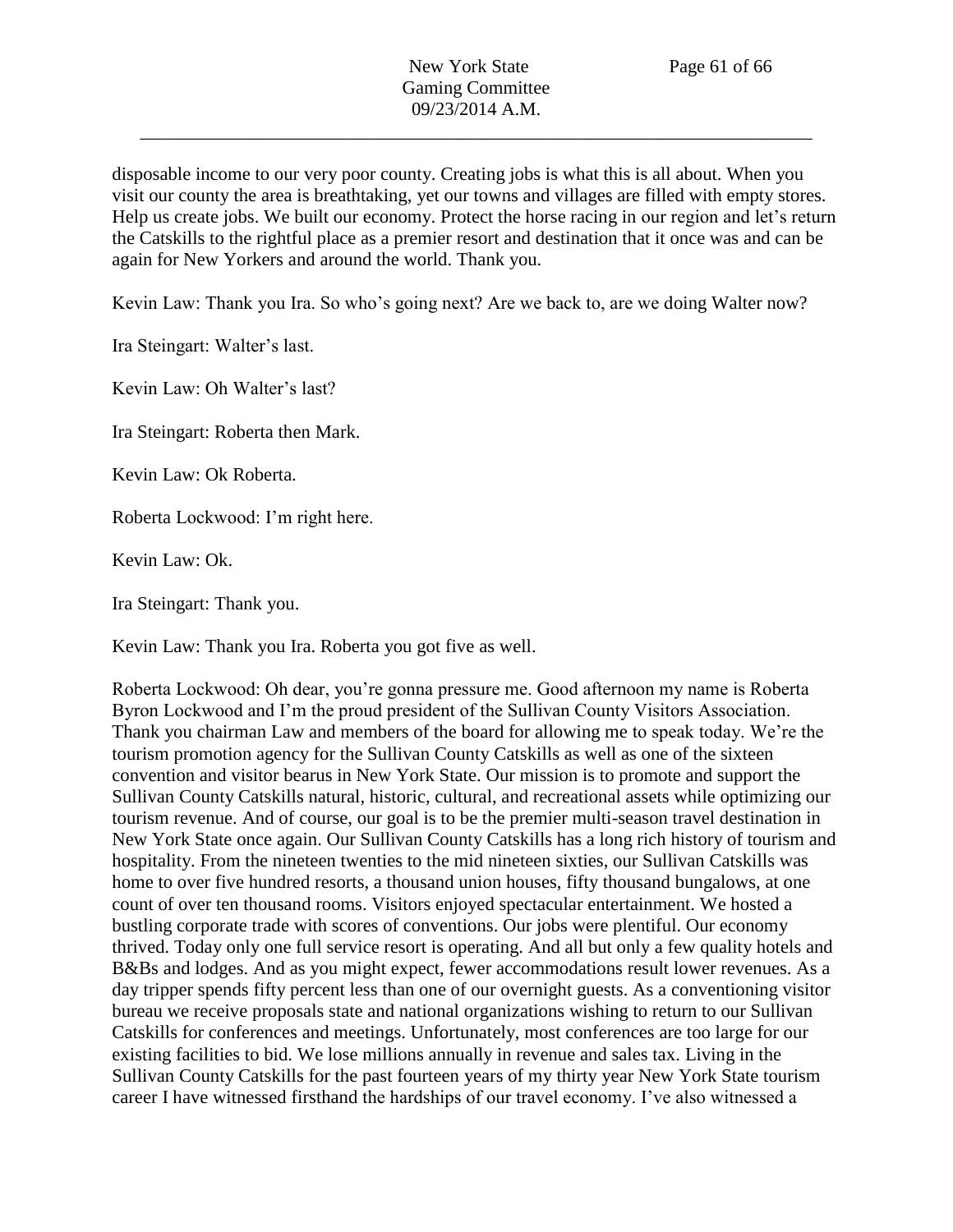disposable income to our very poor county. Creating jobs is what this is all about. When you visit our county the area is breathtaking, yet our towns and villages are filled with empty stores. Help us create jobs. We built our economy. Protect the horse racing in our region and let's return the Catskills to the rightful place as a premier resort and destination that it once was and can be again for New Yorkers and around the world. Thank you.

Kevin Law: Thank you Ira. So who's going next? Are we back to, are we doing Walter now?

Ira Steingart: Walter's last.

Kevin Law: Oh Walter's last?

Ira Steingart: Roberta then Mark.

Kevin Law: Ok Roberta.

Roberta Lockwood: I'm right here.

Kevin Law: Ok.

Ira Steingart: Thank you.

Kevin Law: Thank you Ira. Roberta you got five as well.

Roberta Lockwood: Oh dear, you're gonna pressure me. Good afternoon my name is Roberta Byron Lockwood and I'm the proud president of the Sullivan County Visitors Association. Thank you chairman Law and members of the board for allowing me to speak today. We're the tourism promotion agency for the Sullivan County Catskills as well as one of the sixteen convention and visitor bearus in New York State. Our mission is to promote and support the Sullivan County Catskills natural, historic, cultural, and recreational assets while optimizing our tourism revenue. And of course, our goal is to be the premier multi-season travel destination in New York State once again. Our Sullivan County Catskills has a long rich history of tourism and hospitality. From the nineteen twenties to the mid nineteen sixties, our Sullivan Catskills was home to over five hundred resorts, a thousand union houses, fifty thousand bungalows, at one count of over ten thousand rooms. Visitors enjoyed spectacular entertainment. We hosted a bustling corporate trade with scores of conventions. Our jobs were plentiful. Our economy thrived. Today only one full service resort is operating. And all but only a few quality hotels and B&Bs and lodges. And as you might expect, fewer accommodations result lower revenues. As a day tripper spends fifty percent less than one of our overnight guests. As a conventioning visitor bureau we receive proposals state and national organizations wishing to return to our Sullivan Catskills for conferences and meetings. Unfortunately, most conferences are too large for our existing facilities to bid. We lose millions annually in revenue and sales tax. Living in the Sullivan County Catskills for the past fourteen years of my thirty year New York State tourism career I have witnessed firsthand the hardships of our travel economy. I've also witnessed a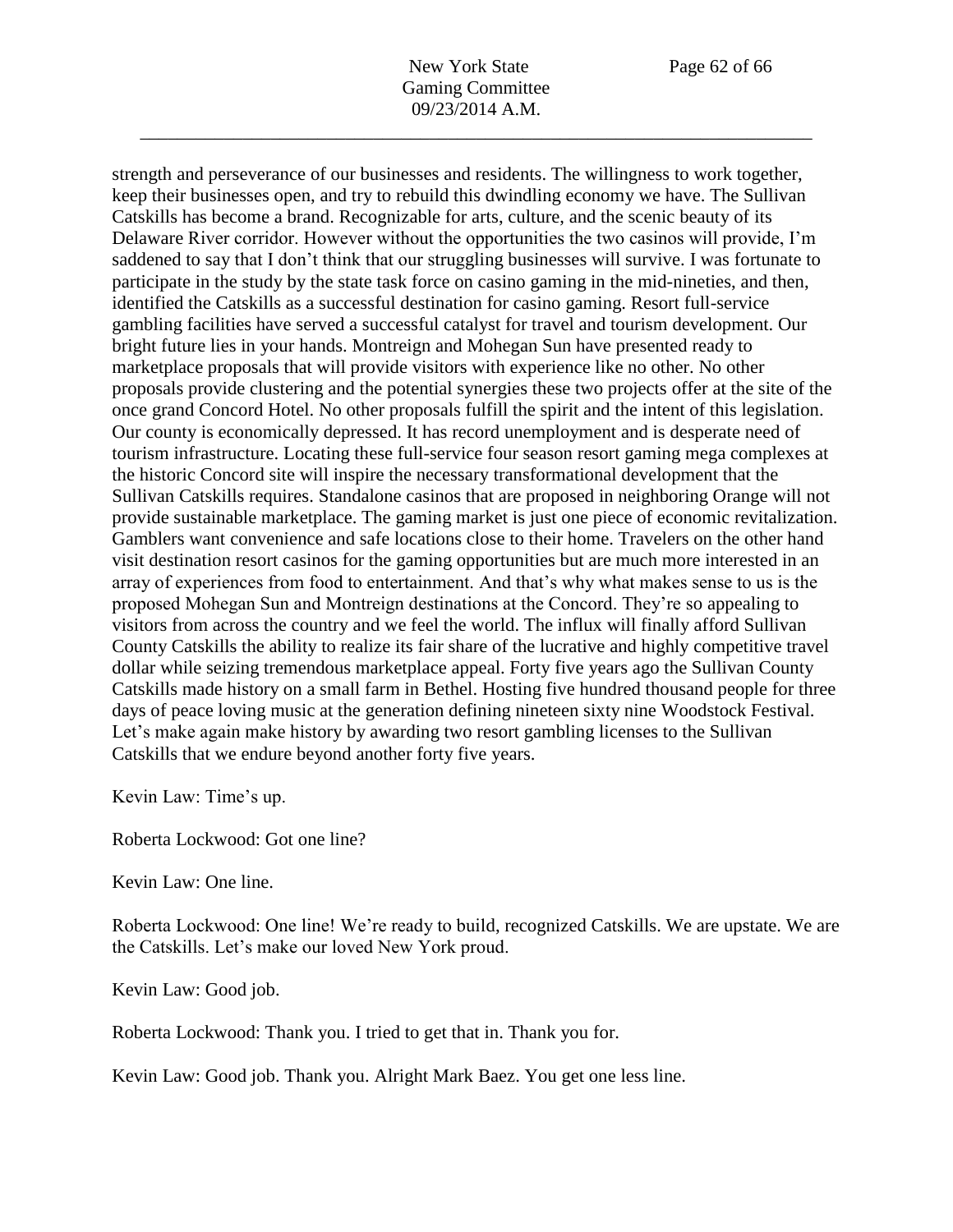New York State Page 62 of 66 Gaming Committee 09/23/2014 A.M.

\_\_\_\_\_\_\_\_\_\_\_\_\_\_\_\_\_\_\_\_\_\_\_\_\_\_\_\_\_\_\_\_\_\_\_\_\_\_\_\_\_\_\_\_\_\_\_\_\_\_\_\_\_\_\_\_\_\_\_\_\_\_\_\_\_\_\_\_\_\_\_\_

strength and perseverance of our businesses and residents. The willingness to work together, keep their businesses open, and try to rebuild this dwindling economy we have. The Sullivan Catskills has become a brand. Recognizable for arts, culture, and the scenic beauty of its Delaware River corridor. However without the opportunities the two casinos will provide, I'm saddened to say that I don't think that our struggling businesses will survive. I was fortunate to participate in the study by the state task force on casino gaming in the mid-nineties, and then, identified the Catskills as a successful destination for casino gaming. Resort full-service gambling facilities have served a successful catalyst for travel and tourism development. Our bright future lies in your hands. Montreign and Mohegan Sun have presented ready to marketplace proposals that will provide visitors with experience like no other. No other proposals provide clustering and the potential synergies these two projects offer at the site of the once grand Concord Hotel. No other proposals fulfill the spirit and the intent of this legislation. Our county is economically depressed. It has record unemployment and is desperate need of tourism infrastructure. Locating these full-service four season resort gaming mega complexes at the historic Concord site will inspire the necessary transformational development that the Sullivan Catskills requires. Standalone casinos that are proposed in neighboring Orange will not provide sustainable marketplace. The gaming market is just one piece of economic revitalization. Gamblers want convenience and safe locations close to their home. Travelers on the other hand visit destination resort casinos for the gaming opportunities but are much more interested in an array of experiences from food to entertainment. And that's why what makes sense to us is the proposed Mohegan Sun and Montreign destinations at the Concord. They're so appealing to visitors from across the country and we feel the world. The influx will finally afford Sullivan County Catskills the ability to realize its fair share of the lucrative and highly competitive travel dollar while seizing tremendous marketplace appeal. Forty five years ago the Sullivan County Catskills made history on a small farm in Bethel. Hosting five hundred thousand people for three days of peace loving music at the generation defining nineteen sixty nine Woodstock Festival. Let's make again make history by awarding two resort gambling licenses to the Sullivan Catskills that we endure beyond another forty five years.

Kevin Law: Time's up.

Roberta Lockwood: Got one line?

Kevin Law: One line.

Roberta Lockwood: One line! We're ready to build, recognized Catskills. We are upstate. We are the Catskills. Let's make our loved New York proud.

Kevin Law: Good job.

Roberta Lockwood: Thank you. I tried to get that in. Thank you for.

Kevin Law: Good job. Thank you. Alright Mark Baez. You get one less line.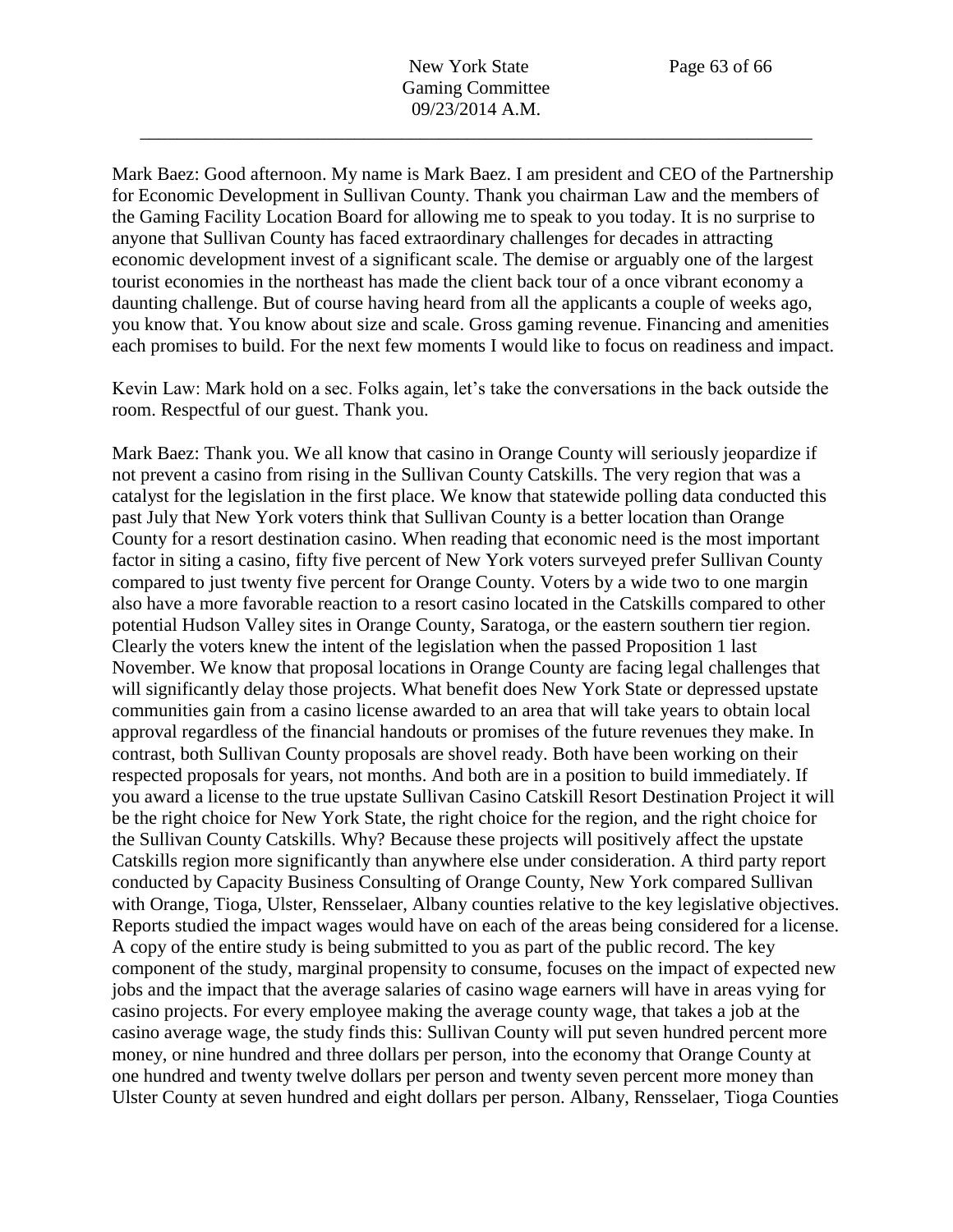Mark Baez: Good afternoon. My name is Mark Baez. I am president and CEO of the Partnership for Economic Development in Sullivan County. Thank you chairman Law and the members of the Gaming Facility Location Board for allowing me to speak to you today. It is no surprise to anyone that Sullivan County has faced extraordinary challenges for decades in attracting economic development invest of a significant scale. The demise or arguably one of the largest tourist economies in the northeast has made the client back tour of a once vibrant economy a daunting challenge. But of course having heard from all the applicants a couple of weeks ago, you know that. You know about size and scale. Gross gaming revenue. Financing and amenities each promises to build. For the next few moments I would like to focus on readiness and impact.

Kevin Law: Mark hold on a sec. Folks again, let's take the conversations in the back outside the room. Respectful of our guest. Thank you.

Mark Baez: Thank you. We all know that casino in Orange County will seriously jeopardize if not prevent a casino from rising in the Sullivan County Catskills. The very region that was a catalyst for the legislation in the first place. We know that statewide polling data conducted this past July that New York voters think that Sullivan County is a better location than Orange County for a resort destination casino. When reading that economic need is the most important factor in siting a casino, fifty five percent of New York voters surveyed prefer Sullivan County compared to just twenty five percent for Orange County. Voters by a wide two to one margin also have a more favorable reaction to a resort casino located in the Catskills compared to other potential Hudson Valley sites in Orange County, Saratoga, or the eastern southern tier region. Clearly the voters knew the intent of the legislation when the passed Proposition 1 last November. We know that proposal locations in Orange County are facing legal challenges that will significantly delay those projects. What benefit does New York State or depressed upstate communities gain from a casino license awarded to an area that will take years to obtain local approval regardless of the financial handouts or promises of the future revenues they make. In contrast, both Sullivan County proposals are shovel ready. Both have been working on their respected proposals for years, not months. And both are in a position to build immediately. If you award a license to the true upstate Sullivan Casino Catskill Resort Destination Project it will be the right choice for New York State, the right choice for the region, and the right choice for the Sullivan County Catskills. Why? Because these projects will positively affect the upstate Catskills region more significantly than anywhere else under consideration. A third party report conducted by Capacity Business Consulting of Orange County, New York compared Sullivan with Orange, Tioga, Ulster, Rensselaer, Albany counties relative to the key legislative objectives. Reports studied the impact wages would have on each of the areas being considered for a license. A copy of the entire study is being submitted to you as part of the public record. The key component of the study, marginal propensity to consume, focuses on the impact of expected new jobs and the impact that the average salaries of casino wage earners will have in areas vying for casino projects. For every employee making the average county wage, that takes a job at the casino average wage, the study finds this: Sullivan County will put seven hundred percent more money, or nine hundred and three dollars per person, into the economy that Orange County at one hundred and twenty twelve dollars per person and twenty seven percent more money than Ulster County at seven hundred and eight dollars per person. Albany, Rensselaer, Tioga Counties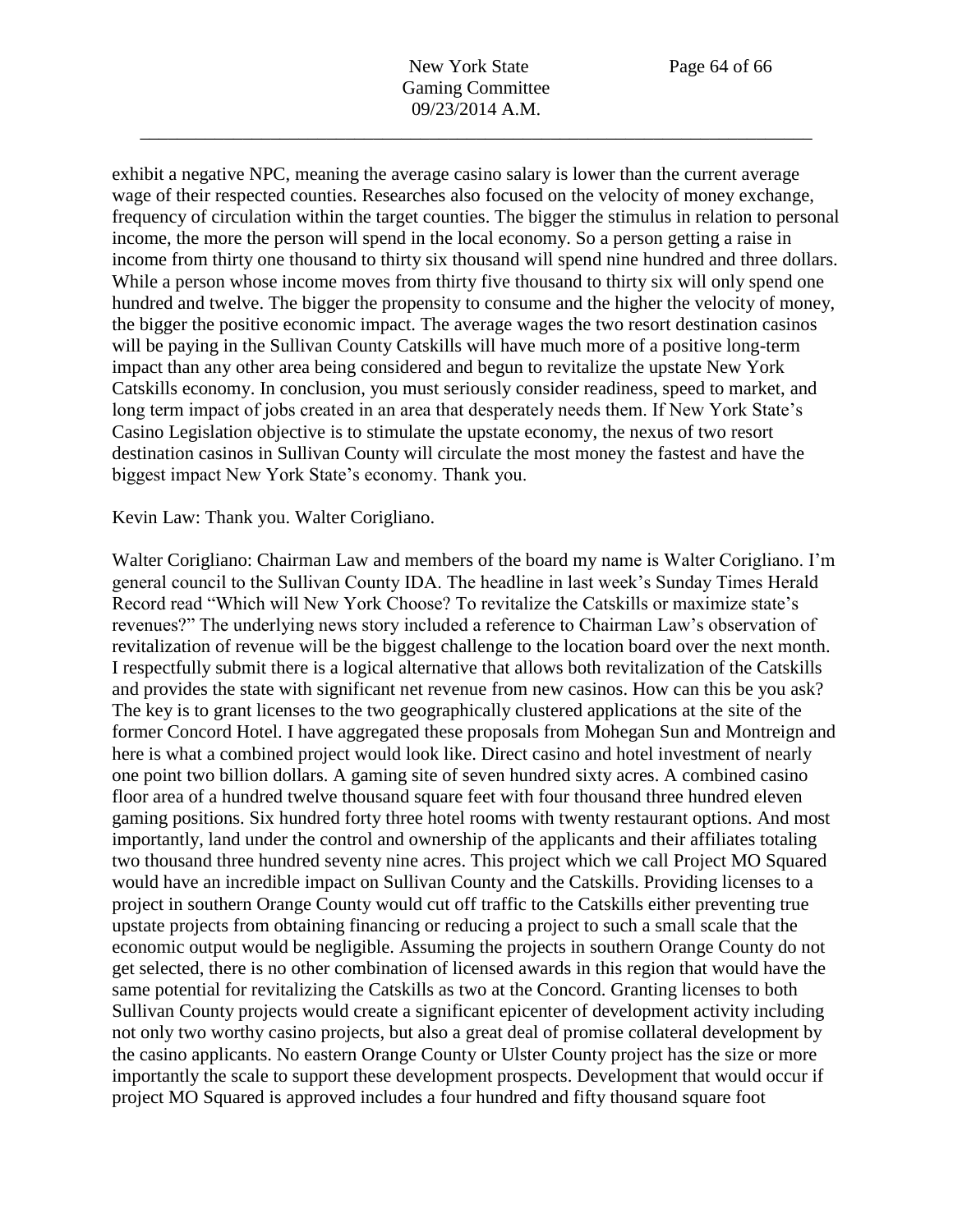exhibit a negative NPC, meaning the average casino salary is lower than the current average wage of their respected counties. Researches also focused on the velocity of money exchange, frequency of circulation within the target counties. The bigger the stimulus in relation to personal income, the more the person will spend in the local economy. So a person getting a raise in income from thirty one thousand to thirty six thousand will spend nine hundred and three dollars. While a person whose income moves from thirty five thousand to thirty six will only spend one hundred and twelve. The bigger the propensity to consume and the higher the velocity of money, the bigger the positive economic impact. The average wages the two resort destination casinos will be paying in the Sullivan County Catskills will have much more of a positive long-term impact than any other area being considered and begun to revitalize the upstate New York Catskills economy. In conclusion, you must seriously consider readiness, speed to market, and long term impact of jobs created in an area that desperately needs them. If New York State's Casino Legislation objective is to stimulate the upstate economy, the nexus of two resort destination casinos in Sullivan County will circulate the most money the fastest and have the biggest impact New York State's economy. Thank you.

## Kevin Law: Thank you. Walter Corigliano.

Walter Corigliano: Chairman Law and members of the board my name is Walter Corigliano. I'm general council to the Sullivan County IDA. The headline in last week's Sunday Times Herald Record read "Which will New York Choose? To revitalize the Catskills or maximize state's revenues?" The underlying news story included a reference to Chairman Law's observation of revitalization of revenue will be the biggest challenge to the location board over the next month. I respectfully submit there is a logical alternative that allows both revitalization of the Catskills and provides the state with significant net revenue from new casinos. How can this be you ask? The key is to grant licenses to the two geographically clustered applications at the site of the former Concord Hotel. I have aggregated these proposals from Mohegan Sun and Montreign and here is what a combined project would look like. Direct casino and hotel investment of nearly one point two billion dollars. A gaming site of seven hundred sixty acres. A combined casino floor area of a hundred twelve thousand square feet with four thousand three hundred eleven gaming positions. Six hundred forty three hotel rooms with twenty restaurant options. And most importantly, land under the control and ownership of the applicants and their affiliates totaling two thousand three hundred seventy nine acres. This project which we call Project MO Squared would have an incredible impact on Sullivan County and the Catskills. Providing licenses to a project in southern Orange County would cut off traffic to the Catskills either preventing true upstate projects from obtaining financing or reducing a project to such a small scale that the economic output would be negligible. Assuming the projects in southern Orange County do not get selected, there is no other combination of licensed awards in this region that would have the same potential for revitalizing the Catskills as two at the Concord. Granting licenses to both Sullivan County projects would create a significant epicenter of development activity including not only two worthy casino projects, but also a great deal of promise collateral development by the casino applicants. No eastern Orange County or Ulster County project has the size or more importantly the scale to support these development prospects. Development that would occur if project MO Squared is approved includes a four hundred and fifty thousand square foot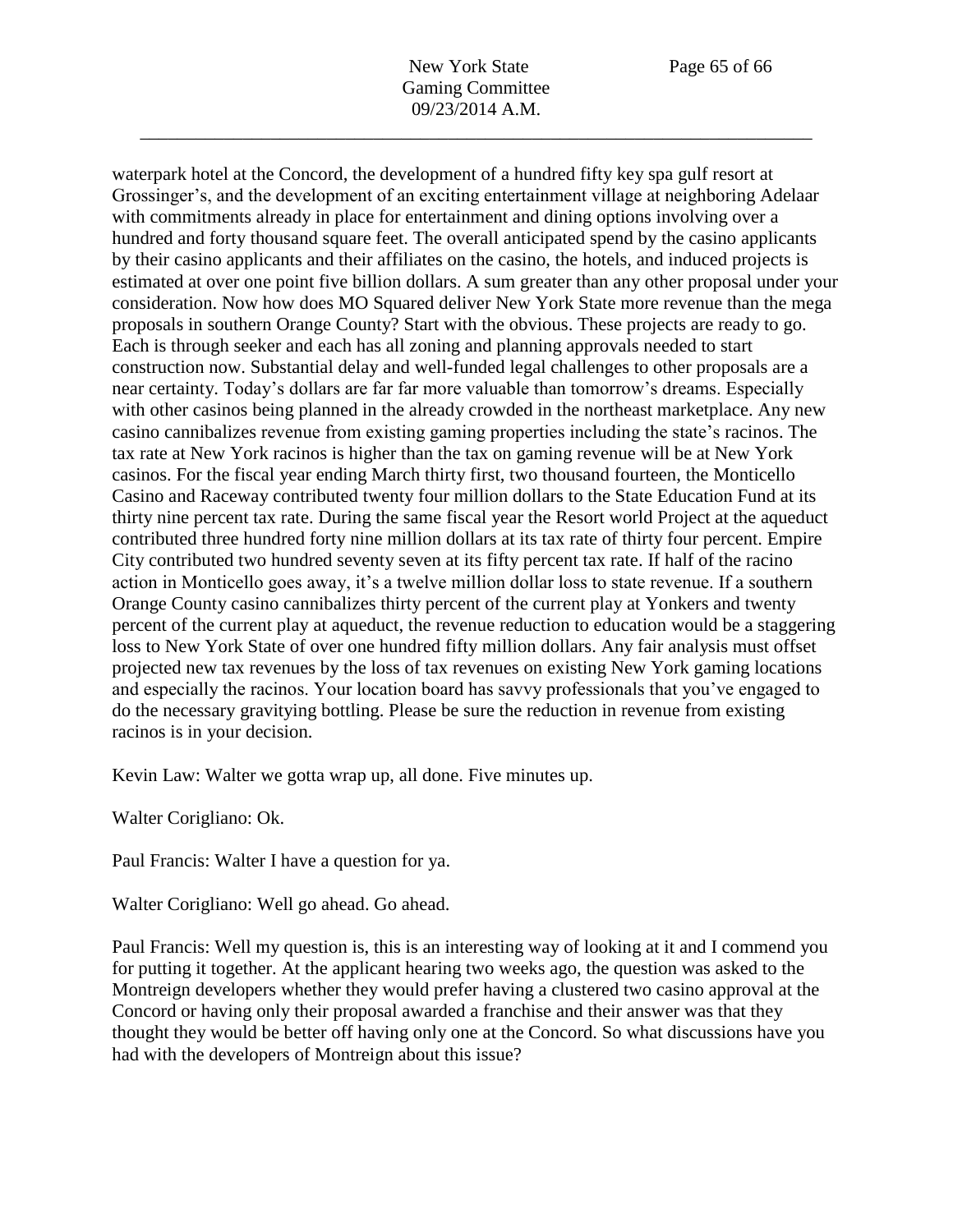waterpark hotel at the Concord, the development of a hundred fifty key spa gulf resort at Grossinger's, and the development of an exciting entertainment village at neighboring Adelaar with commitments already in place for entertainment and dining options involving over a hundred and forty thousand square feet. The overall anticipated spend by the casino applicants by their casino applicants and their affiliates on the casino, the hotels, and induced projects is estimated at over one point five billion dollars. A sum greater than any other proposal under your consideration. Now how does MO Squared deliver New York State more revenue than the mega proposals in southern Orange County? Start with the obvious. These projects are ready to go. Each is through seeker and each has all zoning and planning approvals needed to start construction now. Substantial delay and well-funded legal challenges to other proposals are a near certainty. Today's dollars are far far more valuable than tomorrow's dreams. Especially with other casinos being planned in the already crowded in the northeast marketplace. Any new casino cannibalizes revenue from existing gaming properties including the state's racinos. The tax rate at New York racinos is higher than the tax on gaming revenue will be at New York casinos. For the fiscal year ending March thirty first, two thousand fourteen, the Monticello Casino and Raceway contributed twenty four million dollars to the State Education Fund at its thirty nine percent tax rate. During the same fiscal year the Resort world Project at the aqueduct contributed three hundred forty nine million dollars at its tax rate of thirty four percent. Empire City contributed two hundred seventy seven at its fifty percent tax rate. If half of the racino action in Monticello goes away, it's a twelve million dollar loss to state revenue. If a southern Orange County casino cannibalizes thirty percent of the current play at Yonkers and twenty percent of the current play at aqueduct, the revenue reduction to education would be a staggering loss to New York State of over one hundred fifty million dollars. Any fair analysis must offset projected new tax revenues by the loss of tax revenues on existing New York gaming locations and especially the racinos. Your location board has savvy professionals that you've engaged to do the necessary gravitying bottling. Please be sure the reduction in revenue from existing racinos is in your decision.

Kevin Law: Walter we gotta wrap up, all done. Five minutes up.

Walter Corigliano: Ok.

Paul Francis: Walter I have a question for ya.

Walter Corigliano: Well go ahead. Go ahead.

Paul Francis: Well my question is, this is an interesting way of looking at it and I commend you for putting it together. At the applicant hearing two weeks ago, the question was asked to the Montreign developers whether they would prefer having a clustered two casino approval at the Concord or having only their proposal awarded a franchise and their answer was that they thought they would be better off having only one at the Concord. So what discussions have you had with the developers of Montreign about this issue?